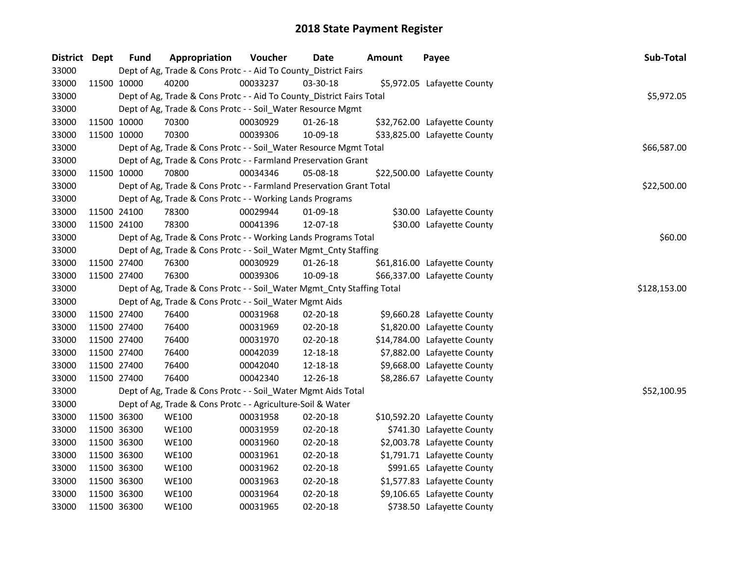| District Dept |             | <b>Fund</b> | Appropriation                                                          | Voucher  | <b>Date</b>    | <b>Amount</b> | Payee                        | Sub-Total    |
|---------------|-------------|-------------|------------------------------------------------------------------------|----------|----------------|---------------|------------------------------|--------------|
| 33000         |             |             | Dept of Ag, Trade & Cons Protc - - Aid To County_District Fairs        |          |                |               |                              |              |
| 33000         | 11500 10000 |             | 40200                                                                  | 00033237 | 03-30-18       |               | \$5,972.05 Lafayette County  |              |
| 33000         |             |             | Dept of Ag, Trade & Cons Protc - - Aid To County_District Fairs Total  |          |                |               |                              | \$5,972.05   |
| 33000         |             |             | Dept of Ag, Trade & Cons Protc - - Soil_Water Resource Mgmt            |          |                |               |                              |              |
| 33000         | 11500 10000 |             | 70300                                                                  | 00030929 | $01 - 26 - 18$ |               | \$32,762.00 Lafayette County |              |
| 33000         | 11500 10000 |             | 70300                                                                  | 00039306 | 10-09-18       |               | \$33,825.00 Lafayette County |              |
| 33000         |             |             | Dept of Ag, Trade & Cons Protc - - Soil_Water Resource Mgmt Total      |          |                |               |                              | \$66,587.00  |
| 33000         |             |             | Dept of Ag, Trade & Cons Protc - - Farmland Preservation Grant         |          |                |               |                              |              |
| 33000         | 11500 10000 |             | 70800                                                                  | 00034346 | 05-08-18       |               | \$22,500.00 Lafayette County |              |
| 33000         |             |             | Dept of Ag, Trade & Cons Protc - - Farmland Preservation Grant Total   |          |                |               |                              | \$22,500.00  |
| 33000         |             |             | Dept of Ag, Trade & Cons Protc - - Working Lands Programs              |          |                |               |                              |              |
| 33000         | 11500 24100 |             | 78300                                                                  | 00029944 | 01-09-18       |               | \$30.00 Lafayette County     |              |
| 33000         | 11500 24100 |             | 78300                                                                  | 00041396 | 12-07-18       |               | \$30.00 Lafayette County     |              |
| 33000         |             |             | Dept of Ag, Trade & Cons Protc - - Working Lands Programs Total        |          |                |               |                              | \$60.00      |
| 33000         |             |             | Dept of Ag, Trade & Cons Protc - - Soil_Water Mgmt_Cnty Staffing       |          |                |               |                              |              |
| 33000         | 11500 27400 |             | 76300                                                                  | 00030929 | 01-26-18       |               | \$61,816.00 Lafayette County |              |
| 33000         | 11500 27400 |             | 76300                                                                  | 00039306 | 10-09-18       |               | \$66,337.00 Lafayette County |              |
| 33000         |             |             | Dept of Ag, Trade & Cons Protc - - Soil_Water Mgmt_Cnty Staffing Total |          |                |               |                              | \$128,153.00 |
| 33000         |             |             | Dept of Ag, Trade & Cons Protc - - Soil_Water Mgmt Aids                |          |                |               |                              |              |
| 33000         | 11500 27400 |             | 76400                                                                  | 00031968 | 02-20-18       |               | \$9,660.28 Lafayette County  |              |
| 33000         | 11500 27400 |             | 76400                                                                  | 00031969 | 02-20-18       |               | \$1,820.00 Lafayette County  |              |
| 33000         | 11500 27400 |             | 76400                                                                  | 00031970 | 02-20-18       |               | \$14,784.00 Lafayette County |              |
| 33000         | 11500 27400 |             | 76400                                                                  | 00042039 | 12-18-18       |               | \$7,882.00 Lafayette County  |              |
| 33000         | 11500 27400 |             | 76400                                                                  | 00042040 | 12-18-18       |               | \$9,668.00 Lafayette County  |              |
| 33000         | 11500 27400 |             | 76400                                                                  | 00042340 | 12-26-18       |               | \$8,286.67 Lafayette County  |              |
| 33000         |             |             | Dept of Ag, Trade & Cons Protc - - Soil_Water Mgmt Aids Total          |          |                |               |                              | \$52,100.95  |
| 33000         |             |             | Dept of Ag, Trade & Cons Protc - - Agriculture-Soil & Water            |          |                |               |                              |              |
| 33000         | 11500 36300 |             | <b>WE100</b>                                                           | 00031958 | 02-20-18       |               | \$10,592.20 Lafayette County |              |
| 33000         | 11500 36300 |             | <b>WE100</b>                                                           | 00031959 | 02-20-18       |               | \$741.30 Lafayette County    |              |
| 33000         | 11500 36300 |             | <b>WE100</b>                                                           | 00031960 | 02-20-18       |               | \$2,003.78 Lafayette County  |              |
| 33000         | 11500 36300 |             | <b>WE100</b>                                                           | 00031961 | 02-20-18       |               | \$1,791.71 Lafayette County  |              |
| 33000         | 11500 36300 |             | <b>WE100</b>                                                           | 00031962 | 02-20-18       |               | \$991.65 Lafayette County    |              |
| 33000         | 11500 36300 |             | <b>WE100</b>                                                           | 00031963 | 02-20-18       |               | \$1,577.83 Lafayette County  |              |
| 33000         | 11500 36300 |             | <b>WE100</b>                                                           | 00031964 | 02-20-18       |               | \$9,106.65 Lafayette County  |              |
| 33000         | 11500 36300 |             | <b>WE100</b>                                                           | 00031965 | 02-20-18       |               | \$738.50 Lafayette County    |              |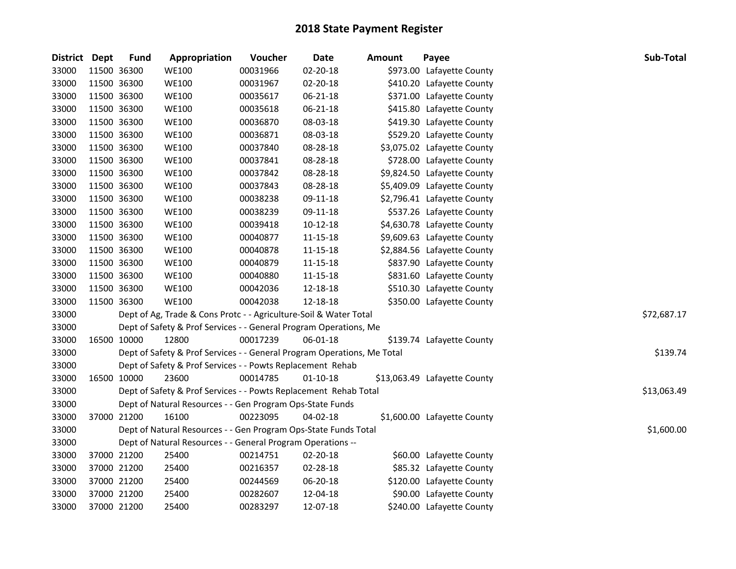| District Dept |             | <b>Fund</b>                                                     | Appropriation                                                           | Voucher  | Date           | <b>Amount</b> | Payee                        | Sub-Total   |
|---------------|-------------|-----------------------------------------------------------------|-------------------------------------------------------------------------|----------|----------------|---------------|------------------------------|-------------|
| 33000         | 11500 36300 |                                                                 | <b>WE100</b>                                                            | 00031966 | 02-20-18       |               | \$973.00 Lafayette County    |             |
| 33000         | 11500 36300 |                                                                 | <b>WE100</b>                                                            | 00031967 | 02-20-18       |               | \$410.20 Lafayette County    |             |
| 33000         | 11500 36300 |                                                                 | <b>WE100</b>                                                            | 00035617 | 06-21-18       |               | \$371.00 Lafayette County    |             |
| 33000         | 11500 36300 |                                                                 | <b>WE100</b>                                                            | 00035618 | 06-21-18       |               | \$415.80 Lafayette County    |             |
| 33000         | 11500 36300 |                                                                 | <b>WE100</b>                                                            | 00036870 | 08-03-18       |               | \$419.30 Lafayette County    |             |
| 33000         | 11500 36300 |                                                                 | <b>WE100</b>                                                            | 00036871 | 08-03-18       |               | \$529.20 Lafayette County    |             |
| 33000         | 11500 36300 |                                                                 | <b>WE100</b>                                                            | 00037840 | 08-28-18       |               | \$3,075.02 Lafayette County  |             |
| 33000         | 11500 36300 |                                                                 | <b>WE100</b>                                                            | 00037841 | 08-28-18       |               | \$728.00 Lafayette County    |             |
| 33000         | 11500 36300 |                                                                 | <b>WE100</b>                                                            | 00037842 | 08-28-18       |               | \$9,824.50 Lafayette County  |             |
| 33000         | 11500 36300 |                                                                 | <b>WE100</b>                                                            | 00037843 | 08-28-18       |               | \$5,409.09 Lafayette County  |             |
| 33000         | 11500 36300 |                                                                 | <b>WE100</b>                                                            | 00038238 | 09-11-18       |               | \$2,796.41 Lafayette County  |             |
| 33000         | 11500 36300 |                                                                 | <b>WE100</b>                                                            | 00038239 | 09-11-18       |               | \$537.26 Lafayette County    |             |
| 33000         | 11500 36300 |                                                                 | <b>WE100</b>                                                            | 00039418 | $10 - 12 - 18$ |               | \$4,630.78 Lafayette County  |             |
| 33000         | 11500 36300 |                                                                 | <b>WE100</b>                                                            | 00040877 | 11-15-18       |               | \$9,609.63 Lafayette County  |             |
| 33000         | 11500 36300 |                                                                 | <b>WE100</b>                                                            | 00040878 | 11-15-18       |               | \$2,884.56 Lafayette County  |             |
| 33000         | 11500 36300 |                                                                 | <b>WE100</b>                                                            | 00040879 | 11-15-18       |               | \$837.90 Lafayette County    |             |
| 33000         | 11500 36300 |                                                                 | <b>WE100</b>                                                            | 00040880 | $11 - 15 - 18$ |               | \$831.60 Lafayette County    |             |
| 33000         | 11500 36300 |                                                                 | <b>WE100</b>                                                            | 00042036 | 12-18-18       |               | \$510.30 Lafayette County    |             |
| 33000         | 11500 36300 |                                                                 | <b>WE100</b>                                                            | 00042038 | 12-18-18       |               | \$350.00 Lafayette County    |             |
| 33000         |             |                                                                 | Dept of Ag, Trade & Cons Protc - - Agriculture-Soil & Water Total       |          |                |               |                              | \$72,687.17 |
| 33000         |             |                                                                 | Dept of Safety & Prof Services - - General Program Operations, Me       |          |                |               |                              |             |
| 33000         | 16500 10000 |                                                                 | 12800                                                                   | 00017239 | 06-01-18       |               | \$139.74 Lafayette County    |             |
| 33000         |             |                                                                 | Dept of Safety & Prof Services - - General Program Operations, Me Total |          |                |               |                              | \$139.74    |
| 33000         |             |                                                                 | Dept of Safety & Prof Services - - Powts Replacement Rehab              |          |                |               |                              |             |
| 33000         | 16500 10000 |                                                                 | 23600                                                                   | 00014785 | $01 - 10 - 18$ |               | \$13,063.49 Lafayette County |             |
| 33000         |             |                                                                 | Dept of Safety & Prof Services - - Powts Replacement Rehab Total        |          |                |               |                              | \$13,063.49 |
| 33000         |             |                                                                 | Dept of Natural Resources - - Gen Program Ops-State Funds               |          |                |               |                              |             |
| 33000         | 37000 21200 |                                                                 | 16100                                                                   | 00223095 | 04-02-18       |               | \$1,600.00 Lafayette County  |             |
| 33000         |             | Dept of Natural Resources - - Gen Program Ops-State Funds Total |                                                                         |          |                |               |                              |             |
| 33000         |             |                                                                 | Dept of Natural Resources - - General Program Operations --             |          |                |               |                              |             |
| 33000         | 37000 21200 |                                                                 | 25400                                                                   | 00214751 | 02-20-18       |               | \$60.00 Lafayette County     |             |
| 33000         | 37000 21200 |                                                                 | 25400                                                                   | 00216357 | 02-28-18       |               | \$85.32 Lafayette County     |             |
| 33000         | 37000 21200 |                                                                 | 25400                                                                   | 00244569 | 06-20-18       |               | \$120.00 Lafayette County    |             |
| 33000         | 37000 21200 |                                                                 | 25400                                                                   | 00282607 | 12-04-18       |               | \$90.00 Lafayette County     |             |
| 33000         | 37000 21200 |                                                                 | 25400                                                                   | 00283297 | 12-07-18       |               | \$240.00 Lafayette County    |             |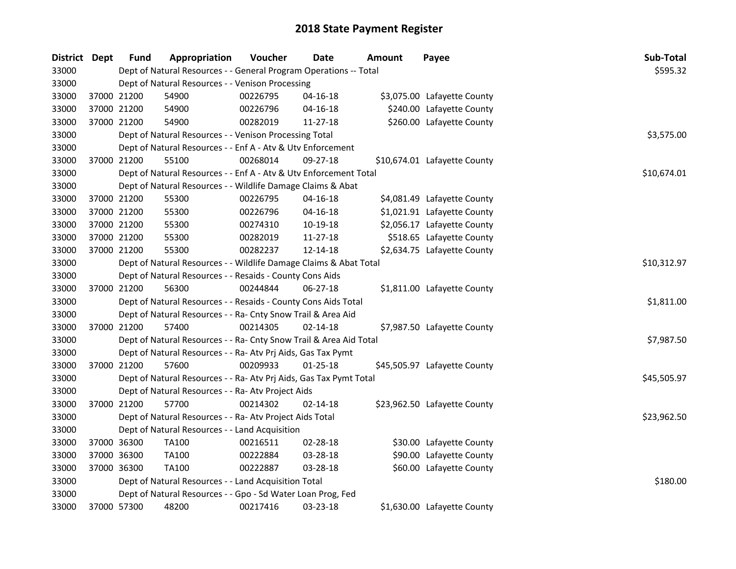| District Dept |             | <b>Fund</b> | Appropriation                                                      | Voucher  | Date           | Amount | Payee                        | Sub-Total   |
|---------------|-------------|-------------|--------------------------------------------------------------------|----------|----------------|--------|------------------------------|-------------|
| 33000         |             |             | Dept of Natural Resources - - General Program Operations -- Total  |          |                |        |                              | \$595.32    |
| 33000         |             |             | Dept of Natural Resources - - Venison Processing                   |          |                |        |                              |             |
| 33000         |             | 37000 21200 | 54900                                                              | 00226795 | 04-16-18       |        | \$3,075.00 Lafayette County  |             |
| 33000         |             | 37000 21200 | 54900                                                              | 00226796 | $04 - 16 - 18$ |        | \$240.00 Lafayette County    |             |
| 33000         |             | 37000 21200 | 54900                                                              | 00282019 | 11-27-18       |        | \$260.00 Lafayette County    |             |
| 33000         |             |             | Dept of Natural Resources - - Venison Processing Total             |          |                |        |                              | \$3,575.00  |
| 33000         |             |             | Dept of Natural Resources - - Enf A - Atv & Utv Enforcement        |          |                |        |                              |             |
| 33000         |             | 37000 21200 | 55100                                                              | 00268014 | $09 - 27 - 18$ |        | \$10,674.01 Lafayette County |             |
| 33000         |             |             | Dept of Natural Resources - - Enf A - Atv & Utv Enforcement Total  |          |                |        |                              | \$10,674.01 |
| 33000         |             |             | Dept of Natural Resources - - Wildlife Damage Claims & Abat        |          |                |        |                              |             |
| 33000         |             | 37000 21200 | 55300                                                              | 00226795 | $04 - 16 - 18$ |        | \$4,081.49 Lafayette County  |             |
| 33000         |             | 37000 21200 | 55300                                                              | 00226796 | $04 - 16 - 18$ |        | \$1,021.91 Lafayette County  |             |
| 33000         |             | 37000 21200 | 55300                                                              | 00274310 | 10-19-18       |        | \$2,056.17 Lafayette County  |             |
| 33000         |             | 37000 21200 | 55300                                                              | 00282019 | 11-27-18       |        | \$518.65 Lafayette County    |             |
| 33000         |             | 37000 21200 | 55300                                                              | 00282237 | 12-14-18       |        | \$2,634.75 Lafayette County  |             |
| 33000         |             |             | Dept of Natural Resources - - Wildlife Damage Claims & Abat Total  |          |                |        |                              | \$10,312.97 |
| 33000         |             |             | Dept of Natural Resources - - Resaids - County Cons Aids           |          |                |        |                              |             |
| 33000         |             | 37000 21200 | 56300                                                              | 00244844 | $06 - 27 - 18$ |        | \$1,811.00 Lafayette County  |             |
| 33000         |             |             | Dept of Natural Resources - - Resaids - County Cons Aids Total     |          |                |        |                              | \$1,811.00  |
| 33000         |             |             | Dept of Natural Resources - - Ra- Cnty Snow Trail & Area Aid       |          |                |        |                              |             |
| 33000         |             | 37000 21200 | 57400                                                              | 00214305 | $02 - 14 - 18$ |        | \$7,987.50 Lafayette County  |             |
| 33000         |             |             | Dept of Natural Resources - - Ra- Cnty Snow Trail & Area Aid Total |          |                |        |                              | \$7,987.50  |
| 33000         |             |             | Dept of Natural Resources - - Ra- Atv Prj Aids, Gas Tax Pymt       |          |                |        |                              |             |
| 33000         | 37000 21200 |             | 57600                                                              | 00209933 | 01-25-18       |        | \$45,505.97 Lafayette County |             |
| 33000         |             |             | Dept of Natural Resources - - Ra- Atv Prj Aids, Gas Tax Pymt Total |          |                |        |                              | \$45,505.97 |
| 33000         |             |             | Dept of Natural Resources - - Ra- Atv Project Aids                 |          |                |        |                              |             |
| 33000         | 37000 21200 |             | 57700                                                              | 00214302 | $02 - 14 - 18$ |        | \$23,962.50 Lafayette County |             |
| 33000         |             |             | Dept of Natural Resources - - Ra- Atv Project Aids Total           |          |                |        |                              | \$23,962.50 |
| 33000         |             |             | Dept of Natural Resources - - Land Acquisition                     |          |                |        |                              |             |
| 33000         |             | 37000 36300 | <b>TA100</b>                                                       | 00216511 | 02-28-18       |        | \$30.00 Lafayette County     |             |
| 33000         |             | 37000 36300 | TA100                                                              | 00222884 | 03-28-18       |        | \$90.00 Lafayette County     |             |
| 33000         |             | 37000 36300 | <b>TA100</b>                                                       | 00222887 | 03-28-18       |        | \$60.00 Lafayette County     |             |
| 33000         |             |             | Dept of Natural Resources - - Land Acquisition Total               |          |                |        |                              | \$180.00    |
| 33000         |             |             | Dept of Natural Resources - - Gpo - Sd Water Loan Prog, Fed        |          |                |        |                              |             |
| 33000         |             | 37000 57300 | 48200                                                              | 00217416 | 03-23-18       |        | \$1,630.00 Lafayette County  |             |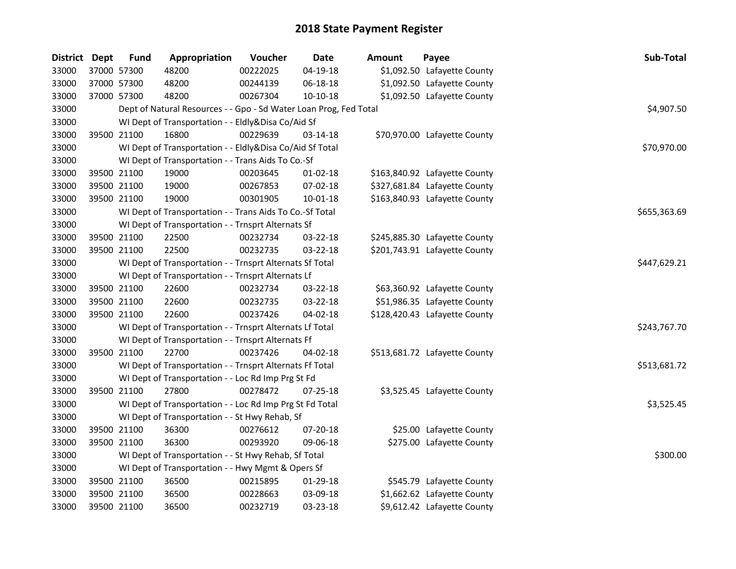| District Dept | <b>Fund</b> | Appropriation                                                     | Voucher  | <b>Date</b>    | <b>Amount</b> | Payee                         | Sub-Total    |
|---------------|-------------|-------------------------------------------------------------------|----------|----------------|---------------|-------------------------------|--------------|
| 33000         | 37000 57300 | 48200                                                             | 00222025 | $04 - 19 - 18$ |               | \$1,092.50 Lafayette County   |              |
| 33000         | 37000 57300 | 48200                                                             | 00244139 | 06-18-18       |               | \$1,092.50 Lafayette County   |              |
| 33000         | 37000 57300 | 48200                                                             | 00267304 | $10-10-18$     |               | \$1,092.50 Lafayette County   |              |
| 33000         |             | Dept of Natural Resources - - Gpo - Sd Water Loan Prog, Fed Total |          |                |               |                               | \$4,907.50   |
| 33000         |             | WI Dept of Transportation - - Eldly&Disa Co/Aid Sf                |          |                |               |                               |              |
| 33000         | 39500 21100 | 16800                                                             | 00229639 | 03-14-18       |               | \$70,970.00 Lafayette County  |              |
| 33000         |             | WI Dept of Transportation - - Eldly&Disa Co/Aid Sf Total          |          |                |               |                               | \$70,970.00  |
| 33000         |             | WI Dept of Transportation - - Trans Aids To Co.-Sf                |          |                |               |                               |              |
| 33000         | 39500 21100 | 19000                                                             | 00203645 | $01-02-18$     |               | \$163,840.92 Lafayette County |              |
| 33000         | 39500 21100 | 19000                                                             | 00267853 | 07-02-18       |               | \$327,681.84 Lafayette County |              |
| 33000         | 39500 21100 | 19000                                                             | 00301905 | 10-01-18       |               | \$163,840.93 Lafayette County |              |
| 33000         |             | WI Dept of Transportation - - Trans Aids To Co.-Sf Total          |          |                |               |                               | \$655,363.69 |
| 33000         |             | WI Dept of Transportation - - Trnsprt Alternats Sf                |          |                |               |                               |              |
| 33000         | 39500 21100 | 22500                                                             | 00232734 | 03-22-18       |               | \$245,885.30 Lafayette County |              |
| 33000         | 39500 21100 | 22500                                                             | 00232735 | 03-22-18       |               | \$201,743.91 Lafayette County |              |
| 33000         |             | WI Dept of Transportation - - Trnsprt Alternats Sf Total          |          |                |               |                               | \$447,629.21 |
| 33000         |             | WI Dept of Transportation - - Trnsprt Alternats Lf                |          |                |               |                               |              |
| 33000         | 39500 21100 | 22600                                                             | 00232734 | 03-22-18       |               | \$63,360.92 Lafayette County  |              |
| 33000         | 39500 21100 | 22600                                                             | 00232735 | 03-22-18       |               | \$51,986.35 Lafayette County  |              |
| 33000         | 39500 21100 | 22600                                                             | 00237426 | 04-02-18       |               | \$128,420.43 Lafayette County |              |
| 33000         |             | WI Dept of Transportation - - Trnsprt Alternats Lf Total          |          |                |               |                               | \$243,767.70 |
| 33000         |             | WI Dept of Transportation - - Trnsprt Alternats Ff                |          |                |               |                               |              |
| 33000         | 39500 21100 | 22700                                                             | 00237426 | 04-02-18       |               | \$513,681.72 Lafayette County |              |
| 33000         |             | WI Dept of Transportation - - Trnsprt Alternats Ff Total          |          |                |               |                               | \$513,681.72 |
| 33000         |             | WI Dept of Transportation - - Loc Rd Imp Prg St Fd                |          |                |               |                               |              |
| 33000         | 39500 21100 | 27800                                                             | 00278472 | $07 - 25 - 18$ |               | \$3,525.45 Lafayette County   |              |
| 33000         |             | WI Dept of Transportation - - Loc Rd Imp Prg St Fd Total          |          |                |               |                               | \$3,525.45   |
| 33000         |             | WI Dept of Transportation - - St Hwy Rehab, Sf                    |          |                |               |                               |              |
| 33000         | 39500 21100 | 36300                                                             | 00276612 | $07 - 20 - 18$ |               | \$25.00 Lafayette County      |              |
| 33000         | 39500 21100 | 36300                                                             | 00293920 | 09-06-18       |               | \$275.00 Lafayette County     |              |
| 33000         |             | WI Dept of Transportation - - St Hwy Rehab, Sf Total              |          |                |               |                               | \$300.00     |
| 33000         |             | WI Dept of Transportation - - Hwy Mgmt & Opers Sf                 |          |                |               |                               |              |
| 33000         | 39500 21100 | 36500                                                             | 00215895 | 01-29-18       |               | \$545.79 Lafayette County     |              |
| 33000         | 39500 21100 | 36500                                                             | 00228663 | 03-09-18       |               | \$1,662.62 Lafayette County   |              |
| 33000         | 39500 21100 | 36500                                                             | 00232719 | 03-23-18       |               | \$9,612.42 Lafayette County   |              |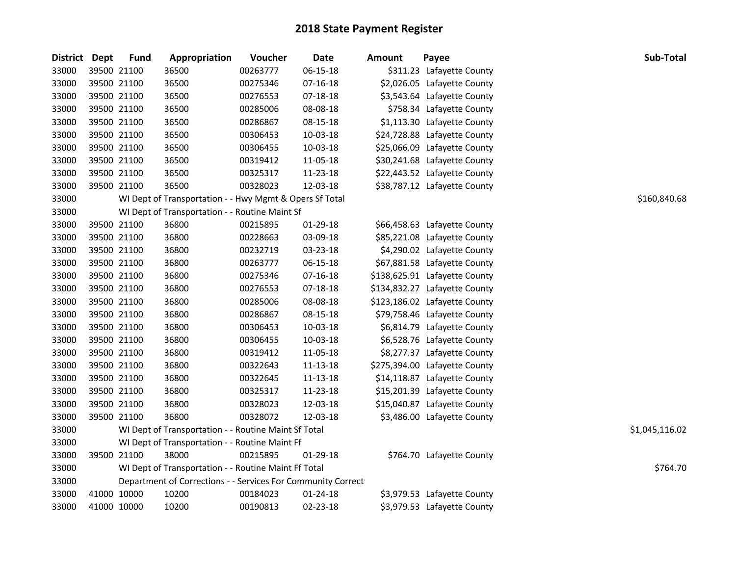| <b>District</b> | <b>Dept</b> | <b>Fund</b> | Appropriation                                                | <b>Voucher</b> | Date           | <b>Amount</b> | Payee                         | Sub-Total      |
|-----------------|-------------|-------------|--------------------------------------------------------------|----------------|----------------|---------------|-------------------------------|----------------|
| 33000           | 39500 21100 |             | 36500                                                        | 00263777       | $06 - 15 - 18$ |               | \$311.23 Lafayette County     |                |
| 33000           | 39500 21100 |             | 36500                                                        | 00275346       | 07-16-18       |               | \$2,026.05 Lafayette County   |                |
| 33000           | 39500 21100 |             | 36500                                                        | 00276553       | 07-18-18       |               | \$3,543.64 Lafayette County   |                |
| 33000           | 39500 21100 |             | 36500                                                        | 00285006       | 08-08-18       |               | \$758.34 Lafayette County     |                |
| 33000           |             | 39500 21100 | 36500                                                        | 00286867       | 08-15-18       |               | \$1,113.30 Lafayette County   |                |
| 33000           |             | 39500 21100 | 36500                                                        | 00306453       | 10-03-18       |               | \$24,728.88 Lafayette County  |                |
| 33000           | 39500 21100 |             | 36500                                                        | 00306455       | 10-03-18       |               | \$25,066.09 Lafayette County  |                |
| 33000           | 39500 21100 |             | 36500                                                        | 00319412       | 11-05-18       |               | \$30,241.68 Lafayette County  |                |
| 33000           | 39500 21100 |             | 36500                                                        | 00325317       | 11-23-18       |               | \$22,443.52 Lafayette County  |                |
| 33000           |             | 39500 21100 | 36500                                                        | 00328023       | 12-03-18       |               | \$38,787.12 Lafayette County  |                |
| 33000           |             |             | WI Dept of Transportation - - Hwy Mgmt & Opers Sf Total      |                |                |               |                               | \$160,840.68   |
| 33000           |             |             | WI Dept of Transportation - - Routine Maint Sf               |                |                |               |                               |                |
| 33000           |             | 39500 21100 | 36800                                                        | 00215895       | 01-29-18       |               | \$66,458.63 Lafayette County  |                |
| 33000           | 39500 21100 |             | 36800                                                        | 00228663       | 03-09-18       |               | \$85,221.08 Lafayette County  |                |
| 33000           | 39500 21100 |             | 36800                                                        | 00232719       | 03-23-18       |               | \$4,290.02 Lafayette County   |                |
| 33000           | 39500 21100 |             | 36800                                                        | 00263777       | 06-15-18       |               | \$67,881.58 Lafayette County  |                |
| 33000           |             | 39500 21100 | 36800                                                        | 00275346       | 07-16-18       |               | \$138,625.91 Lafayette County |                |
| 33000           | 39500 21100 |             | 36800                                                        | 00276553       | 07-18-18       |               | \$134,832.27 Lafayette County |                |
| 33000           | 39500 21100 |             | 36800                                                        | 00285006       | 08-08-18       |               | \$123,186.02 Lafayette County |                |
| 33000           |             | 39500 21100 | 36800                                                        | 00286867       | 08-15-18       |               | \$79,758.46 Lafayette County  |                |
| 33000           | 39500 21100 |             | 36800                                                        | 00306453       | 10-03-18       |               | \$6,814.79 Lafayette County   |                |
| 33000           | 39500 21100 |             | 36800                                                        | 00306455       | 10-03-18       |               | \$6,528.76 Lafayette County   |                |
| 33000           | 39500 21100 |             | 36800                                                        | 00319412       | 11-05-18       |               | \$8,277.37 Lafayette County   |                |
| 33000           | 39500 21100 |             | 36800                                                        | 00322643       | 11-13-18       |               | \$275,394.00 Lafayette County |                |
| 33000           | 39500 21100 |             | 36800                                                        | 00322645       | 11-13-18       |               | \$14,118.87 Lafayette County  |                |
| 33000           | 39500 21100 |             | 36800                                                        | 00325317       | 11-23-18       |               | \$15,201.39 Lafayette County  |                |
| 33000           | 39500 21100 |             | 36800                                                        | 00328023       | 12-03-18       |               | \$15,040.87 Lafayette County  |                |
| 33000           |             | 39500 21100 | 36800                                                        | 00328072       | 12-03-18       |               | \$3,486.00 Lafayette County   |                |
| 33000           |             |             | WI Dept of Transportation - - Routine Maint Sf Total         |                |                |               |                               | \$1,045,116.02 |
| 33000           |             |             | WI Dept of Transportation - - Routine Maint Ff               |                |                |               |                               |                |
| 33000           |             | 39500 21100 | 38000                                                        | 00215895       | 01-29-18       |               | \$764.70 Lafayette County     |                |
| 33000           |             |             | WI Dept of Transportation - - Routine Maint Ff Total         |                |                |               |                               | \$764.70       |
| 33000           |             |             | Department of Corrections - - Services For Community Correct |                |                |               |                               |                |
| 33000           |             | 41000 10000 | 10200                                                        | 00184023       | 01-24-18       |               | \$3,979.53 Lafayette County   |                |
| 33000           | 41000 10000 |             | 10200                                                        | 00190813       | 02-23-18       |               | \$3,979.53 Lafayette County   |                |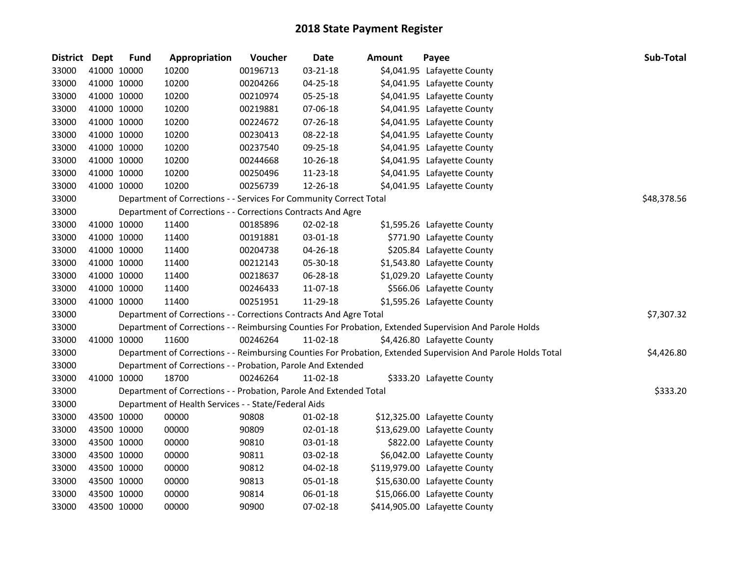| District Dept |             | <b>Fund</b> | Appropriation                                                      | Voucher  | <b>Date</b>    | <b>Amount</b> | Payee                                                                                                         | Sub-Total   |
|---------------|-------------|-------------|--------------------------------------------------------------------|----------|----------------|---------------|---------------------------------------------------------------------------------------------------------------|-------------|
| 33000         |             | 41000 10000 | 10200                                                              | 00196713 | 03-21-18       |               | \$4,041.95 Lafayette County                                                                                   |             |
| 33000         |             | 41000 10000 | 10200                                                              | 00204266 | 04-25-18       |               | \$4,041.95 Lafayette County                                                                                   |             |
| 33000         |             | 41000 10000 | 10200                                                              | 00210974 | 05-25-18       |               | \$4,041.95 Lafayette County                                                                                   |             |
| 33000         |             | 41000 10000 | 10200                                                              | 00219881 | 07-06-18       |               | \$4,041.95 Lafayette County                                                                                   |             |
| 33000         |             | 41000 10000 | 10200                                                              | 00224672 | 07-26-18       |               | \$4,041.95 Lafayette County                                                                                   |             |
| 33000         |             | 41000 10000 | 10200                                                              | 00230413 | 08-22-18       |               | \$4,041.95 Lafayette County                                                                                   |             |
| 33000         |             | 41000 10000 | 10200                                                              | 00237540 | 09-25-18       |               | \$4,041.95 Lafayette County                                                                                   |             |
| 33000         |             | 41000 10000 | 10200                                                              | 00244668 | 10-26-18       |               | \$4,041.95 Lafayette County                                                                                   |             |
| 33000         |             | 41000 10000 | 10200                                                              | 00250496 | 11-23-18       |               | \$4,041.95 Lafayette County                                                                                   |             |
| 33000         |             | 41000 10000 | 10200                                                              | 00256739 | 12-26-18       |               | \$4,041.95 Lafayette County                                                                                   |             |
| 33000         |             |             | Department of Corrections - - Services For Community Correct Total |          |                |               |                                                                                                               | \$48,378.56 |
| 33000         |             |             | Department of Corrections - - Corrections Contracts And Agre       |          |                |               |                                                                                                               |             |
| 33000         |             | 41000 10000 | 11400                                                              | 00185896 | 02-02-18       |               | \$1,595.26 Lafayette County                                                                                   |             |
| 33000         |             | 41000 10000 | 11400                                                              | 00191881 | 03-01-18       |               | \$771.90 Lafayette County                                                                                     |             |
| 33000         |             | 41000 10000 | 11400                                                              | 00204738 | 04-26-18       |               | \$205.84 Lafayette County                                                                                     |             |
| 33000         |             | 41000 10000 | 11400                                                              | 00212143 | 05-30-18       |               | \$1,543.80 Lafayette County                                                                                   |             |
| 33000         |             | 41000 10000 | 11400                                                              | 00218637 | 06-28-18       |               | \$1,029.20 Lafayette County                                                                                   |             |
| 33000         |             | 41000 10000 | 11400                                                              | 00246433 | 11-07-18       |               | \$566.06 Lafayette County                                                                                     |             |
| 33000         |             | 41000 10000 | 11400                                                              | 00251951 | 11-29-18       |               | \$1,595.26 Lafayette County                                                                                   |             |
| 33000         |             |             | Department of Corrections - - Corrections Contracts And Agre Total |          |                |               |                                                                                                               | \$7,307.32  |
| 33000         |             |             |                                                                    |          |                |               | Department of Corrections - - Reimbursing Counties For Probation, Extended Supervision And Parole Holds       |             |
| 33000         |             | 41000 10000 | 11600                                                              | 00246264 | 11-02-18       |               | \$4,426.80 Lafayette County                                                                                   |             |
| 33000         |             |             |                                                                    |          |                |               | Department of Corrections - - Reimbursing Counties For Probation, Extended Supervision And Parole Holds Total | \$4,426.80  |
| 33000         |             |             | Department of Corrections - - Probation, Parole And Extended       |          |                |               |                                                                                                               |             |
| 33000         |             | 41000 10000 | 18700                                                              | 00246264 | 11-02-18       |               | \$333.20 Lafayette County                                                                                     |             |
| 33000         |             |             | Department of Corrections - - Probation, Parole And Extended Total |          |                |               |                                                                                                               | \$333.20    |
| 33000         |             |             | Department of Health Services - - State/Federal Aids               |          |                |               |                                                                                                               |             |
| 33000         |             | 43500 10000 | 00000                                                              | 90808    | $01 - 02 - 18$ |               | \$12,325.00 Lafayette County                                                                                  |             |
| 33000         |             | 43500 10000 | 00000                                                              | 90809    | 02-01-18       |               | \$13,629.00 Lafayette County                                                                                  |             |
| 33000         |             | 43500 10000 | 00000                                                              | 90810    | 03-01-18       |               | \$822.00 Lafayette County                                                                                     |             |
| 33000         |             | 43500 10000 | 00000                                                              | 90811    | 03-02-18       |               | \$6,042.00 Lafayette County                                                                                   |             |
| 33000         |             | 43500 10000 | 00000                                                              | 90812    | 04-02-18       |               | \$119,979.00 Lafayette County                                                                                 |             |
| 33000         |             | 43500 10000 | 00000                                                              | 90813    | 05-01-18       |               | \$15,630.00 Lafayette County                                                                                  |             |
| 33000         |             | 43500 10000 | 00000                                                              | 90814    | 06-01-18       |               | \$15,066.00 Lafayette County                                                                                  |             |
| 33000         | 43500 10000 |             | 00000                                                              | 90900    | 07-02-18       |               | \$414,905.00 Lafayette County                                                                                 |             |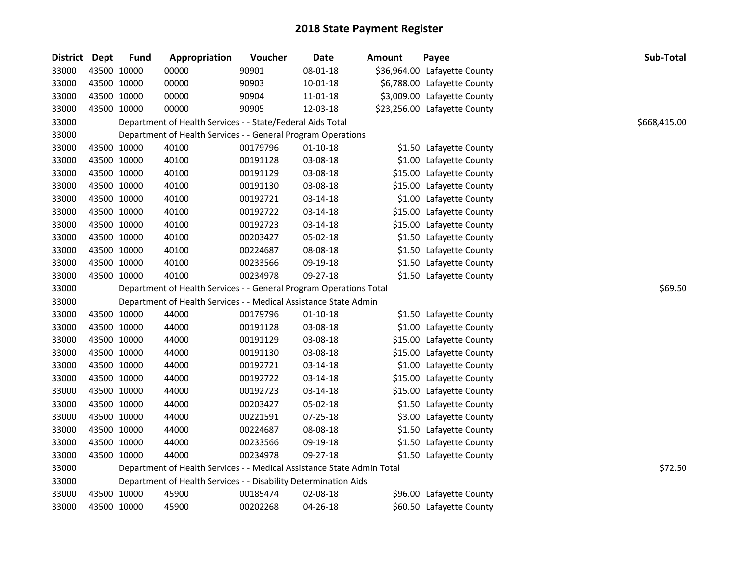| <b>District</b> | Dept        | <b>Fund</b> | Appropriation                                                          | Voucher  | <b>Date</b>    | <b>Amount</b> | Payee                        | <b>Sub-Total</b> |
|-----------------|-------------|-------------|------------------------------------------------------------------------|----------|----------------|---------------|------------------------------|------------------|
| 33000           | 43500 10000 |             | 00000                                                                  | 90901    | 08-01-18       |               | \$36,964.00 Lafayette County |                  |
| 33000           | 43500 10000 |             | 00000                                                                  | 90903    | $10 - 01 - 18$ |               | \$6,788.00 Lafayette County  |                  |
| 33000           | 43500 10000 |             | 00000                                                                  | 90904    | 11-01-18       |               | \$3,009.00 Lafayette County  |                  |
| 33000           | 43500 10000 |             | 00000                                                                  | 90905    | 12-03-18       |               | \$23,256.00 Lafayette County |                  |
| 33000           |             |             | Department of Health Services - - State/Federal Aids Total             |          |                |               |                              | \$668,415.00     |
| 33000           |             |             | Department of Health Services - - General Program Operations           |          |                |               |                              |                  |
| 33000           |             | 43500 10000 | 40100                                                                  | 00179796 | $01 - 10 - 18$ |               | \$1.50 Lafayette County      |                  |
| 33000           | 43500 10000 |             | 40100                                                                  | 00191128 | 03-08-18       |               | \$1.00 Lafayette County      |                  |
| 33000           | 43500 10000 |             | 40100                                                                  | 00191129 | 03-08-18       |               | \$15.00 Lafayette County     |                  |
| 33000           | 43500 10000 |             | 40100                                                                  | 00191130 | 03-08-18       |               | \$15.00 Lafayette County     |                  |
| 33000           | 43500 10000 |             | 40100                                                                  | 00192721 | 03-14-18       |               | \$1.00 Lafayette County      |                  |
| 33000           | 43500 10000 |             | 40100                                                                  | 00192722 | 03-14-18       |               | \$15.00 Lafayette County     |                  |
| 33000           | 43500 10000 |             | 40100                                                                  | 00192723 | 03-14-18       |               | \$15.00 Lafayette County     |                  |
| 33000           | 43500 10000 |             | 40100                                                                  | 00203427 | 05-02-18       |               | \$1.50 Lafayette County      |                  |
| 33000           | 43500 10000 |             | 40100                                                                  | 00224687 | 08-08-18       |               | \$1.50 Lafayette County      |                  |
| 33000           |             | 43500 10000 | 40100                                                                  | 00233566 | 09-19-18       |               | \$1.50 Lafayette County      |                  |
| 33000           |             | 43500 10000 | 40100                                                                  | 00234978 | 09-27-18       |               | \$1.50 Lafayette County      |                  |
| 33000           |             |             | Department of Health Services - - General Program Operations Total     |          |                |               |                              | \$69.50          |
| 33000           |             |             | Department of Health Services - - Medical Assistance State Admin       |          |                |               |                              |                  |
| 33000           | 43500 10000 |             | 44000                                                                  | 00179796 | $01 - 10 - 18$ |               | \$1.50 Lafayette County      |                  |
| 33000           | 43500 10000 |             | 44000                                                                  | 00191128 | 03-08-18       |               | \$1.00 Lafayette County      |                  |
| 33000           | 43500 10000 |             | 44000                                                                  | 00191129 | 03-08-18       |               | \$15.00 Lafayette County     |                  |
| 33000           | 43500 10000 |             | 44000                                                                  | 00191130 | 03-08-18       |               | \$15.00 Lafayette County     |                  |
| 33000           | 43500 10000 |             | 44000                                                                  | 00192721 | 03-14-18       |               | \$1.00 Lafayette County      |                  |
| 33000           | 43500 10000 |             | 44000                                                                  | 00192722 | 03-14-18       |               | \$15.00 Lafayette County     |                  |
| 33000           | 43500 10000 |             | 44000                                                                  | 00192723 | 03-14-18       |               | \$15.00 Lafayette County     |                  |
| 33000           | 43500 10000 |             | 44000                                                                  | 00203427 | 05-02-18       |               | \$1.50 Lafayette County      |                  |
| 33000           | 43500 10000 |             | 44000                                                                  | 00221591 | 07-25-18       |               | \$3.00 Lafayette County      |                  |
| 33000           |             | 43500 10000 | 44000                                                                  | 00224687 | 08-08-18       |               | \$1.50 Lafayette County      |                  |
| 33000           |             | 43500 10000 | 44000                                                                  | 00233566 | 09-19-18       |               | \$1.50 Lafayette County      |                  |
| 33000           |             | 43500 10000 | 44000                                                                  | 00234978 | 09-27-18       |               | \$1.50 Lafayette County      |                  |
| 33000           |             |             | Department of Health Services - - Medical Assistance State Admin Total |          |                |               |                              | \$72.50          |
| 33000           |             |             | Department of Health Services - - Disability Determination Aids        |          |                |               |                              |                  |
| 33000           | 43500 10000 |             | 45900                                                                  | 00185474 | 02-08-18       |               | \$96.00 Lafayette County     |                  |
| 33000           |             | 43500 10000 | 45900                                                                  | 00202268 | 04-26-18       |               | \$60.50 Lafayette County     |                  |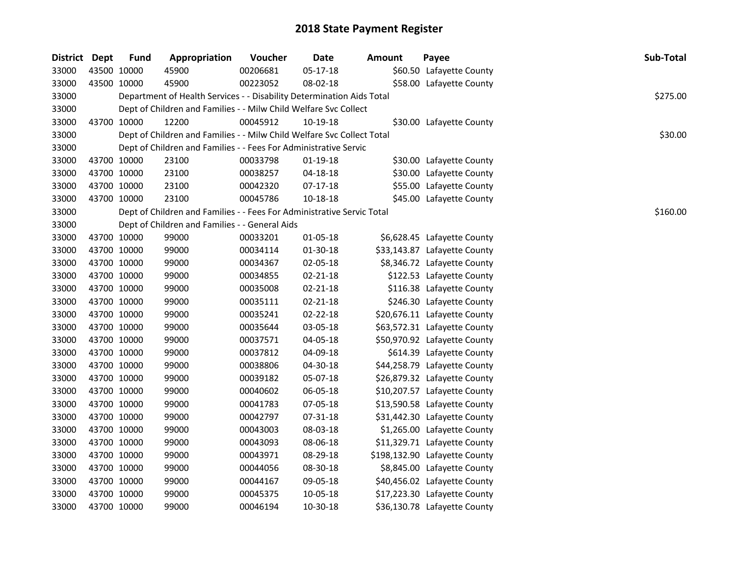| <b>Fund</b>   | Appropriation                                                                                                                                                                                                                                                                                                                                                                                                                                   | Voucher  | <b>Date</b> | <b>Amount</b>                                  | Payee                                                                                                                                                                                                                                                                                                                                                             | Sub-Total                                                                                                                                                                                                                                                                                                                                                                                                                                                                                                                                                                                                                                                                                                                                                                                                                                                                                                         |
|---------------|-------------------------------------------------------------------------------------------------------------------------------------------------------------------------------------------------------------------------------------------------------------------------------------------------------------------------------------------------------------------------------------------------------------------------------------------------|----------|-------------|------------------------------------------------|-------------------------------------------------------------------------------------------------------------------------------------------------------------------------------------------------------------------------------------------------------------------------------------------------------------------------------------------------------------------|-------------------------------------------------------------------------------------------------------------------------------------------------------------------------------------------------------------------------------------------------------------------------------------------------------------------------------------------------------------------------------------------------------------------------------------------------------------------------------------------------------------------------------------------------------------------------------------------------------------------------------------------------------------------------------------------------------------------------------------------------------------------------------------------------------------------------------------------------------------------------------------------------------------------|
|               | 45900                                                                                                                                                                                                                                                                                                                                                                                                                                           | 00206681 | 05-17-18    |                                                |                                                                                                                                                                                                                                                                                                                                                                   |                                                                                                                                                                                                                                                                                                                                                                                                                                                                                                                                                                                                                                                                                                                                                                                                                                                                                                                   |
|               | 45900                                                                                                                                                                                                                                                                                                                                                                                                                                           | 00223052 | 08-02-18    |                                                |                                                                                                                                                                                                                                                                                                                                                                   |                                                                                                                                                                                                                                                                                                                                                                                                                                                                                                                                                                                                                                                                                                                                                                                                                                                                                                                   |
|               |                                                                                                                                                                                                                                                                                                                                                                                                                                                 |          |             |                                                |                                                                                                                                                                                                                                                                                                                                                                   | \$275.00                                                                                                                                                                                                                                                                                                                                                                                                                                                                                                                                                                                                                                                                                                                                                                                                                                                                                                          |
|               |                                                                                                                                                                                                                                                                                                                                                                                                                                                 |          |             |                                                |                                                                                                                                                                                                                                                                                                                                                                   |                                                                                                                                                                                                                                                                                                                                                                                                                                                                                                                                                                                                                                                                                                                                                                                                                                                                                                                   |
|               | 12200                                                                                                                                                                                                                                                                                                                                                                                                                                           | 00045912 | 10-19-18    |                                                |                                                                                                                                                                                                                                                                                                                                                                   |                                                                                                                                                                                                                                                                                                                                                                                                                                                                                                                                                                                                                                                                                                                                                                                                                                                                                                                   |
|               |                                                                                                                                                                                                                                                                                                                                                                                                                                                 |          |             |                                                |                                                                                                                                                                                                                                                                                                                                                                   | \$30.00                                                                                                                                                                                                                                                                                                                                                                                                                                                                                                                                                                                                                                                                                                                                                                                                                                                                                                           |
|               |                                                                                                                                                                                                                                                                                                                                                                                                                                                 |          |             |                                                |                                                                                                                                                                                                                                                                                                                                                                   |                                                                                                                                                                                                                                                                                                                                                                                                                                                                                                                                                                                                                                                                                                                                                                                                                                                                                                                   |
|               | 23100                                                                                                                                                                                                                                                                                                                                                                                                                                           | 00033798 | $01-19-18$  |                                                |                                                                                                                                                                                                                                                                                                                                                                   |                                                                                                                                                                                                                                                                                                                                                                                                                                                                                                                                                                                                                                                                                                                                                                                                                                                                                                                   |
|               | 23100                                                                                                                                                                                                                                                                                                                                                                                                                                           | 00038257 | 04-18-18    |                                                |                                                                                                                                                                                                                                                                                                                                                                   |                                                                                                                                                                                                                                                                                                                                                                                                                                                                                                                                                                                                                                                                                                                                                                                                                                                                                                                   |
|               | 23100                                                                                                                                                                                                                                                                                                                                                                                                                                           | 00042320 | $07-17-18$  |                                                |                                                                                                                                                                                                                                                                                                                                                                   |                                                                                                                                                                                                                                                                                                                                                                                                                                                                                                                                                                                                                                                                                                                                                                                                                                                                                                                   |
|               | 23100                                                                                                                                                                                                                                                                                                                                                                                                                                           | 00045786 | 10-18-18    |                                                |                                                                                                                                                                                                                                                                                                                                                                   |                                                                                                                                                                                                                                                                                                                                                                                                                                                                                                                                                                                                                                                                                                                                                                                                                                                                                                                   |
|               |                                                                                                                                                                                                                                                                                                                                                                                                                                                 |          |             |                                                |                                                                                                                                                                                                                                                                                                                                                                   | \$160.00                                                                                                                                                                                                                                                                                                                                                                                                                                                                                                                                                                                                                                                                                                                                                                                                                                                                                                          |
|               |                                                                                                                                                                                                                                                                                                                                                                                                                                                 |          |             |                                                |                                                                                                                                                                                                                                                                                                                                                                   |                                                                                                                                                                                                                                                                                                                                                                                                                                                                                                                                                                                                                                                                                                                                                                                                                                                                                                                   |
|               | 99000                                                                                                                                                                                                                                                                                                                                                                                                                                           | 00033201 | 01-05-18    |                                                |                                                                                                                                                                                                                                                                                                                                                                   |                                                                                                                                                                                                                                                                                                                                                                                                                                                                                                                                                                                                                                                                                                                                                                                                                                                                                                                   |
|               | 99000                                                                                                                                                                                                                                                                                                                                                                                                                                           | 00034114 | 01-30-18    |                                                |                                                                                                                                                                                                                                                                                                                                                                   |                                                                                                                                                                                                                                                                                                                                                                                                                                                                                                                                                                                                                                                                                                                                                                                                                                                                                                                   |
|               | 99000                                                                                                                                                                                                                                                                                                                                                                                                                                           | 00034367 | 02-05-18    |                                                |                                                                                                                                                                                                                                                                                                                                                                   |                                                                                                                                                                                                                                                                                                                                                                                                                                                                                                                                                                                                                                                                                                                                                                                                                                                                                                                   |
|               | 99000                                                                                                                                                                                                                                                                                                                                                                                                                                           | 00034855 | 02-21-18    |                                                |                                                                                                                                                                                                                                                                                                                                                                   |                                                                                                                                                                                                                                                                                                                                                                                                                                                                                                                                                                                                                                                                                                                                                                                                                                                                                                                   |
|               | 99000                                                                                                                                                                                                                                                                                                                                                                                                                                           | 00035008 | 02-21-18    |                                                |                                                                                                                                                                                                                                                                                                                                                                   |                                                                                                                                                                                                                                                                                                                                                                                                                                                                                                                                                                                                                                                                                                                                                                                                                                                                                                                   |
|               | 99000                                                                                                                                                                                                                                                                                                                                                                                                                                           | 00035111 | 02-21-18    |                                                |                                                                                                                                                                                                                                                                                                                                                                   |                                                                                                                                                                                                                                                                                                                                                                                                                                                                                                                                                                                                                                                                                                                                                                                                                                                                                                                   |
|               | 99000                                                                                                                                                                                                                                                                                                                                                                                                                                           | 00035241 | 02-22-18    |                                                |                                                                                                                                                                                                                                                                                                                                                                   |                                                                                                                                                                                                                                                                                                                                                                                                                                                                                                                                                                                                                                                                                                                                                                                                                                                                                                                   |
|               | 99000                                                                                                                                                                                                                                                                                                                                                                                                                                           | 00035644 | 03-05-18    |                                                |                                                                                                                                                                                                                                                                                                                                                                   |                                                                                                                                                                                                                                                                                                                                                                                                                                                                                                                                                                                                                                                                                                                                                                                                                                                                                                                   |
|               | 99000                                                                                                                                                                                                                                                                                                                                                                                                                                           | 00037571 | 04-05-18    |                                                |                                                                                                                                                                                                                                                                                                                                                                   |                                                                                                                                                                                                                                                                                                                                                                                                                                                                                                                                                                                                                                                                                                                                                                                                                                                                                                                   |
|               | 99000                                                                                                                                                                                                                                                                                                                                                                                                                                           | 00037812 | 04-09-18    |                                                |                                                                                                                                                                                                                                                                                                                                                                   |                                                                                                                                                                                                                                                                                                                                                                                                                                                                                                                                                                                                                                                                                                                                                                                                                                                                                                                   |
|               | 99000                                                                                                                                                                                                                                                                                                                                                                                                                                           | 00038806 | 04-30-18    |                                                |                                                                                                                                                                                                                                                                                                                                                                   |                                                                                                                                                                                                                                                                                                                                                                                                                                                                                                                                                                                                                                                                                                                                                                                                                                                                                                                   |
|               | 99000                                                                                                                                                                                                                                                                                                                                                                                                                                           | 00039182 | 05-07-18    |                                                |                                                                                                                                                                                                                                                                                                                                                                   |                                                                                                                                                                                                                                                                                                                                                                                                                                                                                                                                                                                                                                                                                                                                                                                                                                                                                                                   |
|               | 99000                                                                                                                                                                                                                                                                                                                                                                                                                                           | 00040602 | 06-05-18    |                                                |                                                                                                                                                                                                                                                                                                                                                                   |                                                                                                                                                                                                                                                                                                                                                                                                                                                                                                                                                                                                                                                                                                                                                                                                                                                                                                                   |
|               | 99000                                                                                                                                                                                                                                                                                                                                                                                                                                           | 00041783 | 07-05-18    |                                                |                                                                                                                                                                                                                                                                                                                                                                   |                                                                                                                                                                                                                                                                                                                                                                                                                                                                                                                                                                                                                                                                                                                                                                                                                                                                                                                   |
|               | 99000                                                                                                                                                                                                                                                                                                                                                                                                                                           | 00042797 | 07-31-18    |                                                |                                                                                                                                                                                                                                                                                                                                                                   |                                                                                                                                                                                                                                                                                                                                                                                                                                                                                                                                                                                                                                                                                                                                                                                                                                                                                                                   |
|               | 99000                                                                                                                                                                                                                                                                                                                                                                                                                                           | 00043003 | 08-03-18    |                                                |                                                                                                                                                                                                                                                                                                                                                                   |                                                                                                                                                                                                                                                                                                                                                                                                                                                                                                                                                                                                                                                                                                                                                                                                                                                                                                                   |
|               | 99000                                                                                                                                                                                                                                                                                                                                                                                                                                           | 00043093 | 08-06-18    |                                                |                                                                                                                                                                                                                                                                                                                                                                   |                                                                                                                                                                                                                                                                                                                                                                                                                                                                                                                                                                                                                                                                                                                                                                                                                                                                                                                   |
|               | 99000                                                                                                                                                                                                                                                                                                                                                                                                                                           | 00043971 | 08-29-18    |                                                |                                                                                                                                                                                                                                                                                                                                                                   |                                                                                                                                                                                                                                                                                                                                                                                                                                                                                                                                                                                                                                                                                                                                                                                                                                                                                                                   |
|               | 99000                                                                                                                                                                                                                                                                                                                                                                                                                                           | 00044056 | 08-30-18    |                                                |                                                                                                                                                                                                                                                                                                                                                                   |                                                                                                                                                                                                                                                                                                                                                                                                                                                                                                                                                                                                                                                                                                                                                                                                                                                                                                                   |
|               | 99000                                                                                                                                                                                                                                                                                                                                                                                                                                           | 00044167 | 09-05-18    |                                                |                                                                                                                                                                                                                                                                                                                                                                   |                                                                                                                                                                                                                                                                                                                                                                                                                                                                                                                                                                                                                                                                                                                                                                                                                                                                                                                   |
|               | 99000                                                                                                                                                                                                                                                                                                                                                                                                                                           | 00045375 | 10-05-18    |                                                |                                                                                                                                                                                                                                                                                                                                                                   |                                                                                                                                                                                                                                                                                                                                                                                                                                                                                                                                                                                                                                                                                                                                                                                                                                                                                                                   |
|               | 99000                                                                                                                                                                                                                                                                                                                                                                                                                                           | 00046194 | 10-30-18    |                                                |                                                                                                                                                                                                                                                                                                                                                                   |                                                                                                                                                                                                                                                                                                                                                                                                                                                                                                                                                                                                                                                                                                                                                                                                                                                                                                                   |
| District Dept | 43500 10000<br>43500 10000<br>43700 10000<br>43700 10000<br>43700 10000<br>43700 10000<br>43700 10000<br>43700 10000<br>43700 10000<br>43700 10000<br>43700 10000<br>43700 10000<br>43700 10000<br>43700 10000<br>43700 10000<br>43700 10000<br>43700 10000<br>43700 10000<br>43700 10000<br>43700 10000<br>43700 10000<br>43700 10000<br>43700 10000<br>43700 10000<br>43700 10000<br>43700 10000<br>43700 10000<br>43700 10000<br>43700 10000 |          |             | Dept of Children and Families - - General Aids | Department of Health Services - - Disability Determination Aids Total<br>Dept of Children and Families - - Milw Child Welfare Svc Collect<br>Dept of Children and Families - - Milw Child Welfare Svc Collect Total<br>Dept of Children and Families - - Fees For Administrative Servic<br>Dept of Children and Families - - Fees For Administrative Servic Total | \$60.50 Lafayette County<br>\$58.00 Lafayette County<br>\$30.00 Lafayette County<br>\$30.00 Lafayette County<br>\$30.00 Lafayette County<br>\$55.00 Lafayette County<br>\$45.00 Lafayette County<br>\$6,628.45 Lafayette County<br>\$33,143.87 Lafayette County<br>\$8,346.72 Lafayette County<br>\$122.53 Lafayette County<br>\$116.38 Lafayette County<br>\$246.30 Lafayette County<br>\$20,676.11 Lafayette County<br>\$63,572.31 Lafayette County<br>\$50,970.92 Lafayette County<br>\$614.39 Lafayette County<br>\$44,258.79 Lafayette County<br>\$26,879.32 Lafayette County<br>\$10,207.57 Lafayette County<br>\$13,590.58 Lafayette County<br>\$31,442.30 Lafayette County<br>\$1,265.00 Lafayette County<br>\$11,329.71 Lafayette County<br>\$198,132.90 Lafayette County<br>\$8,845.00 Lafayette County<br>\$40,456.02 Lafayette County<br>\$17,223.30 Lafayette County<br>\$36,130.78 Lafayette County |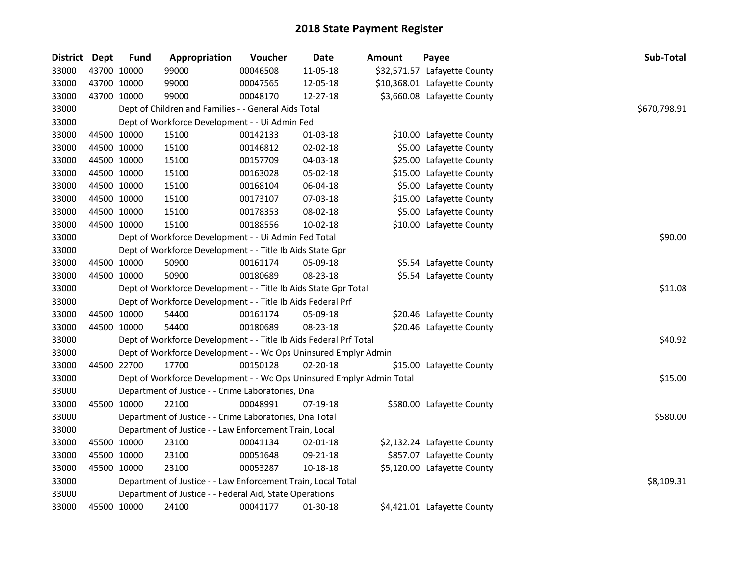| District Dept |             | <b>Fund</b> | Appropriation                                                         | Voucher  | <b>Date</b> | Amount | Payee                        | Sub-Total    |
|---------------|-------------|-------------|-----------------------------------------------------------------------|----------|-------------|--------|------------------------------|--------------|
| 33000         | 43700 10000 |             | 99000                                                                 | 00046508 | 11-05-18    |        | \$32,571.57 Lafayette County |              |
| 33000         | 43700 10000 |             | 99000                                                                 | 00047565 | 12-05-18    |        | \$10,368.01 Lafayette County |              |
| 33000         | 43700 10000 |             | 99000                                                                 | 00048170 | 12-27-18    |        | \$3,660.08 Lafayette County  |              |
| 33000         |             |             | Dept of Children and Families - - General Aids Total                  |          |             |        |                              | \$670,798.91 |
| 33000         |             |             | Dept of Workforce Development - - Ui Admin Fed                        |          |             |        |                              |              |
| 33000         | 44500 10000 |             | 15100                                                                 | 00142133 | 01-03-18    |        | \$10.00 Lafayette County     |              |
| 33000         | 44500 10000 |             | 15100                                                                 | 00146812 | 02-02-18    |        | \$5.00 Lafayette County      |              |
| 33000         | 44500 10000 |             | 15100                                                                 | 00157709 | 04-03-18    |        | \$25.00 Lafayette County     |              |
| 33000         | 44500 10000 |             | 15100                                                                 | 00163028 | 05-02-18    |        | \$15.00 Lafayette County     |              |
| 33000         | 44500 10000 |             | 15100                                                                 | 00168104 | 06-04-18    |        | \$5.00 Lafayette County      |              |
| 33000         | 44500 10000 |             | 15100                                                                 | 00173107 | 07-03-18    |        | \$15.00 Lafayette County     |              |
| 33000         | 44500 10000 |             | 15100                                                                 | 00178353 | 08-02-18    |        | \$5.00 Lafayette County      |              |
| 33000         | 44500 10000 |             | 15100                                                                 | 00188556 | 10-02-18    |        | \$10.00 Lafayette County     |              |
| 33000         |             |             | Dept of Workforce Development - - Ui Admin Fed Total                  |          |             |        |                              | \$90.00      |
| 33000         |             |             | Dept of Workforce Development - - Title Ib Aids State Gpr             |          |             |        |                              |              |
| 33000         | 44500 10000 |             | 50900                                                                 | 00161174 | 05-09-18    |        | \$5.54 Lafayette County      |              |
| 33000         | 44500 10000 |             | 50900                                                                 | 00180689 | 08-23-18    |        | \$5.54 Lafayette County      |              |
| 33000         |             |             | Dept of Workforce Development - - Title Ib Aids State Gpr Total       |          |             |        |                              | \$11.08      |
| 33000         |             |             | Dept of Workforce Development - - Title Ib Aids Federal Prf           |          |             |        |                              |              |
| 33000         | 44500 10000 |             | 54400                                                                 | 00161174 | 05-09-18    |        | \$20.46 Lafayette County     |              |
| 33000         | 44500 10000 |             | 54400                                                                 | 00180689 | 08-23-18    |        | \$20.46 Lafayette County     |              |
| 33000         |             |             | Dept of Workforce Development - - Title Ib Aids Federal Prf Total     |          |             |        |                              | \$40.92      |
| 33000         |             |             | Dept of Workforce Development - - Wc Ops Uninsured Emplyr Admin       |          |             |        |                              |              |
| 33000         | 44500 22700 |             | 17700                                                                 | 00150128 | 02-20-18    |        | \$15.00 Lafayette County     |              |
| 33000         |             |             | Dept of Workforce Development - - Wc Ops Uninsured Emplyr Admin Total |          |             |        |                              | \$15.00      |
| 33000         |             |             | Department of Justice - - Crime Laboratories, Dna                     |          |             |        |                              |              |
| 33000         | 45500 10000 |             | 22100                                                                 | 00048991 | 07-19-18    |        | \$580.00 Lafayette County    |              |
| 33000         |             |             | Department of Justice - - Crime Laboratories, Dna Total               |          |             |        |                              | \$580.00     |
| 33000         |             |             | Department of Justice - - Law Enforcement Train, Local                |          |             |        |                              |              |
| 33000         | 45500 10000 |             | 23100                                                                 | 00041134 | 02-01-18    |        | \$2,132.24 Lafayette County  |              |
| 33000         | 45500 10000 |             | 23100                                                                 | 00051648 | 09-21-18    |        | \$857.07 Lafayette County    |              |
| 33000         | 45500 10000 |             | 23100                                                                 | 00053287 | 10-18-18    |        | \$5,120.00 Lafayette County  |              |
| 33000         |             |             | Department of Justice - - Law Enforcement Train, Local Total          |          |             |        |                              | \$8,109.31   |
| 33000         |             |             | Department of Justice - - Federal Aid, State Operations               |          |             |        |                              |              |
| 33000         | 45500 10000 |             | 24100                                                                 | 00041177 | 01-30-18    |        | \$4,421.01 Lafayette County  |              |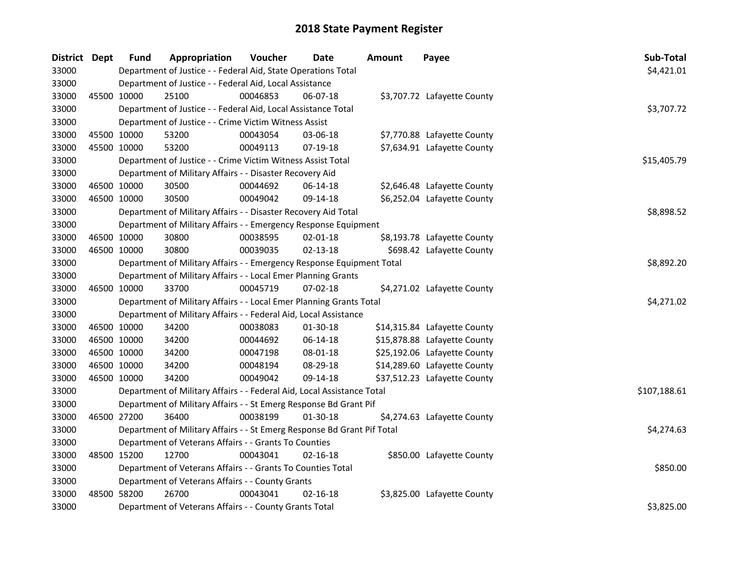| District Dept |             | <b>Fund</b> | Appropriation                                                           | Voucher  | <b>Date</b>    | <b>Amount</b> | Payee                        | Sub-Total    |
|---------------|-------------|-------------|-------------------------------------------------------------------------|----------|----------------|---------------|------------------------------|--------------|
| 33000         |             |             | Department of Justice - - Federal Aid, State Operations Total           |          |                |               |                              | \$4,421.01   |
| 33000         |             |             | Department of Justice - - Federal Aid, Local Assistance                 |          |                |               |                              |              |
| 33000         | 45500 10000 |             | 25100                                                                   | 00046853 | 06-07-18       |               | \$3,707.72 Lafayette County  |              |
| 33000         |             |             | Department of Justice - - Federal Aid, Local Assistance Total           |          |                |               |                              | \$3,707.72   |
| 33000         |             |             | Department of Justice - - Crime Victim Witness Assist                   |          |                |               |                              |              |
| 33000         | 45500 10000 |             | 53200                                                                   | 00043054 | 03-06-18       |               | \$7,770.88 Lafayette County  |              |
| 33000         | 45500 10000 |             | 53200                                                                   | 00049113 | 07-19-18       |               | \$7,634.91 Lafayette County  |              |
| 33000         |             |             | Department of Justice - - Crime Victim Witness Assist Total             |          |                |               |                              | \$15,405.79  |
| 33000         |             |             | Department of Military Affairs - - Disaster Recovery Aid                |          |                |               |                              |              |
| 33000         |             | 46500 10000 | 30500                                                                   | 00044692 | 06-14-18       |               | \$2,646.48 Lafayette County  |              |
| 33000         | 46500 10000 |             | 30500                                                                   | 00049042 | 09-14-18       |               | \$6,252.04 Lafayette County  |              |
| 33000         |             |             | Department of Military Affairs - - Disaster Recovery Aid Total          |          |                |               |                              | \$8,898.52   |
| 33000         |             |             | Department of Military Affairs - - Emergency Response Equipment         |          |                |               |                              |              |
| 33000         | 46500 10000 |             | 30800                                                                   | 00038595 | $02 - 01 - 18$ |               | \$8,193.78 Lafayette County  |              |
| 33000         | 46500 10000 |             | 30800                                                                   | 00039035 | $02 - 13 - 18$ |               | \$698.42 Lafayette County    |              |
| 33000         |             |             | Department of Military Affairs - - Emergency Response Equipment Total   |          |                |               |                              | \$8,892.20   |
| 33000         |             |             | Department of Military Affairs - - Local Emer Planning Grants           |          |                |               |                              |              |
| 33000         | 46500 10000 |             | 33700                                                                   | 00045719 | 07-02-18       |               | \$4,271.02 Lafayette County  |              |
| 33000         |             |             | Department of Military Affairs - - Local Emer Planning Grants Total     |          |                |               |                              | \$4,271.02   |
| 33000         |             |             | Department of Military Affairs - - Federal Aid, Local Assistance        |          |                |               |                              |              |
| 33000         | 46500 10000 |             | 34200                                                                   | 00038083 | 01-30-18       |               | \$14,315.84 Lafayette County |              |
| 33000         | 46500 10000 |             | 34200                                                                   | 00044692 | 06-14-18       |               | \$15,878.88 Lafayette County |              |
| 33000         | 46500 10000 |             | 34200                                                                   | 00047198 | 08-01-18       |               | \$25,192.06 Lafayette County |              |
| 33000         | 46500 10000 |             | 34200                                                                   | 00048194 | 08-29-18       |               | \$14,289.60 Lafayette County |              |
| 33000         | 46500 10000 |             | 34200                                                                   | 00049042 | 09-14-18       |               | \$37,512.23 Lafayette County |              |
| 33000         |             |             | Department of Military Affairs - - Federal Aid, Local Assistance Total  |          |                |               |                              | \$107,188.61 |
| 33000         |             |             | Department of Military Affairs - - St Emerg Response Bd Grant Pif       |          |                |               |                              |              |
| 33000         | 46500 27200 |             | 36400                                                                   | 00038199 | 01-30-18       |               | \$4,274.63 Lafayette County  |              |
| 33000         |             |             | Department of Military Affairs - - St Emerg Response Bd Grant Pif Total |          |                |               |                              | \$4,274.63   |
| 33000         |             |             | Department of Veterans Affairs - - Grants To Counties                   |          |                |               |                              |              |
| 33000         | 48500 15200 |             | 12700                                                                   | 00043041 | $02 - 16 - 18$ |               | \$850.00 Lafayette County    |              |
| 33000         |             |             | Department of Veterans Affairs - - Grants To Counties Total             |          |                |               |                              | \$850.00     |
| 33000         |             |             | Department of Veterans Affairs - - County Grants                        |          |                |               |                              |              |
| 33000         | 48500 58200 |             | 26700                                                                   | 00043041 | $02 - 16 - 18$ |               | \$3,825.00 Lafayette County  |              |
| 33000         |             |             | Department of Veterans Affairs - - County Grants Total                  |          |                |               |                              | \$3,825.00   |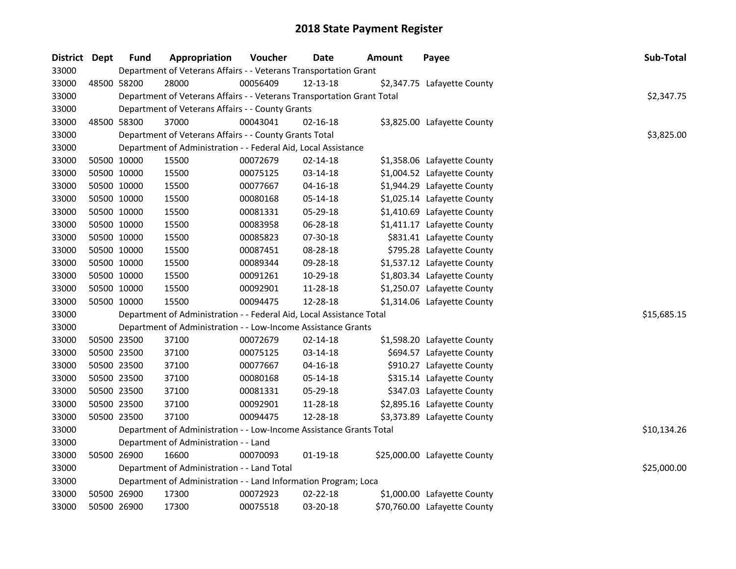| District Dept | <b>Fund</b> | Appropriation                                                          | Voucher  | Date           | <b>Amount</b> | Payee                        | <b>Sub-Total</b> |
|---------------|-------------|------------------------------------------------------------------------|----------|----------------|---------------|------------------------------|------------------|
| 33000         |             | Department of Veterans Affairs - - Veterans Transportation Grant       |          |                |               |                              |                  |
| 33000         | 48500 58200 | 28000                                                                  | 00056409 | 12-13-18       |               | \$2,347.75 Lafayette County  |                  |
| 33000         |             | Department of Veterans Affairs - - Veterans Transportation Grant Total |          |                |               |                              | \$2,347.75       |
| 33000         |             | Department of Veterans Affairs - - County Grants                       |          |                |               |                              |                  |
| 33000         | 48500 58300 | 37000                                                                  | 00043041 | 02-16-18       |               | \$3,825.00 Lafayette County  |                  |
| 33000         |             | Department of Veterans Affairs - - County Grants Total                 |          |                |               |                              | \$3,825.00       |
| 33000         |             | Department of Administration - - Federal Aid, Local Assistance         |          |                |               |                              |                  |
| 33000         | 50500 10000 | 15500                                                                  | 00072679 | $02 - 14 - 18$ |               | \$1,358.06 Lafayette County  |                  |
| 33000         | 50500 10000 | 15500                                                                  | 00075125 | 03-14-18       |               | \$1,004.52 Lafayette County  |                  |
| 33000         | 50500 10000 | 15500                                                                  | 00077667 | 04-16-18       |               | \$1,944.29 Lafayette County  |                  |
| 33000         | 50500 10000 | 15500                                                                  | 00080168 | 05-14-18       |               | \$1,025.14 Lafayette County  |                  |
| 33000         | 50500 10000 | 15500                                                                  | 00081331 | 05-29-18       |               | \$1,410.69 Lafayette County  |                  |
| 33000         | 50500 10000 | 15500                                                                  | 00083958 | 06-28-18       |               | \$1,411.17 Lafayette County  |                  |
| 33000         | 50500 10000 | 15500                                                                  | 00085823 | 07-30-18       |               | \$831.41 Lafayette County    |                  |
| 33000         | 50500 10000 | 15500                                                                  | 00087451 | 08-28-18       |               | \$795.28 Lafayette County    |                  |
| 33000         | 50500 10000 | 15500                                                                  | 00089344 | 09-28-18       |               | \$1,537.12 Lafayette County  |                  |
| 33000         | 50500 10000 | 15500                                                                  | 00091261 | 10-29-18       |               | \$1,803.34 Lafayette County  |                  |
| 33000         | 50500 10000 | 15500                                                                  | 00092901 | 11-28-18       |               | \$1,250.07 Lafayette County  |                  |
| 33000         | 50500 10000 | 15500                                                                  | 00094475 | 12-28-18       |               | \$1,314.06 Lafayette County  |                  |
| 33000         |             | Department of Administration - - Federal Aid, Local Assistance Total   |          |                |               |                              | \$15,685.15      |
| 33000         |             | Department of Administration - - Low-Income Assistance Grants          |          |                |               |                              |                  |
| 33000         | 50500 23500 | 37100                                                                  | 00072679 | $02 - 14 - 18$ |               | \$1,598.20 Lafayette County  |                  |
| 33000         | 50500 23500 | 37100                                                                  | 00075125 | 03-14-18       |               | \$694.57 Lafayette County    |                  |
| 33000         | 50500 23500 | 37100                                                                  | 00077667 | 04-16-18       |               | \$910.27 Lafayette County    |                  |
| 33000         | 50500 23500 | 37100                                                                  | 00080168 | 05-14-18       |               | \$315.14 Lafayette County    |                  |
| 33000         | 50500 23500 | 37100                                                                  | 00081331 | 05-29-18       |               | \$347.03 Lafayette County    |                  |
| 33000         | 50500 23500 | 37100                                                                  | 00092901 | 11-28-18       |               | \$2,895.16 Lafayette County  |                  |
| 33000         | 50500 23500 | 37100                                                                  | 00094475 | 12-28-18       |               | \$3,373.89 Lafayette County  |                  |
| 33000         |             | Department of Administration - - Low-Income Assistance Grants Total    |          |                |               |                              | \$10,134.26      |
| 33000         |             | Department of Administration - - Land                                  |          |                |               |                              |                  |
| 33000         | 50500 26900 | 16600                                                                  | 00070093 | $01-19-18$     |               | \$25,000.00 Lafayette County |                  |
| 33000         |             | Department of Administration - - Land Total                            |          |                |               |                              | \$25,000.00      |
| 33000         |             | Department of Administration - - Land Information Program; Loca        |          |                |               |                              |                  |
| 33000         | 50500 26900 | 17300                                                                  | 00072923 | 02-22-18       |               | \$1,000.00 Lafayette County  |                  |
| 33000         | 50500 26900 | 17300                                                                  | 00075518 | 03-20-18       |               | \$70,760.00 Lafayette County |                  |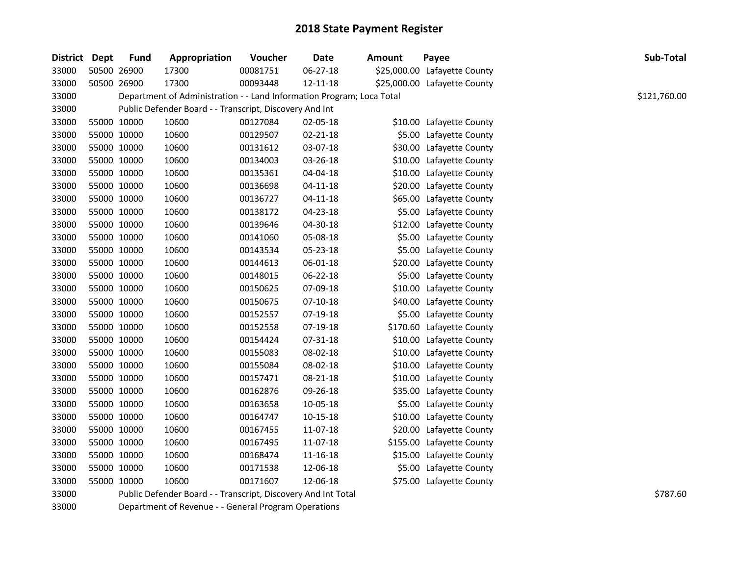| District | <b>Dept</b> | <b>Fund</b> | Appropriation                                                         | Voucher  | Date           | <b>Amount</b> | Payee                        | Sub-Total    |  |
|----------|-------------|-------------|-----------------------------------------------------------------------|----------|----------------|---------------|------------------------------|--------------|--|
| 33000    | 50500 26900 |             | 17300                                                                 | 00081751 | 06-27-18       |               | \$25,000.00 Lafayette County |              |  |
| 33000    | 50500 26900 |             | 17300                                                                 | 00093448 | 12-11-18       |               | \$25,000.00 Lafayette County |              |  |
| 33000    |             |             | Department of Administration - - Land Information Program; Loca Total |          |                |               |                              | \$121,760.00 |  |
| 33000    |             |             | Public Defender Board - - Transcript, Discovery And Int               |          |                |               |                              |              |  |
| 33000    | 55000 10000 |             | 10600                                                                 | 00127084 | 02-05-18       |               | \$10.00 Lafayette County     |              |  |
| 33000    | 55000 10000 |             | 10600                                                                 | 00129507 | 02-21-18       |               | \$5.00 Lafayette County      |              |  |
| 33000    | 55000 10000 |             | 10600                                                                 | 00131612 | 03-07-18       |               | \$30.00 Lafayette County     |              |  |
| 33000    | 55000 10000 |             | 10600                                                                 | 00134003 | 03-26-18       |               | \$10.00 Lafayette County     |              |  |
| 33000    | 55000 10000 |             | 10600                                                                 | 00135361 | 04-04-18       |               | \$10.00 Lafayette County     |              |  |
| 33000    | 55000 10000 |             | 10600                                                                 | 00136698 | $04 - 11 - 18$ |               | \$20.00 Lafayette County     |              |  |
| 33000    | 55000 10000 |             | 10600                                                                 | 00136727 | $04 - 11 - 18$ |               | \$65.00 Lafayette County     |              |  |
| 33000    | 55000 10000 |             | 10600                                                                 | 00138172 | 04-23-18       |               | \$5.00 Lafayette County      |              |  |
| 33000    | 55000 10000 |             | 10600                                                                 | 00139646 | 04-30-18       |               | \$12.00 Lafayette County     |              |  |
| 33000    | 55000 10000 |             | 10600                                                                 | 00141060 | 05-08-18       |               | \$5.00 Lafayette County      |              |  |
| 33000    | 55000 10000 |             | 10600                                                                 | 00143534 | 05-23-18       |               | \$5.00 Lafayette County      |              |  |
| 33000    | 55000 10000 |             | 10600                                                                 | 00144613 | 06-01-18       |               | \$20.00 Lafayette County     |              |  |
| 33000    | 55000 10000 |             | 10600                                                                 | 00148015 | 06-22-18       |               | \$5.00 Lafayette County      |              |  |
| 33000    | 55000 10000 |             | 10600                                                                 | 00150625 | 07-09-18       |               | \$10.00 Lafayette County     |              |  |
| 33000    | 55000 10000 |             | 10600                                                                 | 00150675 | $07-10-18$     |               | \$40.00 Lafayette County     |              |  |
| 33000    | 55000 10000 |             | 10600                                                                 | 00152557 | 07-19-18       |               | \$5.00 Lafayette County      |              |  |
| 33000    | 55000 10000 |             | 10600                                                                 | 00152558 | 07-19-18       |               | \$170.60 Lafayette County    |              |  |
| 33000    | 55000 10000 |             | 10600                                                                 | 00154424 | 07-31-18       |               | \$10.00 Lafayette County     |              |  |
| 33000    | 55000 10000 |             | 10600                                                                 | 00155083 | 08-02-18       |               | \$10.00 Lafayette County     |              |  |
| 33000    | 55000 10000 |             | 10600                                                                 | 00155084 | 08-02-18       |               | \$10.00 Lafayette County     |              |  |
| 33000    | 55000 10000 |             | 10600                                                                 | 00157471 | 08-21-18       |               | \$10.00 Lafayette County     |              |  |
| 33000    | 55000 10000 |             | 10600                                                                 | 00162876 | 09-26-18       |               | \$35.00 Lafayette County     |              |  |
| 33000    | 55000 10000 |             | 10600                                                                 | 00163658 | 10-05-18       |               | \$5.00 Lafayette County      |              |  |
| 33000    | 55000 10000 |             | 10600                                                                 | 00164747 | $10 - 15 - 18$ |               | \$10.00 Lafayette County     |              |  |
| 33000    | 55000 10000 |             | 10600                                                                 | 00167455 | 11-07-18       |               | \$20.00 Lafayette County     |              |  |
| 33000    | 55000 10000 |             | 10600                                                                 | 00167495 | 11-07-18       |               | \$155.00 Lafayette County    |              |  |
| 33000    | 55000 10000 |             | 10600                                                                 | 00168474 | 11-16-18       |               | \$15.00 Lafayette County     |              |  |
| 33000    | 55000 10000 |             | 10600                                                                 | 00171538 | 12-06-18       |               | \$5.00 Lafayette County      |              |  |
| 33000    | 55000 10000 |             | 10600                                                                 | 00171607 | 12-06-18       |               | \$75.00 Lafayette County     |              |  |
| 33000    |             |             | Public Defender Board - - Transcript, Discovery And Int Total         |          |                |               |                              | \$787.60     |  |
| 33000    |             |             | Department of Revenue - - General Program Operations                  |          |                |               |                              |              |  |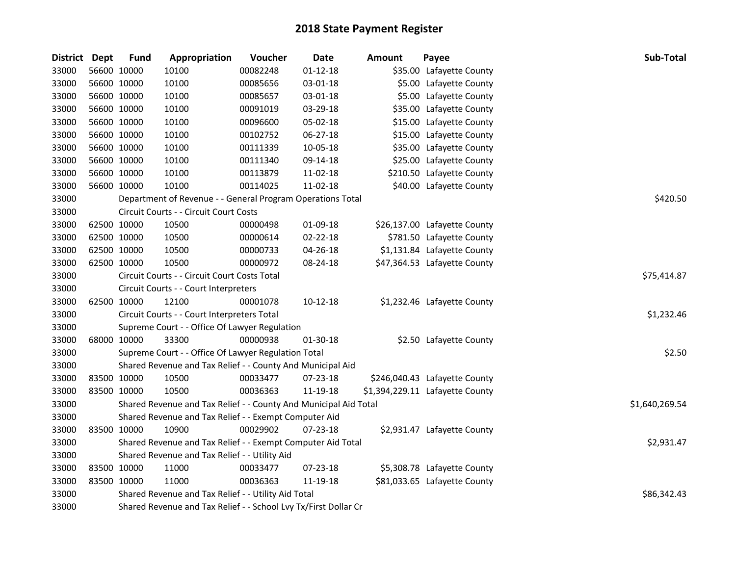| <b>District</b> | Dept | <b>Fund</b>                                   | Appropriation                                                    | Voucher     | <b>Date</b>    | <b>Amount</b> | Payee                           | Sub-Total      |  |
|-----------------|------|-----------------------------------------------|------------------------------------------------------------------|-------------|----------------|---------------|---------------------------------|----------------|--|
| 33000           |      | 56600 10000                                   | 10100                                                            | 00082248    | $01 - 12 - 18$ |               | \$35.00 Lafayette County        |                |  |
| 33000           |      | 56600 10000                                   | 10100                                                            | 00085656    | 03-01-18       |               | \$5.00 Lafayette County         |                |  |
| 33000           |      | 56600 10000                                   | 10100                                                            | 00085657    | 03-01-18       |               | \$5.00 Lafayette County         |                |  |
| 33000           |      | 56600 10000                                   | 10100                                                            | 00091019    | 03-29-18       |               | \$35.00 Lafayette County        |                |  |
| 33000           |      | 56600 10000                                   | 10100                                                            | 00096600    | 05-02-18       |               | \$15.00 Lafayette County        |                |  |
| 33000           |      | 56600 10000                                   | 10100                                                            | 00102752    | 06-27-18       |               | \$15.00 Lafayette County        |                |  |
| 33000           |      | 56600 10000                                   | 10100                                                            | 00111339    | 10-05-18       |               | \$35.00 Lafayette County        |                |  |
| 33000           |      | 56600 10000                                   | 10100                                                            | 00111340    | 09-14-18       |               | \$25.00 Lafayette County        |                |  |
| 33000           |      | 56600 10000                                   | 10100                                                            | 00113879    | 11-02-18       |               | \$210.50 Lafayette County       |                |  |
| 33000           |      | 56600 10000                                   | 10100                                                            | 00114025    | 11-02-18       |               | \$40.00 Lafayette County        |                |  |
| 33000           |      |                                               | Department of Revenue - - General Program Operations Total       |             | \$420.50       |               |                                 |                |  |
| 33000           |      |                                               | Circuit Courts - - Circuit Court Costs                           |             |                |               |                                 |                |  |
| 33000           |      | 62500 10000                                   | 10500                                                            | 00000498    | 01-09-18       |               | \$26,137.00 Lafayette County    |                |  |
| 33000           |      | 62500 10000                                   | 10500                                                            | 00000614    | 02-22-18       |               | \$781.50 Lafayette County       |                |  |
| 33000           |      | 62500 10000                                   | 10500                                                            | 00000733    | 04-26-18       |               | \$1,131.84 Lafayette County     |                |  |
| 33000           |      | 62500 10000                                   | 10500                                                            | 00000972    | 08-24-18       |               | \$47,364.53 Lafayette County    |                |  |
| 33000           |      |                                               | Circuit Courts - - Circuit Court Costs Total                     | \$75,414.87 |                |               |                                 |                |  |
| 33000           |      |                                               | Circuit Courts - - Court Interpreters                            |             |                |               |                                 |                |  |
| 33000           |      | 62500 10000                                   | 12100                                                            | 00001078    | $10-12-18$     |               | \$1,232.46 Lafayette County     |                |  |
| 33000           |      |                                               | Circuit Courts - - Court Interpreters Total                      |             |                |               |                                 | \$1,232.46     |  |
| 33000           |      |                                               | Supreme Court - - Office Of Lawyer Regulation                    |             |                |               |                                 |                |  |
| 33000           |      | 68000 10000                                   | 33300                                                            | 00000938    | 01-30-18       |               | \$2.50 Lafayette County         |                |  |
| 33000           |      |                                               | Supreme Court - - Office Of Lawyer Regulation Total              |             |                |               |                                 | \$2.50         |  |
| 33000           |      |                                               | Shared Revenue and Tax Relief - - County And Municipal Aid       |             |                |               |                                 |                |  |
| 33000           |      | 83500 10000                                   | 10500                                                            | 00033477    | 07-23-18       |               | \$246,040.43 Lafayette County   |                |  |
| 33000           |      | 83500 10000                                   | 10500                                                            | 00036363    | 11-19-18       |               | \$1,394,229.11 Lafayette County |                |  |
| 33000           |      |                                               | Shared Revenue and Tax Relief - - County And Municipal Aid Total |             |                |               |                                 | \$1,640,269.54 |  |
| 33000           |      |                                               | Shared Revenue and Tax Relief - - Exempt Computer Aid            |             |                |               |                                 |                |  |
| 33000           |      | 83500 10000                                   | 10900                                                            | 00029902    | 07-23-18       |               | \$2,931.47 Lafayette County     |                |  |
| 33000           |      |                                               | Shared Revenue and Tax Relief - - Exempt Computer Aid Total      |             |                |               |                                 | \$2,931.47     |  |
| 33000           |      | Shared Revenue and Tax Relief - - Utility Aid |                                                                  |             |                |               |                                 |                |  |
| 33000           |      | 83500 10000                                   | 11000                                                            | 00033477    | 07-23-18       |               | \$5,308.78 Lafayette County     |                |  |
| 33000           |      | 83500 10000                                   | 11000                                                            | 00036363    | 11-19-18       |               | \$81,033.65 Lafayette County    |                |  |
| 33000           |      |                                               | Shared Revenue and Tax Relief - - Utility Aid Total              |             |                |               |                                 | \$86,342.43    |  |
| 33000           |      |                                               | Shared Revenue and Tax Relief - - School Lvy Tx/First Dollar Cr  |             |                |               |                                 |                |  |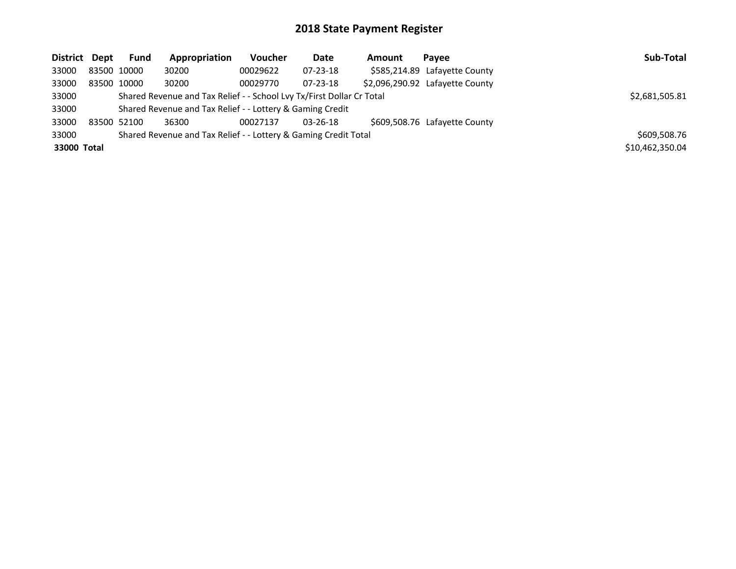| District Dept |             | <b>Fund</b> | Appropriation                                                         | <b>Voucher</b> | Date           | Amount | Pavee                           | Sub-Total       |
|---------------|-------------|-------------|-----------------------------------------------------------------------|----------------|----------------|--------|---------------------------------|-----------------|
| 33000         | 83500 10000 |             | 30200                                                                 | 00029622       | $07 - 23 - 18$ |        | \$585,214.89 Lafayette County   |                 |
| 33000         | 83500 10000 |             | 30200                                                                 | 00029770       | $07 - 23 - 18$ |        | \$2,096,290.92 Lafayette County |                 |
| 33000         |             |             | Shared Revenue and Tax Relief - - School Lvy Tx/First Dollar Cr Total |                |                |        |                                 | \$2,681,505.81  |
| 33000         |             |             | Shared Revenue and Tax Relief - - Lottery & Gaming Credit             |                |                |        |                                 |                 |
| 33000         | 83500 52100 |             | 36300                                                                 | 00027137       | $03 - 26 - 18$ |        | \$609,508.76 Lafayette County   |                 |
| 33000         |             |             | Shared Revenue and Tax Relief - - Lottery & Gaming Credit Total       |                |                |        |                                 | \$609,508.76    |
| 33000 Total   |             |             |                                                                       |                |                |        |                                 | \$10,462,350.04 |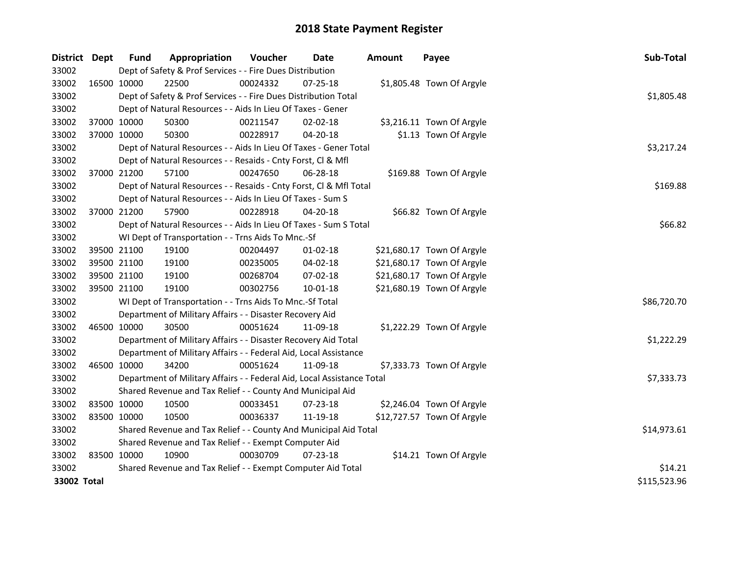| District Dept |             | <b>Fund</b>                                                      | Appropriation                                                          | Voucher  | <b>Date</b>    | <b>Amount</b> | Payee                      | Sub-Total    |  |
|---------------|-------------|------------------------------------------------------------------|------------------------------------------------------------------------|----------|----------------|---------------|----------------------------|--------------|--|
| 33002         |             |                                                                  | Dept of Safety & Prof Services - - Fire Dues Distribution              |          |                |               |                            |              |  |
| 33002         |             | 16500 10000                                                      | 22500                                                                  | 00024332 | 07-25-18       |               | \$1,805.48 Town Of Argyle  |              |  |
| 33002         |             |                                                                  | Dept of Safety & Prof Services - - Fire Dues Distribution Total        |          |                |               |                            | \$1,805.48   |  |
| 33002         |             |                                                                  | Dept of Natural Resources - - Aids In Lieu Of Taxes - Gener            |          |                |               |                            |              |  |
| 33002         |             | 37000 10000                                                      | 50300                                                                  | 00211547 | 02-02-18       |               | \$3,216.11 Town Of Argyle  |              |  |
| 33002         |             | 37000 10000                                                      | 50300                                                                  | 00228917 | $04 - 20 - 18$ |               | \$1.13 Town Of Argyle      |              |  |
| 33002         |             |                                                                  | Dept of Natural Resources - - Aids In Lieu Of Taxes - Gener Total      |          |                |               |                            | \$3,217.24   |  |
| 33002         |             |                                                                  | Dept of Natural Resources - - Resaids - Cnty Forst, Cl & Mfl           |          |                |               |                            |              |  |
| 33002         | 37000 21200 |                                                                  | 57100                                                                  | 00247650 | 06-28-18       |               | \$169.88 Town Of Argyle    |              |  |
| 33002         |             |                                                                  | Dept of Natural Resources - - Resaids - Cnty Forst, Cl & Mfl Total     | \$169.88 |                |               |                            |              |  |
| 33002         |             |                                                                  | Dept of Natural Resources - - Aids In Lieu Of Taxes - Sum S            |          |                |               |                            |              |  |
| 33002         |             | 37000 21200                                                      | 57900                                                                  | 00228918 | 04-20-18       |               | \$66.82 Town Of Argyle     |              |  |
| 33002         |             |                                                                  | Dept of Natural Resources - - Aids In Lieu Of Taxes - Sum S Total      |          |                |               |                            | \$66.82      |  |
| 33002         |             |                                                                  | WI Dept of Transportation - - Trns Aids To Mnc.-Sf                     |          |                |               |                            |              |  |
| 33002         |             | 39500 21100                                                      | 19100                                                                  | 00204497 | 01-02-18       |               | \$21,680.17 Town Of Argyle |              |  |
| 33002         |             | 39500 21100                                                      | 19100                                                                  | 00235005 | 04-02-18       |               | \$21,680.17 Town Of Argyle |              |  |
| 33002         |             | 39500 21100                                                      | 19100                                                                  | 00268704 | 07-02-18       |               | \$21,680.17 Town Of Argyle |              |  |
| 33002         | 39500 21100 |                                                                  | 19100                                                                  | 00302756 | 10-01-18       |               | \$21,680.19 Town Of Argyle |              |  |
| 33002         |             |                                                                  | WI Dept of Transportation - - Trns Aids To Mnc.-Sf Total               |          |                |               |                            | \$86,720.70  |  |
| 33002         |             |                                                                  | Department of Military Affairs - - Disaster Recovery Aid               |          |                |               |                            |              |  |
| 33002         |             | 46500 10000                                                      | 30500                                                                  | 00051624 | 11-09-18       |               | \$1,222.29 Town Of Argyle  |              |  |
| 33002         |             |                                                                  | Department of Military Affairs - - Disaster Recovery Aid Total         |          |                |               |                            | \$1,222.29   |  |
| 33002         |             |                                                                  | Department of Military Affairs - - Federal Aid, Local Assistance       |          |                |               |                            |              |  |
| 33002         |             | 46500 10000                                                      | 34200                                                                  | 00051624 | 11-09-18       |               | \$7,333.73 Town Of Argyle  |              |  |
| 33002         |             |                                                                  | Department of Military Affairs - - Federal Aid, Local Assistance Total |          |                |               |                            | \$7,333.73   |  |
| 33002         |             |                                                                  | Shared Revenue and Tax Relief - - County And Municipal Aid             |          |                |               |                            |              |  |
| 33002         | 83500 10000 |                                                                  | 10500                                                                  | 00033451 | 07-23-18       |               | \$2,246.04 Town Of Argyle  |              |  |
| 33002         | 83500 10000 |                                                                  | 10500                                                                  | 00036337 | 11-19-18       |               | \$12,727.57 Town Of Argyle |              |  |
| 33002         |             | Shared Revenue and Tax Relief - - County And Municipal Aid Total | \$14,973.61                                                            |          |                |               |                            |              |  |
| 33002         |             | Shared Revenue and Tax Relief - - Exempt Computer Aid            |                                                                        |          |                |               |                            |              |  |
| 33002         | 83500 10000 |                                                                  | 10900                                                                  | 00030709 | 07-23-18       |               | \$14.21 Town Of Argyle     |              |  |
| 33002         |             |                                                                  | Shared Revenue and Tax Relief - - Exempt Computer Aid Total            |          |                |               |                            | \$14.21      |  |
| 33002 Total   |             |                                                                  |                                                                        |          |                |               |                            | \$115,523.96 |  |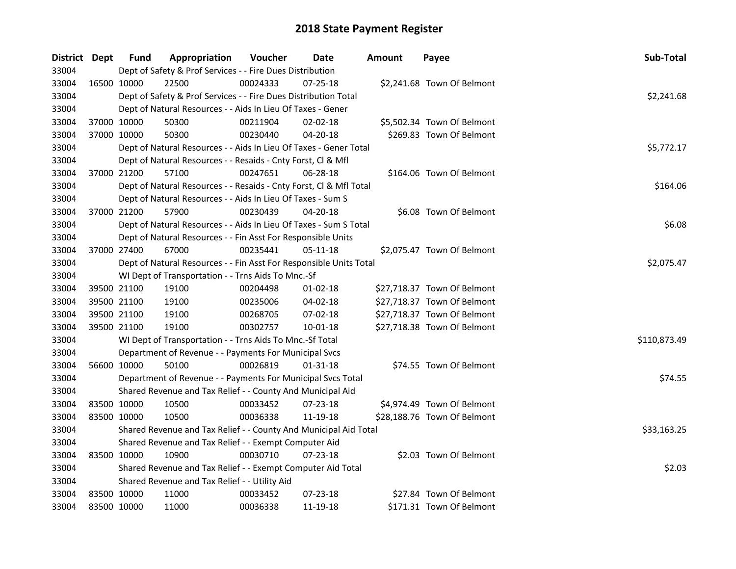| District Dept |             | <b>Fund</b> | Appropriation                                                      | Voucher    | Date           | Amount | Payee                       | Sub-Total    |
|---------------|-------------|-------------|--------------------------------------------------------------------|------------|----------------|--------|-----------------------------|--------------|
| 33004         |             |             | Dept of Safety & Prof Services - - Fire Dues Distribution          |            |                |        |                             |              |
| 33004         | 16500 10000 |             | 22500                                                              | 00024333   | $07 - 25 - 18$ |        | \$2,241.68 Town Of Belmont  |              |
| 33004         |             |             | Dept of Safety & Prof Services - - Fire Dues Distribution Total    |            |                |        |                             | \$2,241.68   |
| 33004         |             |             | Dept of Natural Resources - - Aids In Lieu Of Taxes - Gener        |            |                |        |                             |              |
| 33004         | 37000 10000 |             | 50300                                                              | 00211904   | $02 - 02 - 18$ |        | \$5,502.34 Town Of Belmont  |              |
| 33004         | 37000 10000 |             | 50300                                                              | 00230440   | $04 - 20 - 18$ |        | \$269.83 Town Of Belmont    |              |
| 33004         |             |             | Dept of Natural Resources - - Aids In Lieu Of Taxes - Gener Total  |            |                |        |                             | \$5,772.17   |
| 33004         |             |             | Dept of Natural Resources - - Resaids - Cnty Forst, Cl & Mfl       |            |                |        |                             |              |
| 33004         | 37000 21200 |             | 57100                                                              | 00247651   | 06-28-18       |        | \$164.06 Town Of Belmont    |              |
| 33004         |             |             | Dept of Natural Resources - - Resaids - Cnty Forst, CI & Mfl Total |            |                |        |                             | \$164.06     |
| 33004         |             |             | Dept of Natural Resources - - Aids In Lieu Of Taxes - Sum S        |            |                |        |                             |              |
| 33004         | 37000 21200 |             | 57900                                                              | 00230439   | 04-20-18       |        | \$6.08 Town Of Belmont      |              |
| 33004         |             |             | Dept of Natural Resources - - Aids In Lieu Of Taxes - Sum S Total  |            |                |        |                             | \$6.08       |
| 33004         |             |             | Dept of Natural Resources - - Fin Asst For Responsible Units       |            |                |        |                             |              |
| 33004         | 37000 27400 |             | 67000                                                              | 00235441   | 05-11-18       |        | \$2,075.47 Town Of Belmont  |              |
| 33004         |             |             | Dept of Natural Resources - - Fin Asst For Responsible Units Total | \$2,075.47 |                |        |                             |              |
| 33004         |             |             | WI Dept of Transportation - - Trns Aids To Mnc.-Sf                 |            |                |        |                             |              |
| 33004         | 39500 21100 |             | 19100                                                              | 00204498   | $01 - 02 - 18$ |        | \$27,718.37 Town Of Belmont |              |
| 33004         | 39500 21100 |             | 19100                                                              | 00235006   | 04-02-18       |        | \$27,718.37 Town Of Belmont |              |
| 33004         | 39500 21100 |             | 19100                                                              | 00268705   | 07-02-18       |        | \$27,718.37 Town Of Belmont |              |
| 33004         | 39500 21100 |             | 19100                                                              | 00302757   | $10 - 01 - 18$ |        | \$27,718.38 Town Of Belmont |              |
| 33004         |             |             | WI Dept of Transportation - - Trns Aids To Mnc.-Sf Total           |            |                |        |                             | \$110,873.49 |
| 33004         |             |             | Department of Revenue - - Payments For Municipal Svcs              |            |                |        |                             |              |
| 33004         | 56600 10000 |             | 50100                                                              | 00026819   | $01 - 31 - 18$ |        | \$74.55 Town Of Belmont     |              |
| 33004         |             |             | Department of Revenue - - Payments For Municipal Svcs Total        |            |                |        |                             | \$74.55      |
| 33004         |             |             | Shared Revenue and Tax Relief - - County And Municipal Aid         |            |                |        |                             |              |
| 33004         | 83500 10000 |             | 10500                                                              | 00033452   | 07-23-18       |        | \$4,974.49 Town Of Belmont  |              |
| 33004         | 83500 10000 |             | 10500                                                              | 00036338   | 11-19-18       |        | \$28,188.76 Town Of Belmont |              |
| 33004         |             |             | Shared Revenue and Tax Relief - - County And Municipal Aid Total   |            |                |        |                             | \$33,163.25  |
| 33004         |             |             | Shared Revenue and Tax Relief - - Exempt Computer Aid              |            |                |        |                             |              |
| 33004         |             | 83500 10000 | 10900                                                              | 00030710   | 07-23-18       |        | \$2.03 Town Of Belmont      |              |
| 33004         |             |             | Shared Revenue and Tax Relief - - Exempt Computer Aid Total        |            |                |        |                             | \$2.03       |
| 33004         |             |             | Shared Revenue and Tax Relief - - Utility Aid                      |            |                |        |                             |              |
| 33004         | 83500 10000 |             | 11000                                                              | 00033452   | 07-23-18       |        | \$27.84 Town Of Belmont     |              |
| 33004         | 83500 10000 |             | 11000                                                              | 00036338   | 11-19-18       |        | \$171.31 Town Of Belmont    |              |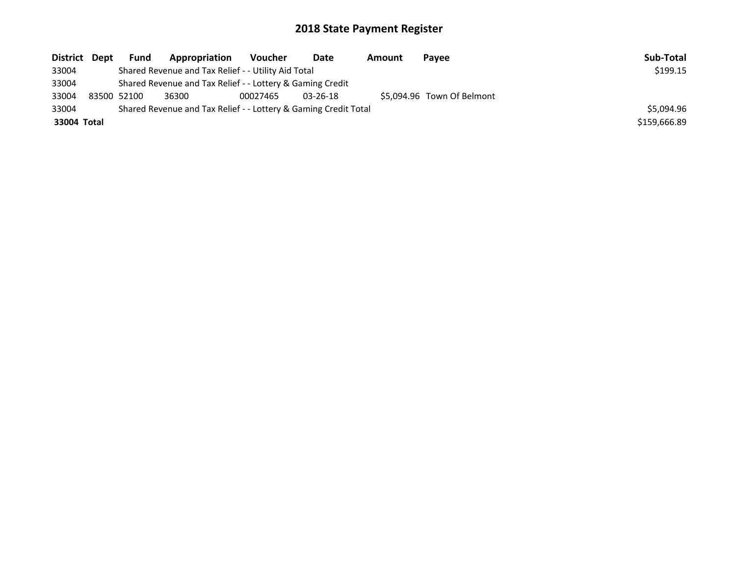| District Dept | <b>Fund</b>                                               | Appropriation                                                   | Voucher  | Date           | Amount | Payee                      | Sub-Total    |
|---------------|-----------------------------------------------------------|-----------------------------------------------------------------|----------|----------------|--------|----------------------------|--------------|
| 33004         |                                                           | Shared Revenue and Tax Relief - - Utility Aid Total             | \$199.15 |                |        |                            |              |
| 33004         | Shared Revenue and Tax Relief - - Lottery & Gaming Credit |                                                                 |          |                |        |                            |              |
| 33004         | 83500 52100                                               | 36300                                                           | 00027465 | $03 - 26 - 18$ |        | \$5.094.96 Town Of Belmont |              |
| 33004         |                                                           | Shared Revenue and Tax Relief - - Lottery & Gaming Credit Total |          |                |        |                            | \$5.094.96   |
| 33004 Total   |                                                           |                                                                 |          |                |        |                            | \$159,666.89 |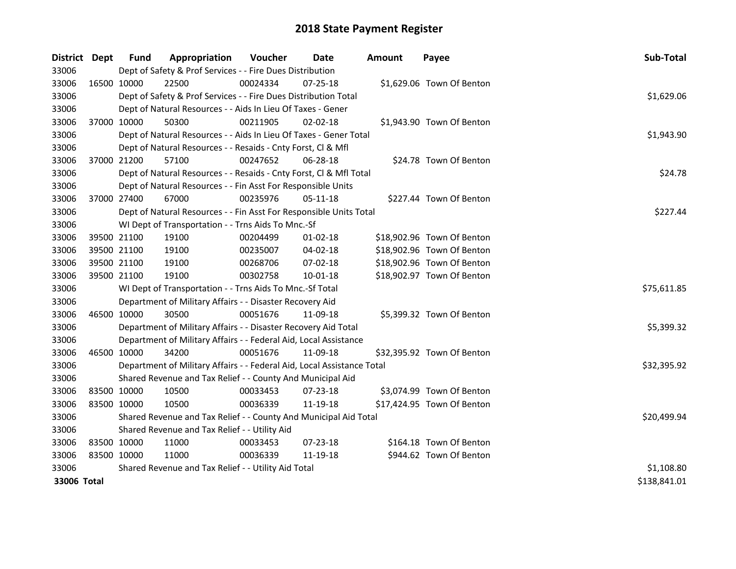| District Dept |             | <b>Fund</b> | Appropriation                                                          | Voucher  | <b>Date</b>    | Amount | Payee                      | Sub-Total    |
|---------------|-------------|-------------|------------------------------------------------------------------------|----------|----------------|--------|----------------------------|--------------|
| 33006         |             |             | Dept of Safety & Prof Services - - Fire Dues Distribution              |          |                |        |                            |              |
| 33006         | 16500 10000 |             | 22500                                                                  | 00024334 | $07 - 25 - 18$ |        | \$1,629.06 Town Of Benton  |              |
| 33006         |             |             | Dept of Safety & Prof Services - - Fire Dues Distribution Total        |          |                |        |                            | \$1,629.06   |
| 33006         |             |             | Dept of Natural Resources - - Aids In Lieu Of Taxes - Gener            |          |                |        |                            |              |
| 33006         |             | 37000 10000 | 50300                                                                  | 00211905 | $02 - 02 - 18$ |        | \$1,943.90 Town Of Benton  |              |
| 33006         |             |             | Dept of Natural Resources - - Aids In Lieu Of Taxes - Gener Total      |          |                |        |                            | \$1,943.90   |
| 33006         |             |             | Dept of Natural Resources - - Resaids - Cnty Forst, Cl & Mfl           |          |                |        |                            |              |
| 33006         | 37000 21200 |             | 57100                                                                  | 00247652 | 06-28-18       |        | \$24.78 Town Of Benton     |              |
| 33006         |             |             | Dept of Natural Resources - - Resaids - Cnty Forst, CI & Mfl Total     |          |                |        |                            | \$24.78      |
| 33006         |             |             | Dept of Natural Resources - - Fin Asst For Responsible Units           |          |                |        |                            |              |
| 33006         | 37000 27400 |             | 67000                                                                  | 00235976 | $05 - 11 - 18$ |        | \$227.44 Town Of Benton    |              |
| 33006         |             |             | Dept of Natural Resources - - Fin Asst For Responsible Units Total     |          |                |        |                            | \$227.44     |
| 33006         |             |             | WI Dept of Transportation - - Trns Aids To Mnc.-Sf                     |          |                |        |                            |              |
| 33006         | 39500 21100 |             | 19100                                                                  | 00204499 | 01-02-18       |        | \$18,902.96 Town Of Benton |              |
| 33006         |             | 39500 21100 | 19100                                                                  | 00235007 | 04-02-18       |        | \$18,902.96 Town Of Benton |              |
| 33006         |             | 39500 21100 | 19100                                                                  | 00268706 | 07-02-18       |        | \$18,902.96 Town Of Benton |              |
| 33006         | 39500 21100 |             | 19100                                                                  | 00302758 | 10-01-18       |        | \$18,902.97 Town Of Benton |              |
| 33006         |             |             | WI Dept of Transportation - - Trns Aids To Mnc.-Sf Total               |          |                |        |                            | \$75,611.85  |
| 33006         |             |             | Department of Military Affairs - - Disaster Recovery Aid               |          |                |        |                            |              |
| 33006         | 46500 10000 |             | 30500                                                                  | 00051676 | 11-09-18       |        | \$5,399.32 Town Of Benton  |              |
| 33006         |             |             | Department of Military Affairs - - Disaster Recovery Aid Total         |          |                |        |                            | \$5,399.32   |
| 33006         |             |             | Department of Military Affairs - - Federal Aid, Local Assistance       |          |                |        |                            |              |
| 33006         | 46500 10000 |             | 34200                                                                  | 00051676 | 11-09-18       |        | \$32,395.92 Town Of Benton |              |
| 33006         |             |             | Department of Military Affairs - - Federal Aid, Local Assistance Total |          |                |        |                            | \$32,395.92  |
| 33006         |             |             | Shared Revenue and Tax Relief - - County And Municipal Aid             |          |                |        |                            |              |
| 33006         | 83500 10000 |             | 10500                                                                  | 00033453 | 07-23-18       |        | \$3,074.99 Town Of Benton  |              |
| 33006         | 83500 10000 |             | 10500                                                                  | 00036339 | 11-19-18       |        | \$17,424.95 Town Of Benton |              |
| 33006         |             |             | Shared Revenue and Tax Relief - - County And Municipal Aid Total       |          |                |        |                            | \$20,499.94  |
| 33006         |             |             | Shared Revenue and Tax Relief - - Utility Aid                          |          |                |        |                            |              |
| 33006         | 83500 10000 |             | 11000                                                                  | 00033453 | 07-23-18       |        | \$164.18 Town Of Benton    |              |
| 33006         | 83500 10000 |             | 11000                                                                  | 00036339 | 11-19-18       |        | \$944.62 Town Of Benton    |              |
| 33006         |             |             | Shared Revenue and Tax Relief - - Utility Aid Total                    |          |                |        |                            | \$1,108.80   |
| 33006 Total   |             |             |                                                                        |          |                |        |                            | \$138,841.01 |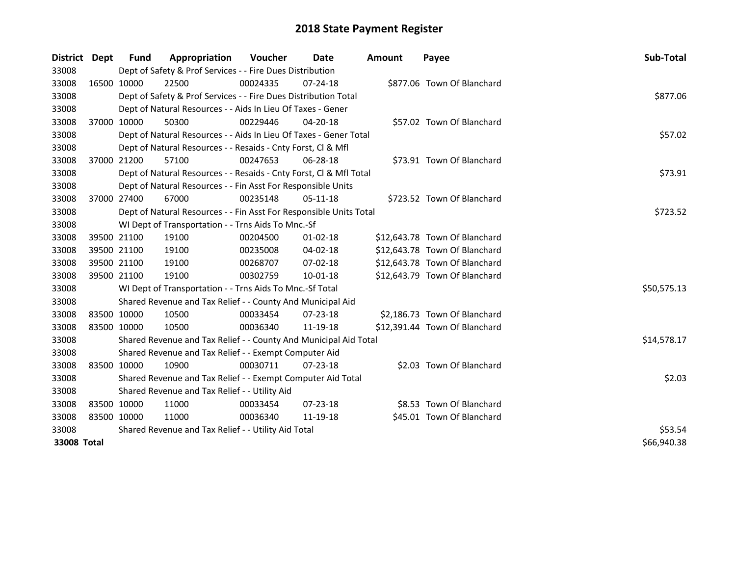| <b>District</b> | Dept        | Fund        | Appropriation                                                      | <b>Voucher</b> | Date           | <b>Amount</b> | Payee                         | Sub-Total   |
|-----------------|-------------|-------------|--------------------------------------------------------------------|----------------|----------------|---------------|-------------------------------|-------------|
| 33008           |             |             | Dept of Safety & Prof Services - - Fire Dues Distribution          |                |                |               |                               |             |
| 33008           |             | 16500 10000 | 22500                                                              | 00024335       | 07-24-18       |               | \$877.06 Town Of Blanchard    |             |
| 33008           |             |             | Dept of Safety & Prof Services - - Fire Dues Distribution Total    |                |                |               |                               | \$877.06    |
| 33008           |             |             | Dept of Natural Resources - - Aids In Lieu Of Taxes - Gener        |                |                |               |                               |             |
| 33008           |             | 37000 10000 | 50300                                                              | 00229446       | $04 - 20 - 18$ |               | \$57.02 Town Of Blanchard     |             |
| 33008           |             |             | Dept of Natural Resources - - Aids In Lieu Of Taxes - Gener Total  |                |                |               |                               | \$57.02     |
| 33008           |             |             | Dept of Natural Resources - - Resaids - Cnty Forst, Cl & Mfl       |                |                |               |                               |             |
| 33008           |             | 37000 21200 | 57100                                                              | 00247653       | 06-28-18       |               | \$73.91 Town Of Blanchard     |             |
| 33008           |             |             | Dept of Natural Resources - - Resaids - Cnty Forst, CI & Mfl Total |                |                |               |                               | \$73.91     |
| 33008           |             |             | Dept of Natural Resources - - Fin Asst For Responsible Units       |                |                |               |                               |             |
| 33008           |             | 37000 27400 | 67000                                                              | 00235148       | $05 - 11 - 18$ |               | \$723.52 Town Of Blanchard    |             |
| 33008           |             |             | Dept of Natural Resources - - Fin Asst For Responsible Units Total |                |                |               |                               | \$723.52    |
| 33008           |             |             | WI Dept of Transportation - - Trns Aids To Mnc.-Sf                 |                |                |               |                               |             |
| 33008           |             | 39500 21100 | 19100                                                              | 00204500       | 01-02-18       |               | \$12,643.78 Town Of Blanchard |             |
| 33008           |             | 39500 21100 | 19100                                                              | 00235008       | 04-02-18       |               | \$12,643.78 Town Of Blanchard |             |
| 33008           |             | 39500 21100 | 19100                                                              | 00268707       | 07-02-18       |               | \$12,643.78 Town Of Blanchard |             |
| 33008           | 39500 21100 |             | 19100                                                              | 00302759       | $10 - 01 - 18$ |               | \$12,643.79 Town Of Blanchard |             |
| 33008           |             |             | WI Dept of Transportation - - Trns Aids To Mnc.-Sf Total           |                |                |               |                               | \$50,575.13 |
| 33008           |             |             | Shared Revenue and Tax Relief - - County And Municipal Aid         |                |                |               |                               |             |
| 33008           | 83500 10000 |             | 10500                                                              | 00033454       | $07 - 23 - 18$ |               | \$2,186.73 Town Of Blanchard  |             |
| 33008           | 83500 10000 |             | 10500                                                              | 00036340       | 11-19-18       |               | \$12,391.44 Town Of Blanchard |             |
| 33008           |             |             | Shared Revenue and Tax Relief - - County And Municipal Aid Total   |                |                |               |                               | \$14,578.17 |
| 33008           |             |             | Shared Revenue and Tax Relief - - Exempt Computer Aid              |                |                |               |                               |             |
| 33008           | 83500 10000 |             | 10900                                                              | 00030711       | $07 - 23 - 18$ |               | \$2.03 Town Of Blanchard      |             |
| 33008           |             |             | Shared Revenue and Tax Relief - - Exempt Computer Aid Total        |                |                |               |                               | \$2.03      |
| 33008           |             |             | Shared Revenue and Tax Relief - - Utility Aid                      |                |                |               |                               |             |
| 33008           | 83500 10000 |             | 11000                                                              | 00033454       | $07 - 23 - 18$ |               | \$8.53 Town Of Blanchard      |             |
| 33008           | 83500 10000 |             | 11000                                                              | 00036340       | 11-19-18       |               | \$45.01 Town Of Blanchard     |             |
| 33008           |             |             | Shared Revenue and Tax Relief - - Utility Aid Total                | \$53.54        |                |               |                               |             |
| 33008 Total     | \$66,940.38 |             |                                                                    |                |                |               |                               |             |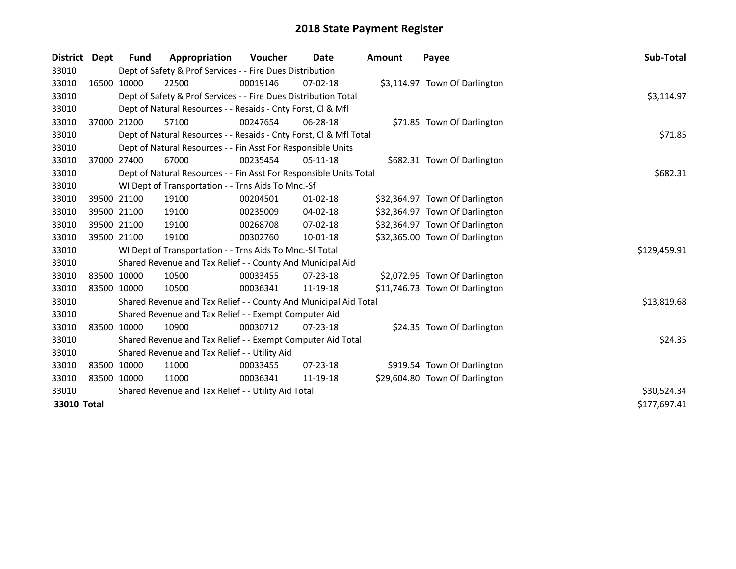| District    | <b>Dept</b> | <b>Fund</b> | Appropriation                                                      | <b>Voucher</b> | Date           | <b>Amount</b> | Payee                          | <b>Sub-Total</b> |
|-------------|-------------|-------------|--------------------------------------------------------------------|----------------|----------------|---------------|--------------------------------|------------------|
| 33010       |             |             | Dept of Safety & Prof Services - - Fire Dues Distribution          |                |                |               |                                |                  |
| 33010       |             | 16500 10000 | 22500                                                              | 00019146       | $07 - 02 - 18$ |               | \$3,114.97 Town Of Darlington  |                  |
| 33010       |             |             | Dept of Safety & Prof Services - - Fire Dues Distribution Total    |                |                |               |                                | \$3,114.97       |
| 33010       |             |             | Dept of Natural Resources - - Resaids - Cnty Forst, Cl & Mfl       |                |                |               |                                |                  |
| 33010       |             | 37000 21200 | 57100                                                              | 00247654       | 06-28-18       |               | \$71.85 Town Of Darlington     |                  |
| 33010       |             |             | Dept of Natural Resources - - Resaids - Cnty Forst, Cl & Mfl Total | \$71.85        |                |               |                                |                  |
| 33010       |             |             | Dept of Natural Resources - - Fin Asst For Responsible Units       |                |                |               |                                |                  |
| 33010       |             | 37000 27400 | 67000                                                              | 00235454       | $05-11-18$     |               | \$682.31 Town Of Darlington    |                  |
| 33010       |             |             | Dept of Natural Resources - - Fin Asst For Responsible Units Total |                |                |               |                                | \$682.31         |
| 33010       |             |             | WI Dept of Transportation - - Trns Aids To Mnc.-Sf                 |                |                |               |                                |                  |
| 33010       |             | 39500 21100 | 19100                                                              | 00204501       | $01 - 02 - 18$ |               | \$32,364.97 Town Of Darlington |                  |
| 33010       |             | 39500 21100 | 19100                                                              | 00235009       | 04-02-18       |               | \$32,364.97 Town Of Darlington |                  |
| 33010       |             | 39500 21100 | 19100                                                              | 00268708       | $07 - 02 - 18$ |               | \$32,364.97 Town Of Darlington |                  |
| 33010       |             | 39500 21100 | 19100                                                              | 00302760       | 10-01-18       |               | \$32,365.00 Town Of Darlington |                  |
| 33010       |             |             | WI Dept of Transportation - - Trns Aids To Mnc.-Sf Total           |                |                |               |                                | \$129,459.91     |
| 33010       |             |             | Shared Revenue and Tax Relief - - County And Municipal Aid         |                |                |               |                                |                  |
| 33010       |             | 83500 10000 | 10500                                                              | 00033455       | 07-23-18       |               | \$2,072.95 Town Of Darlington  |                  |
| 33010       |             | 83500 10000 | 10500                                                              | 00036341       | 11-19-18       |               | \$11,746.73 Town Of Darlington |                  |
| 33010       |             |             | Shared Revenue and Tax Relief - - County And Municipal Aid Total   |                |                |               |                                | \$13,819.68      |
| 33010       |             |             | Shared Revenue and Tax Relief - - Exempt Computer Aid              |                |                |               |                                |                  |
| 33010       |             | 83500 10000 | 10900                                                              | 00030712       | $07 - 23 - 18$ |               | \$24.35 Town Of Darlington     |                  |
| 33010       |             |             | Shared Revenue and Tax Relief - - Exempt Computer Aid Total        |                |                |               |                                | \$24.35          |
| 33010       |             |             | Shared Revenue and Tax Relief - - Utility Aid                      |                |                |               |                                |                  |
| 33010       |             | 83500 10000 | 11000                                                              | 00033455       | $07 - 23 - 18$ |               | \$919.54 Town Of Darlington    |                  |
| 33010       |             | 83500 10000 | 11000                                                              | 00036341       | 11-19-18       |               | \$29,604.80 Town Of Darlington |                  |
| 33010       |             |             | Shared Revenue and Tax Relief - - Utility Aid Total                | \$30,524.34    |                |               |                                |                  |
| 33010 Total |             |             |                                                                    |                |                |               |                                | \$177,697.41     |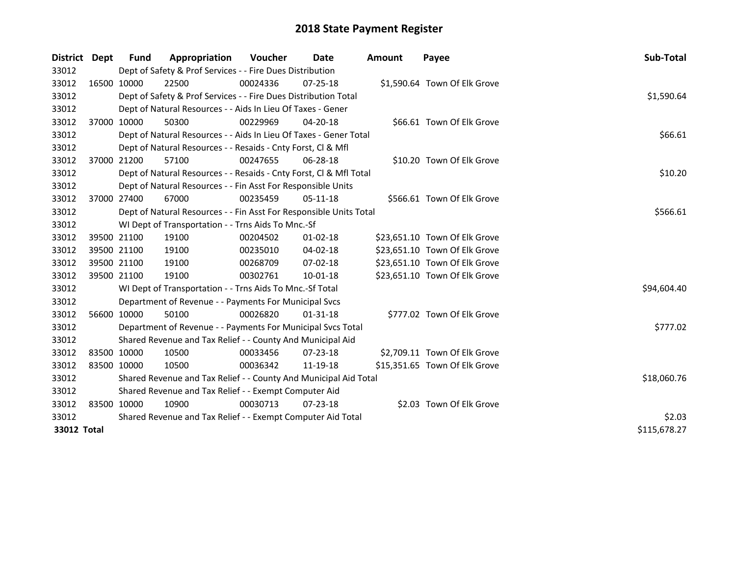| District Dept | <b>Fund</b>                                                 | Appropriation                                                      | Voucher  | <b>Date</b>    | <b>Amount</b> | Payee                         | Sub-Total   |  |
|---------------|-------------------------------------------------------------|--------------------------------------------------------------------|----------|----------------|---------------|-------------------------------|-------------|--|
| 33012         |                                                             | Dept of Safety & Prof Services - - Fire Dues Distribution          |          |                |               |                               |             |  |
| 33012         | 16500 10000                                                 | 22500                                                              | 00024336 | $07 - 25 - 18$ |               | \$1,590.64 Town Of Elk Grove  |             |  |
| 33012         |                                                             | Dept of Safety & Prof Services - - Fire Dues Distribution Total    |          |                |               |                               | \$1,590.64  |  |
| 33012         |                                                             | Dept of Natural Resources - - Aids In Lieu Of Taxes - Gener        |          |                |               |                               |             |  |
| 33012         | 37000 10000                                                 | 50300                                                              | 00229969 | $04 - 20 - 18$ |               | \$66.61 Town Of Elk Grove     |             |  |
| 33012         |                                                             | Dept of Natural Resources - - Aids In Lieu Of Taxes - Gener Total  |          |                |               |                               | \$66.61     |  |
| 33012         |                                                             | Dept of Natural Resources - - Resaids - Cnty Forst, Cl & Mfl       |          |                |               |                               |             |  |
| 33012         | 37000 21200                                                 | 57100                                                              | 00247655 | 06-28-18       |               | \$10.20 Town Of Elk Grove     |             |  |
| 33012         |                                                             | Dept of Natural Resources - - Resaids - Cnty Forst, CI & Mfl Total |          |                |               |                               | \$10.20     |  |
| 33012         |                                                             | Dept of Natural Resources - - Fin Asst For Responsible Units       |          |                |               |                               |             |  |
| 33012         | 37000 27400                                                 | 67000                                                              | 00235459 | $05-11-18$     |               | \$566.61 Town Of Elk Grove    |             |  |
| 33012         |                                                             | Dept of Natural Resources - - Fin Asst For Responsible Units Total |          |                |               |                               | \$566.61    |  |
| 33012         |                                                             | WI Dept of Transportation - - Trns Aids To Mnc.-Sf                 |          |                |               |                               |             |  |
| 33012         | 39500 21100                                                 | 19100                                                              | 00204502 | $01 - 02 - 18$ |               | \$23,651.10 Town Of Elk Grove |             |  |
| 33012         | 39500 21100                                                 | 19100                                                              | 00235010 | 04-02-18       |               | \$23,651.10 Town Of Elk Grove |             |  |
| 33012         | 39500 21100                                                 | 19100                                                              | 00268709 | 07-02-18       |               | \$23,651.10 Town Of Elk Grove |             |  |
| 33012         | 39500 21100                                                 | 19100                                                              | 00302761 | 10-01-18       |               | \$23,651.10 Town Of Elk Grove |             |  |
| 33012         |                                                             | WI Dept of Transportation - - Trns Aids To Mnc.-Sf Total           |          |                |               |                               | \$94,604.40 |  |
| 33012         |                                                             | Department of Revenue - - Payments For Municipal Svcs              |          |                |               |                               |             |  |
| 33012         | 56600 10000                                                 | 50100                                                              | 00026820 | $01 - 31 - 18$ |               | \$777.02 Town Of Elk Grove    |             |  |
| 33012         |                                                             | Department of Revenue - - Payments For Municipal Svcs Total        |          |                |               |                               | \$777.02    |  |
| 33012         |                                                             | Shared Revenue and Tax Relief - - County And Municipal Aid         |          |                |               |                               |             |  |
| 33012         | 83500 10000                                                 | 10500                                                              | 00033456 | $07 - 23 - 18$ |               | \$2,709.11 Town Of Elk Grove  |             |  |
| 33012         | 83500 10000                                                 | 10500                                                              | 00036342 | 11-19-18       |               | \$15,351.65 Town Of Elk Grove |             |  |
| 33012         |                                                             | Shared Revenue and Tax Relief - - County And Municipal Aid Total   |          |                |               |                               | \$18,060.76 |  |
| 33012         | Shared Revenue and Tax Relief - - Exempt Computer Aid       |                                                                    |          |                |               |                               |             |  |
| 33012         | 83500 10000                                                 | 10900                                                              | 00030713 | $07 - 23 - 18$ |               | \$2.03 Town Of Elk Grove      |             |  |
| 33012         | Shared Revenue and Tax Relief - - Exempt Computer Aid Total |                                                                    |          |                |               |                               |             |  |
| 33012 Total   | \$115,678.27                                                |                                                                    |          |                |               |                               |             |  |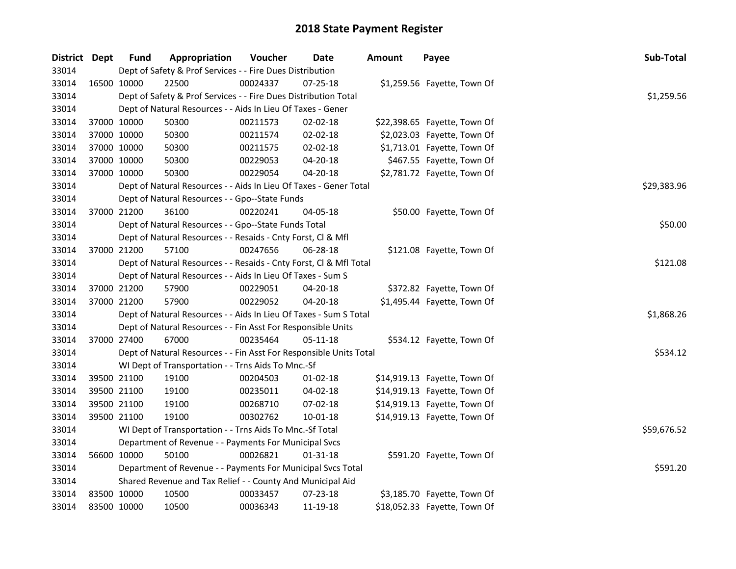| District Dept |             | <b>Fund</b>                                              | Appropriation                                                      | Voucher     | Date           | <b>Amount</b> | Payee                        | Sub-Total  |
|---------------|-------------|----------------------------------------------------------|--------------------------------------------------------------------|-------------|----------------|---------------|------------------------------|------------|
| 33014         |             |                                                          | Dept of Safety & Prof Services - - Fire Dues Distribution          |             |                |               |                              |            |
| 33014         | 16500 10000 |                                                          | 22500                                                              | 00024337    | 07-25-18       |               | \$1,259.56 Fayette, Town Of  |            |
| 33014         |             |                                                          | Dept of Safety & Prof Services - - Fire Dues Distribution Total    |             |                |               |                              | \$1,259.56 |
| 33014         |             |                                                          | Dept of Natural Resources - - Aids In Lieu Of Taxes - Gener        |             |                |               |                              |            |
| 33014         | 37000 10000 |                                                          | 50300                                                              | 00211573    | 02-02-18       |               | \$22,398.65 Fayette, Town Of |            |
| 33014         | 37000 10000 |                                                          | 50300                                                              | 00211574    | 02-02-18       |               | \$2,023.03 Fayette, Town Of  |            |
| 33014         | 37000 10000 |                                                          | 50300                                                              | 00211575    | 02-02-18       |               | \$1,713.01 Fayette, Town Of  |            |
| 33014         | 37000 10000 |                                                          | 50300                                                              | 00229053    | 04-20-18       |               | \$467.55 Fayette, Town Of    |            |
| 33014         | 37000 10000 |                                                          | 50300                                                              | 00229054    | 04-20-18       |               | \$2,781.72 Fayette, Town Of  |            |
| 33014         |             |                                                          | Dept of Natural Resources - - Aids In Lieu Of Taxes - Gener Total  | \$29,383.96 |                |               |                              |            |
| 33014         |             |                                                          | Dept of Natural Resources - - Gpo--State Funds                     |             |                |               |                              |            |
| 33014         | 37000 21200 |                                                          | 36100                                                              | 00220241    | 04-05-18       |               | \$50.00 Fayette, Town Of     |            |
| 33014         |             |                                                          | Dept of Natural Resources - - Gpo--State Funds Total               |             |                |               |                              | \$50.00    |
| 33014         |             |                                                          | Dept of Natural Resources - - Resaids - Cnty Forst, Cl & Mfl       |             |                |               |                              |            |
| 33014         | 37000 21200 |                                                          | 57100                                                              | 00247656    | 06-28-18       |               | \$121.08 Fayette, Town Of    |            |
| 33014         |             |                                                          | Dept of Natural Resources - - Resaids - Cnty Forst, Cl & Mfl Total | \$121.08    |                |               |                              |            |
| 33014         |             |                                                          | Dept of Natural Resources - - Aids In Lieu Of Taxes - Sum S        |             |                |               |                              |            |
| 33014         | 37000 21200 |                                                          | 57900                                                              | 00229051    | $04 - 20 - 18$ |               | \$372.82 Fayette, Town Of    |            |
| 33014         | 37000 21200 |                                                          | 57900                                                              | 00229052    | 04-20-18       |               | \$1,495.44 Fayette, Town Of  |            |
| 33014         |             |                                                          | Dept of Natural Resources - - Aids In Lieu Of Taxes - Sum S Total  |             |                |               |                              | \$1,868.26 |
| 33014         |             |                                                          | Dept of Natural Resources - - Fin Asst For Responsible Units       |             |                |               |                              |            |
| 33014         | 37000 27400 |                                                          | 67000                                                              | 00235464    | 05-11-18       |               | \$534.12 Fayette, Town Of    |            |
| 33014         |             |                                                          | Dept of Natural Resources - - Fin Asst For Responsible Units Total |             |                |               |                              | \$534.12   |
| 33014         |             |                                                          | WI Dept of Transportation - - Trns Aids To Mnc.-Sf                 |             |                |               |                              |            |
| 33014         | 39500 21100 |                                                          | 19100                                                              | 00204503    | $01 - 02 - 18$ |               | \$14,919.13 Fayette, Town Of |            |
| 33014         | 39500 21100 |                                                          | 19100                                                              | 00235011    | 04-02-18       |               | \$14,919.13 Fayette, Town Of |            |
| 33014         | 39500 21100 |                                                          | 19100                                                              | 00268710    | 07-02-18       |               | \$14,919.13 Fayette, Town Of |            |
| 33014         | 39500 21100 |                                                          | 19100                                                              | 00302762    | 10-01-18       |               | \$14,919.13 Fayette, Town Of |            |
| 33014         |             | WI Dept of Transportation - - Trns Aids To Mnc.-Sf Total | \$59,676.52                                                        |             |                |               |                              |            |
| 33014         |             |                                                          | Department of Revenue - - Payments For Municipal Svcs              |             |                |               |                              |            |
| 33014         | 56600 10000 |                                                          | 50100                                                              | 00026821    | 01-31-18       |               | \$591.20 Fayette, Town Of    |            |
| 33014         |             |                                                          | Department of Revenue - - Payments For Municipal Svcs Total        |             |                |               |                              | \$591.20   |
| 33014         |             |                                                          | Shared Revenue and Tax Relief - - County And Municipal Aid         |             |                |               |                              |            |
| 33014         | 83500 10000 |                                                          | 10500                                                              | 00033457    | 07-23-18       |               | \$3,185.70 Fayette, Town Of  |            |
| 33014         | 83500 10000 |                                                          | 10500                                                              | 00036343    | 11-19-18       |               | \$18,052.33 Fayette, Town Of |            |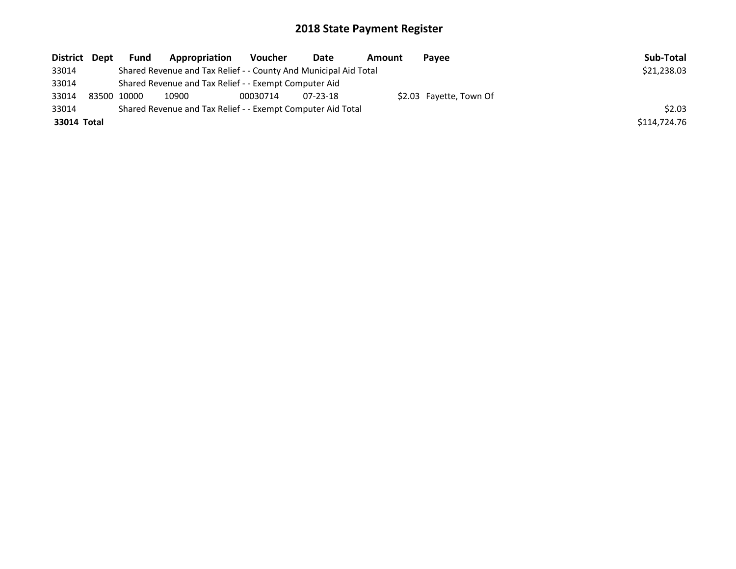| District Dept | <b>Fund</b> | Appropriation                                                    | Voucher  | Date           | Amount | Pavee                   | Sub-Total    |
|---------------|-------------|------------------------------------------------------------------|----------|----------------|--------|-------------------------|--------------|
| 33014         |             | Shared Revenue and Tax Relief - - County And Municipal Aid Total |          |                |        |                         | \$21,238.03  |
| 33014         |             | Shared Revenue and Tax Relief - - Exempt Computer Aid            |          |                |        |                         |              |
| 33014         | 83500 10000 | 10900                                                            | 00030714 | $07 - 23 - 18$ |        | \$2.03 Fayette, Town Of |              |
| 33014         |             | Shared Revenue and Tax Relief - - Exempt Computer Aid Total      |          |                |        |                         | \$2.03       |
| 33014 Total   |             |                                                                  |          |                |        |                         | \$114,724.76 |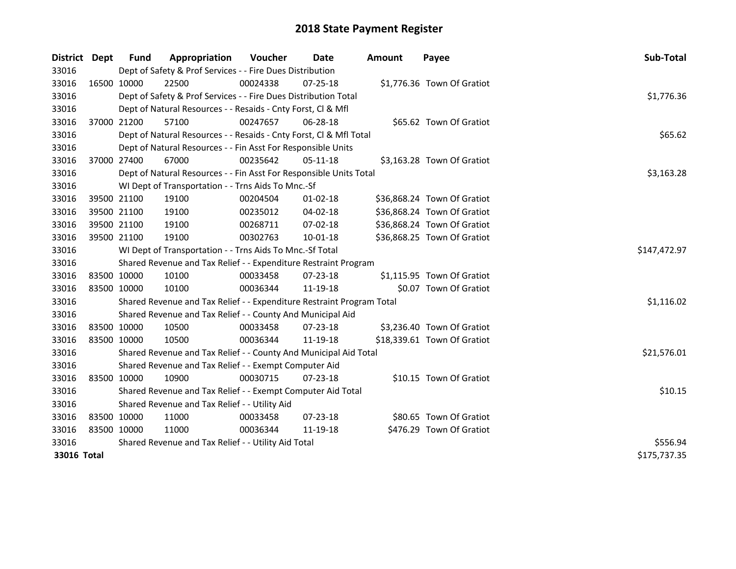| <b>District</b> | Dept        | <b>Fund</b>                                   | Appropriation                                                         | Voucher      | <b>Date</b>    | <b>Amount</b> | Payee                       | Sub-Total    |
|-----------------|-------------|-----------------------------------------------|-----------------------------------------------------------------------|--------------|----------------|---------------|-----------------------------|--------------|
| 33016           |             |                                               | Dept of Safety & Prof Services - - Fire Dues Distribution             |              |                |               |                             |              |
| 33016           |             | 16500 10000                                   | 22500                                                                 | 00024338     | 07-25-18       |               | \$1,776.36 Town Of Gratiot  |              |
| 33016           |             |                                               | Dept of Safety & Prof Services - - Fire Dues Distribution Total       |              |                |               |                             | \$1,776.36   |
| 33016           |             |                                               | Dept of Natural Resources - - Resaids - Cnty Forst, Cl & Mfl          |              |                |               |                             |              |
| 33016           |             | 37000 21200                                   | 57100                                                                 | 00247657     | 06-28-18       |               | \$65.62 Town Of Gratiot     |              |
| 33016           |             |                                               | Dept of Natural Resources - - Resaids - Cnty Forst, Cl & Mfl Total    |              |                |               |                             | \$65.62      |
| 33016           |             |                                               | Dept of Natural Resources - - Fin Asst For Responsible Units          |              |                |               |                             |              |
| 33016           |             | 37000 27400                                   | 67000                                                                 | 00235642     | 05-11-18       |               | \$3,163.28 Town Of Gratiot  |              |
| 33016           |             |                                               | Dept of Natural Resources - - Fin Asst For Responsible Units Total    |              |                |               |                             | \$3,163.28   |
| 33016           |             |                                               | WI Dept of Transportation - - Trns Aids To Mnc.-Sf                    |              |                |               |                             |              |
| 33016           |             | 39500 21100                                   | 19100                                                                 | 00204504     | $01 - 02 - 18$ |               | \$36,868.24 Town Of Gratiot |              |
| 33016           |             | 39500 21100                                   | 19100                                                                 | 00235012     | 04-02-18       |               | \$36,868.24 Town Of Gratiot |              |
| 33016           |             | 39500 21100                                   | 19100                                                                 | 00268711     | 07-02-18       |               | \$36,868.24 Town Of Gratiot |              |
| 33016           | 39500 21100 |                                               | 19100                                                                 | 00302763     | 10-01-18       |               | \$36,868.25 Town Of Gratiot |              |
| 33016           |             |                                               | WI Dept of Transportation - - Trns Aids To Mnc.-Sf Total              | \$147,472.97 |                |               |                             |              |
| 33016           |             |                                               | Shared Revenue and Tax Relief - - Expenditure Restraint Program       |              |                |               |                             |              |
| 33016           | 83500 10000 |                                               | 10100                                                                 | 00033458     | 07-23-18       |               | \$1,115.95 Town Of Gratiot  |              |
| 33016           | 83500 10000 |                                               | 10100                                                                 | 00036344     | 11-19-18       |               | \$0.07 Town Of Gratiot      |              |
| 33016           |             |                                               | Shared Revenue and Tax Relief - - Expenditure Restraint Program Total |              |                |               |                             | \$1,116.02   |
| 33016           |             |                                               | Shared Revenue and Tax Relief - - County And Municipal Aid            |              |                |               |                             |              |
| 33016           | 83500 10000 |                                               | 10500                                                                 | 00033458     | 07-23-18       |               | \$3,236.40 Town Of Gratiot  |              |
| 33016           | 83500 10000 |                                               | 10500                                                                 | 00036344     | 11-19-18       |               | \$18,339.61 Town Of Gratiot |              |
| 33016           |             |                                               | Shared Revenue and Tax Relief - - County And Municipal Aid Total      |              |                |               |                             | \$21,576.01  |
| 33016           |             |                                               | Shared Revenue and Tax Relief - - Exempt Computer Aid                 |              |                |               |                             |              |
| 33016           | 83500 10000 |                                               | 10900                                                                 | 00030715     | 07-23-18       |               | \$10.15 Town Of Gratiot     |              |
| 33016           |             |                                               | Shared Revenue and Tax Relief - - Exempt Computer Aid Total           |              |                |               |                             | \$10.15      |
| 33016           |             | Shared Revenue and Tax Relief - - Utility Aid |                                                                       |              |                |               |                             |              |
| 33016           | 83500 10000 |                                               | 11000                                                                 | 00033458     | $07 - 23 - 18$ |               | \$80.65 Town Of Gratiot     |              |
| 33016           | 83500 10000 |                                               | 11000                                                                 | 00036344     | 11-19-18       |               | \$476.29 Town Of Gratiot    |              |
| 33016           |             |                                               | Shared Revenue and Tax Relief - - Utility Aid Total                   | \$556.94     |                |               |                             |              |
| 33016 Total     |             |                                               |                                                                       |              |                |               |                             | \$175,737.35 |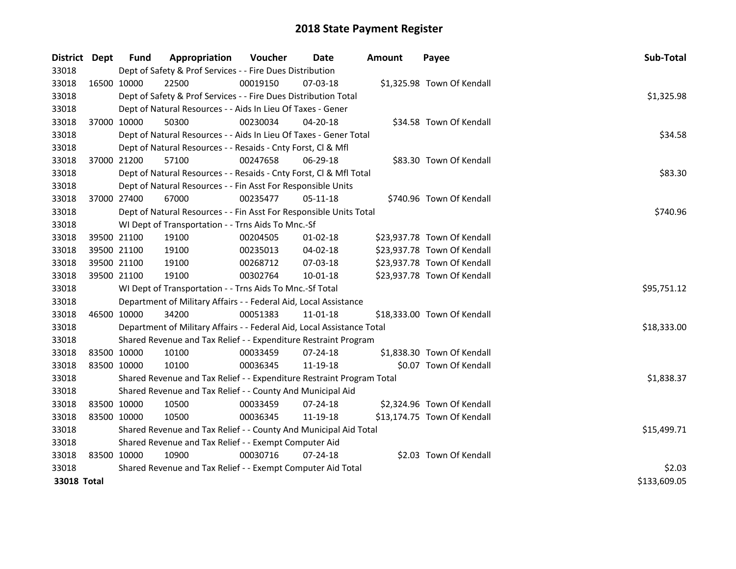| <b>District</b> | Dept        | <b>Fund</b>                                           | Appropriation                                                          | Voucher  | Date           | <b>Amount</b> | Payee                       | Sub-Total    |
|-----------------|-------------|-------------------------------------------------------|------------------------------------------------------------------------|----------|----------------|---------------|-----------------------------|--------------|
| 33018           |             |                                                       | Dept of Safety & Prof Services - - Fire Dues Distribution              |          |                |               |                             |              |
| 33018           |             | 16500 10000                                           | 22500                                                                  | 00019150 | 07-03-18       |               | \$1,325.98 Town Of Kendall  |              |
| 33018           |             |                                                       | Dept of Safety & Prof Services - - Fire Dues Distribution Total        |          |                |               |                             | \$1,325.98   |
| 33018           |             |                                                       | Dept of Natural Resources - - Aids In Lieu Of Taxes - Gener            |          |                |               |                             |              |
| 33018           |             | 37000 10000                                           | 50300                                                                  | 00230034 | 04-20-18       |               | \$34.58 Town Of Kendall     |              |
| 33018           |             |                                                       | Dept of Natural Resources - - Aids In Lieu Of Taxes - Gener Total      |          |                |               |                             | \$34.58      |
| 33018           |             |                                                       | Dept of Natural Resources - - Resaids - Cnty Forst, Cl & Mfl           |          |                |               |                             |              |
| 33018           |             | 37000 21200                                           | 57100                                                                  | 00247658 | 06-29-18       |               | \$83.30 Town Of Kendall     |              |
| 33018           |             |                                                       | Dept of Natural Resources - - Resaids - Cnty Forst, Cl & Mfl Total     |          |                |               |                             | \$83.30      |
| 33018           |             |                                                       | Dept of Natural Resources - - Fin Asst For Responsible Units           |          |                |               |                             |              |
| 33018           |             | 37000 27400                                           | 67000                                                                  | 00235477 | 05-11-18       |               | \$740.96 Town Of Kendall    |              |
| 33018           |             |                                                       | Dept of Natural Resources - - Fin Asst For Responsible Units Total     |          |                |               |                             | \$740.96     |
| 33018           |             |                                                       | WI Dept of Transportation - - Trns Aids To Mnc.-Sf                     |          |                |               |                             |              |
| 33018           |             | 39500 21100                                           | 19100                                                                  | 00204505 | 01-02-18       |               | \$23,937.78 Town Of Kendall |              |
| 33018           |             | 39500 21100                                           | 19100                                                                  | 00235013 | 04-02-18       |               | \$23,937.78 Town Of Kendall |              |
| 33018           |             | 39500 21100                                           | 19100                                                                  | 00268712 | 07-03-18       |               | \$23,937.78 Town Of Kendall |              |
| 33018           |             | 39500 21100                                           | 19100                                                                  | 00302764 | 10-01-18       |               | \$23,937.78 Town Of Kendall |              |
| 33018           |             |                                                       | WI Dept of Transportation - - Trns Aids To Mnc.-Sf Total               |          |                |               |                             | \$95,751.12  |
| 33018           |             |                                                       | Department of Military Affairs - - Federal Aid, Local Assistance       |          |                |               |                             |              |
| 33018           |             | 46500 10000                                           | 34200                                                                  | 00051383 | 11-01-18       |               | \$18,333.00 Town Of Kendall |              |
| 33018           |             |                                                       | Department of Military Affairs - - Federal Aid, Local Assistance Total |          |                |               |                             | \$18,333.00  |
| 33018           |             |                                                       | Shared Revenue and Tax Relief - - Expenditure Restraint Program        |          |                |               |                             |              |
| 33018           | 83500 10000 |                                                       | 10100                                                                  | 00033459 | $07 - 24 - 18$ |               | \$1,838.30 Town Of Kendall  |              |
| 33018           | 83500 10000 |                                                       | 10100                                                                  | 00036345 | 11-19-18       |               | \$0.07 Town Of Kendall      |              |
| 33018           |             |                                                       | Shared Revenue and Tax Relief - - Expenditure Restraint Program Total  |          |                |               |                             | \$1,838.37   |
| 33018           |             |                                                       | Shared Revenue and Tax Relief - - County And Municipal Aid             |          |                |               |                             |              |
| 33018           | 83500 10000 |                                                       | 10500                                                                  | 00033459 | $07 - 24 - 18$ |               | \$2,324.96 Town Of Kendall  |              |
| 33018           | 83500 10000 |                                                       | 10500                                                                  | 00036345 | 11-19-18       |               | \$13,174.75 Town Of Kendall |              |
| 33018           |             |                                                       | Shared Revenue and Tax Relief - - County And Municipal Aid Total       |          |                |               |                             | \$15,499.71  |
| 33018           |             | Shared Revenue and Tax Relief - - Exempt Computer Aid |                                                                        |          |                |               |                             |              |
| 33018           | 83500 10000 |                                                       | 10900                                                                  | 00030716 | $07 - 24 - 18$ |               | \$2.03 Town Of Kendall      |              |
| 33018           |             |                                                       | Shared Revenue and Tax Relief - - Exempt Computer Aid Total            |          |                |               |                             | \$2.03       |
| 33018 Total     |             |                                                       |                                                                        |          |                |               |                             | \$133,609.05 |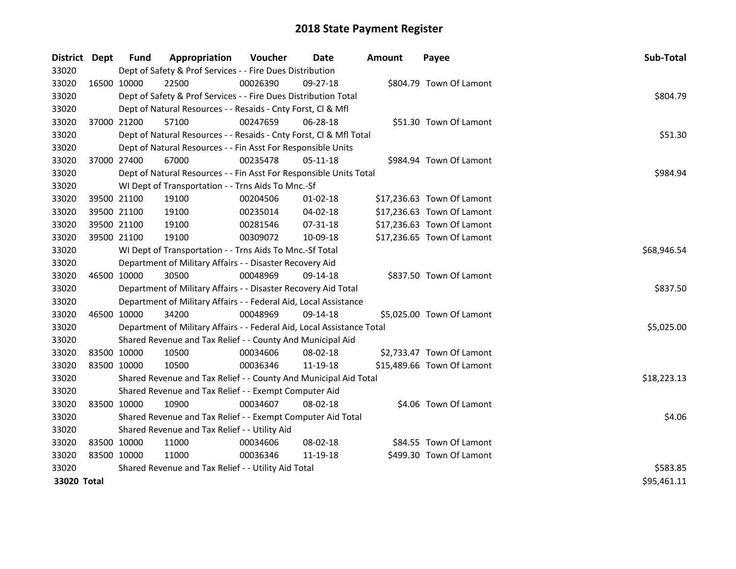| District Dept | <b>Fund</b>                                   | Appropriation                                                          | Voucher     | Date     | <b>Amount</b> | Payee                      | Sub-Total   |
|---------------|-----------------------------------------------|------------------------------------------------------------------------|-------------|----------|---------------|----------------------------|-------------|
| 33020         |                                               | Dept of Safety & Prof Services - - Fire Dues Distribution              |             |          |               |                            |             |
| 33020         | 16500 10000                                   | 22500                                                                  | 00026390    | 09-27-18 |               | \$804.79 Town Of Lamont    |             |
| 33020         |                                               | Dept of Safety & Prof Services - - Fire Dues Distribution Total        |             |          |               |                            | \$804.79    |
| 33020         |                                               | Dept of Natural Resources - - Resaids - Cnty Forst, Cl & Mfl           |             |          |               |                            |             |
| 33020         | 37000 21200                                   | 57100                                                                  | 00247659    | 06-28-18 |               | \$51.30 Town Of Lamont     |             |
| 33020         |                                               | Dept of Natural Resources - - Resaids - Cnty Forst, Cl & Mfl Total     | \$51.30     |          |               |                            |             |
| 33020         |                                               | Dept of Natural Resources - - Fin Asst For Responsible Units           |             |          |               |                            |             |
| 33020         | 37000 27400                                   | 67000                                                                  | 00235478    | 05-11-18 |               | \$984.94 Town Of Lamont    |             |
| 33020         |                                               | Dept of Natural Resources - - Fin Asst For Responsible Units Total     |             |          |               |                            | \$984.94    |
| 33020         |                                               | WI Dept of Transportation - - Trns Aids To Mnc.-Sf                     |             |          |               |                            |             |
| 33020         | 39500 21100                                   | 19100                                                                  | 00204506    | 01-02-18 |               | \$17,236.63 Town Of Lamont |             |
| 33020         | 39500 21100                                   | 19100                                                                  | 00235014    | 04-02-18 |               | \$17,236.63 Town Of Lamont |             |
| 33020         | 39500 21100                                   | 19100                                                                  | 00281546    | 07-31-18 |               | \$17,236.63 Town Of Lamont |             |
| 33020         | 39500 21100                                   | 19100                                                                  | 00309072    | 10-09-18 |               | \$17,236.65 Town Of Lamont |             |
| 33020         |                                               | WI Dept of Transportation - - Trns Aids To Mnc.-Sf Total               | \$68,946.54 |          |               |                            |             |
| 33020         |                                               | Department of Military Affairs - - Disaster Recovery Aid               |             |          |               |                            |             |
| 33020         | 46500 10000                                   | 30500                                                                  | 00048969    | 09-14-18 |               | \$837.50 Town Of Lamont    |             |
| 33020         |                                               | Department of Military Affairs - - Disaster Recovery Aid Total         |             |          |               |                            | \$837.50    |
| 33020         |                                               | Department of Military Affairs - - Federal Aid, Local Assistance       |             |          |               |                            |             |
| 33020         | 46500 10000                                   | 34200                                                                  | 00048969    | 09-14-18 |               | \$5,025.00 Town Of Lamont  |             |
| 33020         |                                               | Department of Military Affairs - - Federal Aid, Local Assistance Total |             |          |               |                            | \$5,025.00  |
| 33020         |                                               | Shared Revenue and Tax Relief - - County And Municipal Aid             |             |          |               |                            |             |
| 33020         | 83500 10000                                   | 10500                                                                  | 00034606    | 08-02-18 |               | \$2,733.47 Town Of Lamont  |             |
| 33020         | 83500 10000                                   | 10500                                                                  | 00036346    | 11-19-18 |               | \$15,489.66 Town Of Lamont |             |
| 33020         |                                               | Shared Revenue and Tax Relief - - County And Municipal Aid Total       |             |          |               |                            | \$18,223.13 |
| 33020         |                                               | Shared Revenue and Tax Relief - - Exempt Computer Aid                  |             |          |               |                            |             |
| 33020         | 83500 10000                                   | 10900                                                                  | 00034607    | 08-02-18 |               | \$4.06 Town Of Lamont      |             |
| 33020         |                                               | Shared Revenue and Tax Relief - - Exempt Computer Aid Total            |             |          |               |                            | \$4.06      |
| 33020         | Shared Revenue and Tax Relief - - Utility Aid |                                                                        |             |          |               |                            |             |
| 33020         | 83500 10000                                   | 11000                                                                  | 00034606    | 08-02-18 |               | \$84.55 Town Of Lamont     |             |
| 33020         | 83500 10000                                   | 11000                                                                  | 00036346    | 11-19-18 |               | \$499.30 Town Of Lamont    |             |
| 33020         |                                               | Shared Revenue and Tax Relief - - Utility Aid Total                    |             |          |               |                            | \$583.85    |
| 33020 Total   |                                               |                                                                        |             |          |               |                            | \$95,461.11 |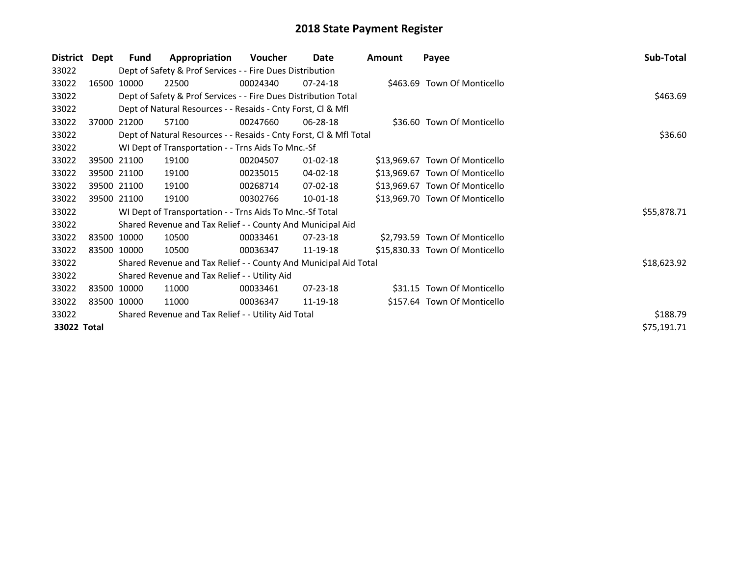| <b>District</b> | Dept | Fund                                                | Appropriation                                                      | <b>Voucher</b> | Date           | Amount  | Payee                          | Sub-Total   |
|-----------------|------|-----------------------------------------------------|--------------------------------------------------------------------|----------------|----------------|---------|--------------------------------|-------------|
| 33022           |      |                                                     | Dept of Safety & Prof Services - - Fire Dues Distribution          |                |                |         |                                |             |
| 33022           |      | 16500 10000                                         | 22500                                                              | 00024340       | $07 - 24 - 18$ |         | \$463.69 Town Of Monticello    |             |
| 33022           |      |                                                     | Dept of Safety & Prof Services - - Fire Dues Distribution Total    |                |                |         |                                | \$463.69    |
| 33022           |      |                                                     | Dept of Natural Resources - - Resaids - Cnty Forst, Cl & Mfl       |                |                |         |                                |             |
| 33022           |      | 37000 21200                                         | 57100                                                              | 00247660       | 06-28-18       |         | \$36.60 Town Of Monticello     |             |
| 33022           |      |                                                     | Dept of Natural Resources - - Resaids - Cnty Forst, CI & Mfl Total |                |                | \$36.60 |                                |             |
| 33022           |      |                                                     | WI Dept of Transportation - - Trns Aids To Mnc.-Sf                 |                |                |         |                                |             |
| 33022           |      | 39500 21100                                         | 19100                                                              | 00204507       | $01 - 02 - 18$ |         | \$13,969.67 Town Of Monticello |             |
| 33022           |      | 39500 21100                                         | 19100                                                              | 00235015       | 04-02-18       |         | \$13,969.67 Town Of Monticello |             |
| 33022           |      | 39500 21100                                         | 19100                                                              | 00268714       | 07-02-18       |         | \$13,969.67 Town Of Monticello |             |
| 33022           |      | 39500 21100                                         | 19100                                                              | 00302766       | 10-01-18       |         | \$13,969.70 Town Of Monticello |             |
| 33022           |      |                                                     | WI Dept of Transportation - - Trns Aids To Mnc.-Sf Total           |                |                |         |                                | \$55,878.71 |
| 33022           |      |                                                     | Shared Revenue and Tax Relief - - County And Municipal Aid         |                |                |         |                                |             |
| 33022           |      | 83500 10000                                         | 10500                                                              | 00033461       | 07-23-18       |         | \$2,793.59 Town Of Monticello  |             |
| 33022           |      | 83500 10000                                         | 10500                                                              | 00036347       | 11-19-18       |         | \$15,830.33 Town Of Monticello |             |
| 33022           |      |                                                     | Shared Revenue and Tax Relief - - County And Municipal Aid Total   |                |                |         |                                | \$18,623.92 |
| 33022           |      |                                                     | Shared Revenue and Tax Relief - - Utility Aid                      |                |                |         |                                |             |
| 33022           |      | 83500 10000                                         | 11000                                                              | 00033461       | $07 - 23 - 18$ |         | \$31.15 Town Of Monticello     |             |
| 33022           |      | 83500 10000                                         | 11000                                                              | 00036347       | 11-19-18       |         | \$157.64 Town Of Monticello    |             |
| 33022           |      | Shared Revenue and Tax Relief - - Utility Aid Total | \$188.79                                                           |                |                |         |                                |             |
| 33022 Total     |      |                                                     |                                                                    |                |                |         |                                | \$75,191.71 |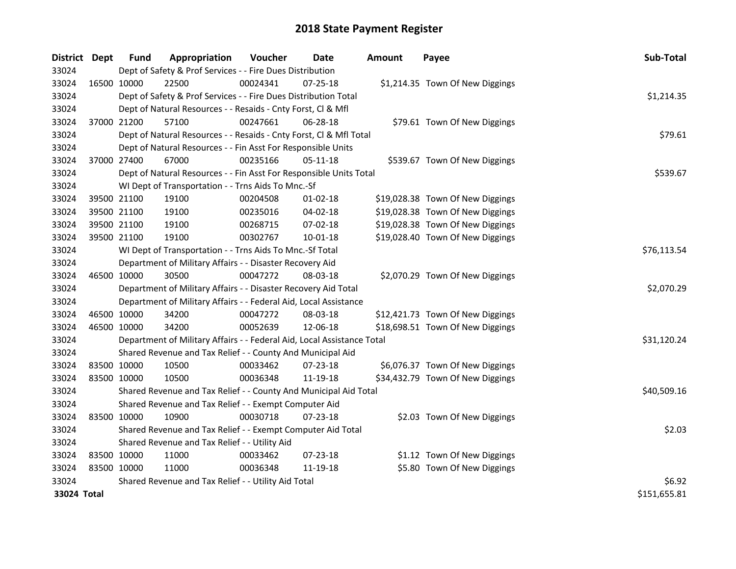| District Dept |             | Fund        | Appropriation                                                          | Voucher     | <b>Date</b>    | <b>Amount</b> | Payee                            | Sub-Total    |
|---------------|-------------|-------------|------------------------------------------------------------------------|-------------|----------------|---------------|----------------------------------|--------------|
| 33024         |             |             | Dept of Safety & Prof Services - - Fire Dues Distribution              |             |                |               |                                  |              |
| 33024         |             | 16500 10000 | 22500                                                                  | 00024341    | $07 - 25 - 18$ |               | \$1,214.35 Town Of New Diggings  |              |
| 33024         |             |             | Dept of Safety & Prof Services - - Fire Dues Distribution Total        |             |                |               |                                  | \$1,214.35   |
| 33024         |             |             | Dept of Natural Resources - - Resaids - Cnty Forst, Cl & Mfl           |             |                |               |                                  |              |
| 33024         |             | 37000 21200 | 57100                                                                  | 00247661    | 06-28-18       |               | \$79.61 Town Of New Diggings     |              |
| 33024         |             |             | Dept of Natural Resources - - Resaids - Cnty Forst, CI & Mfl Total     |             |                |               |                                  | \$79.61      |
| 33024         |             |             | Dept of Natural Resources - - Fin Asst For Responsible Units           |             |                |               |                                  |              |
| 33024         |             | 37000 27400 | 67000                                                                  | 00235166    | 05-11-18       |               | \$539.67 Town Of New Diggings    |              |
| 33024         |             |             | Dept of Natural Resources - - Fin Asst For Responsible Units Total     |             |                |               |                                  | \$539.67     |
| 33024         |             |             | WI Dept of Transportation - - Trns Aids To Mnc.-Sf                     |             |                |               |                                  |              |
| 33024         |             | 39500 21100 | 19100                                                                  | 00204508    | $01-02-18$     |               | \$19,028.38 Town Of New Diggings |              |
| 33024         |             | 39500 21100 | 19100                                                                  | 00235016    | 04-02-18       |               | \$19,028.38 Town Of New Diggings |              |
| 33024         |             | 39500 21100 | 19100                                                                  | 00268715    | 07-02-18       |               | \$19,028.38 Town Of New Diggings |              |
| 33024         |             | 39500 21100 | 19100                                                                  | 00302767    | $10 - 01 - 18$ |               | \$19,028.40 Town Of New Diggings |              |
| 33024         |             |             | WI Dept of Transportation - - Trns Aids To Mnc.-Sf Total               | \$76,113.54 |                |               |                                  |              |
| 33024         |             |             | Department of Military Affairs - - Disaster Recovery Aid               |             |                |               |                                  |              |
| 33024         |             | 46500 10000 | 30500                                                                  | 00047272    | 08-03-18       |               | \$2,070.29 Town Of New Diggings  |              |
| 33024         |             |             | Department of Military Affairs - - Disaster Recovery Aid Total         |             |                |               |                                  | \$2,070.29   |
| 33024         |             |             | Department of Military Affairs - - Federal Aid, Local Assistance       |             |                |               |                                  |              |
| 33024         |             | 46500 10000 | 34200                                                                  | 00047272    | 08-03-18       |               | \$12,421.73 Town Of New Diggings |              |
| 33024         |             | 46500 10000 | 34200                                                                  | 00052639    | 12-06-18       |               | \$18,698.51 Town Of New Diggings |              |
| 33024         |             |             | Department of Military Affairs - - Federal Aid, Local Assistance Total |             |                |               |                                  | \$31,120.24  |
| 33024         |             |             | Shared Revenue and Tax Relief - - County And Municipal Aid             |             |                |               |                                  |              |
| 33024         |             | 83500 10000 | 10500                                                                  | 00033462    | 07-23-18       |               | \$6,076.37 Town Of New Diggings  |              |
| 33024         |             | 83500 10000 | 10500                                                                  | 00036348    | 11-19-18       |               | \$34,432.79 Town Of New Diggings |              |
| 33024         |             |             | Shared Revenue and Tax Relief - - County And Municipal Aid Total       |             |                |               |                                  | \$40,509.16  |
| 33024         |             |             | Shared Revenue and Tax Relief - - Exempt Computer Aid                  |             |                |               |                                  |              |
| 33024         | 83500 10000 |             | 10900                                                                  | 00030718    | $07 - 23 - 18$ |               | \$2.03 Town Of New Diggings      |              |
| 33024         |             |             | Shared Revenue and Tax Relief - - Exempt Computer Aid Total            |             |                |               |                                  | \$2.03       |
| 33024         |             |             | Shared Revenue and Tax Relief - - Utility Aid                          |             |                |               |                                  |              |
| 33024         |             | 83500 10000 | 11000                                                                  | 00033462    | 07-23-18       |               | \$1.12 Town Of New Diggings      |              |
| 33024         | 83500 10000 |             | 11000                                                                  | 00036348    | 11-19-18       |               | \$5.80 Town Of New Diggings      |              |
| 33024         |             |             | Shared Revenue and Tax Relief - - Utility Aid Total                    |             |                |               |                                  | \$6.92       |
| 33024 Total   |             |             |                                                                        |             |                |               |                                  | \$151,655.81 |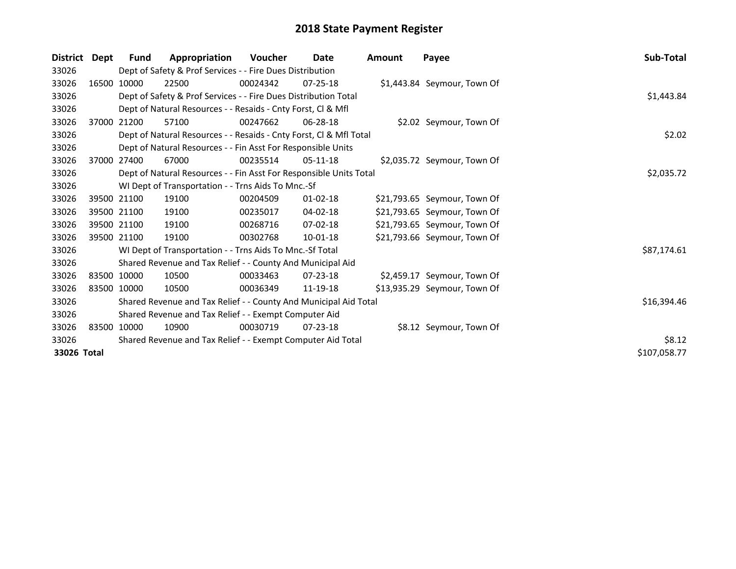| <b>District</b> | Dept | Fund        | Appropriation                                                      | Voucher  | Date           | Amount | Payee                        | Sub-Total    |  |  |
|-----------------|------|-------------|--------------------------------------------------------------------|----------|----------------|--------|------------------------------|--------------|--|--|
| 33026           |      |             | Dept of Safety & Prof Services - - Fire Dues Distribution          |          |                |        |                              |              |  |  |
| 33026           |      | 16500 10000 | 22500                                                              | 00024342 | $07 - 25 - 18$ |        | \$1,443.84 Seymour, Town Of  |              |  |  |
| 33026           |      |             | Dept of Safety & Prof Services - - Fire Dues Distribution Total    |          |                |        |                              |              |  |  |
| 33026           |      |             | Dept of Natural Resources - - Resaids - Cnty Forst, CI & Mfl       |          |                |        |                              |              |  |  |
| 33026           |      | 37000 21200 | 57100                                                              | 00247662 | 06-28-18       |        | \$2.02 Seymour, Town Of      |              |  |  |
| 33026           |      |             | Dept of Natural Resources - - Resaids - Cnty Forst, Cl & Mfl Total |          |                |        |                              | \$2.02       |  |  |
| 33026           |      |             | Dept of Natural Resources - - Fin Asst For Responsible Units       |          |                |        |                              |              |  |  |
| 33026           |      | 37000 27400 | 67000                                                              | 00235514 | $05-11-18$     |        | \$2,035.72 Seymour, Town Of  |              |  |  |
| 33026           |      |             | Dept of Natural Resources - - Fin Asst For Responsible Units Total |          |                |        |                              | \$2,035.72   |  |  |
| 33026           |      |             | WI Dept of Transportation - - Trns Aids To Mnc.-Sf                 |          |                |        |                              |              |  |  |
| 33026           |      | 39500 21100 | 19100                                                              | 00204509 | $01 - 02 - 18$ |        | \$21,793.65 Seymour, Town Of |              |  |  |
| 33026           |      | 39500 21100 | 19100                                                              | 00235017 | 04-02-18       |        | \$21,793.65 Seymour, Town Of |              |  |  |
| 33026           |      | 39500 21100 | 19100                                                              | 00268716 | $07 - 02 - 18$ |        | \$21,793.65 Seymour, Town Of |              |  |  |
| 33026           |      | 39500 21100 | 19100                                                              | 00302768 | 10-01-18       |        | \$21,793.66 Seymour, Town Of |              |  |  |
| 33026           |      |             | WI Dept of Transportation - - Trns Aids To Mnc.-Sf Total           |          |                |        |                              | \$87,174.61  |  |  |
| 33026           |      |             | Shared Revenue and Tax Relief - - County And Municipal Aid         |          |                |        |                              |              |  |  |
| 33026           |      | 83500 10000 | 10500                                                              | 00033463 | $07 - 23 - 18$ |        | \$2,459.17 Seymour, Town Of  |              |  |  |
| 33026           |      | 83500 10000 | 10500                                                              | 00036349 | 11-19-18       |        | \$13,935.29 Seymour, Town Of |              |  |  |
| 33026           |      |             | Shared Revenue and Tax Relief - - County And Municipal Aid Total   |          |                |        |                              | \$16,394.46  |  |  |
| 33026           |      |             | Shared Revenue and Tax Relief - - Exempt Computer Aid              |          |                |        |                              |              |  |  |
| 33026           |      | 83500 10000 | 10900                                                              | 00030719 | $07 - 23 - 18$ |        | \$8.12 Seymour, Town Of      |              |  |  |
| 33026           |      |             | Shared Revenue and Tax Relief - - Exempt Computer Aid Total        |          |                |        |                              | \$8.12       |  |  |
| 33026 Total     |      |             |                                                                    |          |                |        |                              | \$107,058.77 |  |  |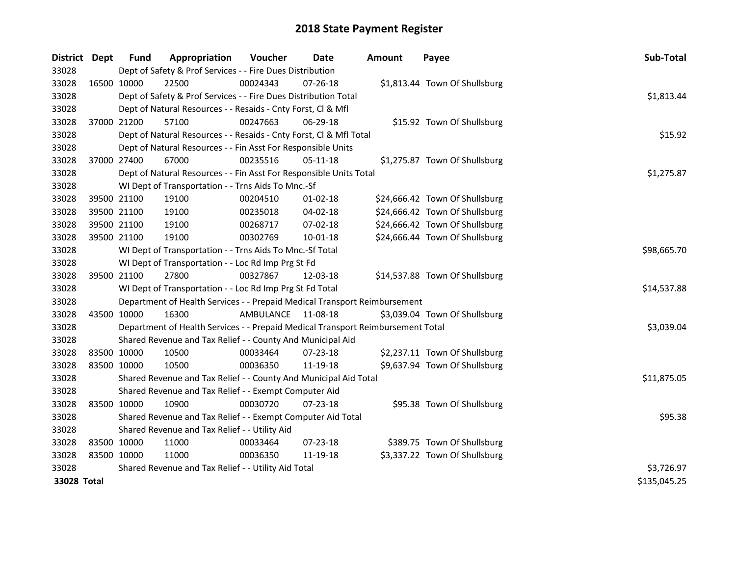| District Dept |             | <b>Fund</b>                                   | Appropriation                                                                   | Voucher            | Date           | <b>Amount</b> | Payee                          | Sub-Total    |
|---------------|-------------|-----------------------------------------------|---------------------------------------------------------------------------------|--------------------|----------------|---------------|--------------------------------|--------------|
| 33028         |             |                                               | Dept of Safety & Prof Services - - Fire Dues Distribution                       |                    |                |               |                                |              |
| 33028         |             | 16500 10000                                   | 22500                                                                           | 00024343           | $07 - 26 - 18$ |               | \$1,813.44 Town Of Shullsburg  |              |
| 33028         |             |                                               | Dept of Safety & Prof Services - - Fire Dues Distribution Total                 |                    |                |               |                                | \$1,813.44   |
| 33028         |             |                                               | Dept of Natural Resources - - Resaids - Cnty Forst, Cl & Mfl                    |                    |                |               |                                |              |
| 33028         |             | 37000 21200                                   | 57100                                                                           | 00247663           | 06-29-18       |               | \$15.92 Town Of Shullsburg     |              |
| 33028         |             |                                               | Dept of Natural Resources - - Resaids - Cnty Forst, Cl & Mfl Total              | \$15.92            |                |               |                                |              |
| 33028         |             |                                               | Dept of Natural Resources - - Fin Asst For Responsible Units                    |                    |                |               |                                |              |
| 33028         |             | 37000 27400                                   | 67000                                                                           | 00235516           | $05 - 11 - 18$ |               | \$1,275.87 Town Of Shullsburg  |              |
| 33028         |             |                                               | Dept of Natural Resources - - Fin Asst For Responsible Units Total              |                    |                |               |                                | \$1,275.87   |
| 33028         |             |                                               | WI Dept of Transportation - - Trns Aids To Mnc.-Sf                              |                    |                |               |                                |              |
| 33028         |             | 39500 21100                                   | 19100                                                                           | 00204510           | 01-02-18       |               | \$24,666.42 Town Of Shullsburg |              |
| 33028         |             | 39500 21100                                   | 19100                                                                           | 00235018           | 04-02-18       |               | \$24,666.42 Town Of Shullsburg |              |
| 33028         |             | 39500 21100                                   | 19100                                                                           | 00268717           | 07-02-18       |               | \$24,666.42 Town Of Shullsburg |              |
| 33028         |             | 39500 21100                                   | 19100                                                                           | 00302769           | 10-01-18       |               | \$24,666.44 Town Of Shullsburg |              |
| 33028         |             |                                               | WI Dept of Transportation - - Trns Aids To Mnc.-Sf Total                        | \$98,665.70        |                |               |                                |              |
| 33028         |             |                                               | WI Dept of Transportation - - Loc Rd Imp Prg St Fd                              |                    |                |               |                                |              |
| 33028         |             | 39500 21100                                   | 27800                                                                           | 00327867           | 12-03-18       |               | \$14,537.88 Town Of Shullsburg |              |
| 33028         |             |                                               | WI Dept of Transportation - - Loc Rd Imp Prg St Fd Total                        |                    |                |               |                                | \$14,537.88  |
| 33028         |             |                                               | Department of Health Services - - Prepaid Medical Transport Reimbursement       |                    |                |               |                                |              |
| 33028         | 43500 10000 |                                               | 16300                                                                           | AMBULANCE 11-08-18 |                |               | \$3,039.04 Town Of Shullsburg  |              |
| 33028         |             |                                               | Department of Health Services - - Prepaid Medical Transport Reimbursement Total |                    |                |               |                                | \$3,039.04   |
| 33028         |             |                                               | Shared Revenue and Tax Relief - - County And Municipal Aid                      |                    |                |               |                                |              |
| 33028         |             | 83500 10000                                   | 10500                                                                           | 00033464           | 07-23-18       |               | \$2,237.11 Town Of Shullsburg  |              |
| 33028         | 83500 10000 |                                               | 10500                                                                           | 00036350           | 11-19-18       |               | \$9,637.94 Town Of Shullsburg  |              |
| 33028         |             |                                               | Shared Revenue and Tax Relief - - County And Municipal Aid Total                |                    |                |               |                                | \$11,875.05  |
| 33028         |             |                                               | Shared Revenue and Tax Relief - - Exempt Computer Aid                           |                    |                |               |                                |              |
| 33028         | 83500 10000 |                                               | 10900                                                                           | 00030720           | 07-23-18       |               | \$95.38 Town Of Shullsburg     |              |
| 33028         |             |                                               | Shared Revenue and Tax Relief - - Exempt Computer Aid Total                     |                    |                |               |                                | \$95.38      |
| 33028         |             | Shared Revenue and Tax Relief - - Utility Aid |                                                                                 |                    |                |               |                                |              |
| 33028         |             | 83500 10000                                   | 11000                                                                           | 00033464           | $07 - 23 - 18$ |               | \$389.75 Town Of Shullsburg    |              |
| 33028         | 83500 10000 |                                               | 11000                                                                           | 00036350           | 11-19-18       |               | \$3,337.22 Town Of Shullsburg  |              |
| 33028         |             |                                               | Shared Revenue and Tax Relief - - Utility Aid Total                             |                    |                |               |                                | \$3,726.97   |
| 33028 Total   |             |                                               |                                                                                 |                    |                |               |                                | \$135,045.25 |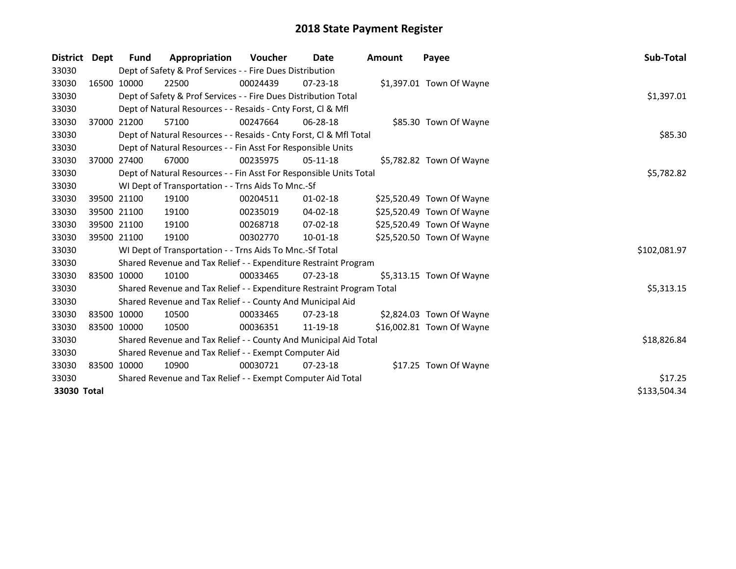| District Dept |             | Fund        | Appropriation                                                         | <b>Voucher</b> | Date           | <b>Amount</b> | Payee                     | Sub-Total    |
|---------------|-------------|-------------|-----------------------------------------------------------------------|----------------|----------------|---------------|---------------------------|--------------|
| 33030         |             |             | Dept of Safety & Prof Services - - Fire Dues Distribution             |                |                |               |                           |              |
| 33030         |             | 16500 10000 | 22500                                                                 | 00024439       | $07 - 23 - 18$ |               | \$1,397.01 Town Of Wayne  |              |
| 33030         |             |             | Dept of Safety & Prof Services - - Fire Dues Distribution Total       |                |                |               |                           | \$1,397.01   |
| 33030         |             |             | Dept of Natural Resources - - Resaids - Cnty Forst, CI & Mfl          |                |                |               |                           |              |
| 33030         |             | 37000 21200 | 57100                                                                 | 00247664       | $06 - 28 - 18$ |               | \$85.30 Town Of Wayne     |              |
| 33030         |             |             | Dept of Natural Resources - - Resaids - Cnty Forst, Cl & Mfl Total    |                |                |               |                           | \$85.30      |
| 33030         |             |             | Dept of Natural Resources - - Fin Asst For Responsible Units          |                |                |               |                           |              |
| 33030         |             | 37000 27400 | 67000                                                                 | 00235975       | $05-11-18$     |               | \$5,782.82 Town Of Wayne  |              |
| 33030         |             |             | Dept of Natural Resources - - Fin Asst For Responsible Units Total    |                |                |               |                           | \$5,782.82   |
| 33030         |             |             | WI Dept of Transportation - - Trns Aids To Mnc.-Sf                    |                |                |               |                           |              |
| 33030         |             | 39500 21100 | 19100                                                                 | 00204511       | $01 - 02 - 18$ |               | \$25,520.49 Town Of Wayne |              |
| 33030         |             | 39500 21100 | 19100                                                                 | 00235019       | 04-02-18       |               | \$25,520.49 Town Of Wayne |              |
| 33030         |             | 39500 21100 | 19100                                                                 | 00268718       | $07-02-18$     |               | \$25,520.49 Town Of Wayne |              |
| 33030         |             | 39500 21100 | 19100                                                                 | 00302770       | 10-01-18       |               | \$25,520.50 Town Of Wayne |              |
| 33030         |             |             | WI Dept of Transportation - - Trns Aids To Mnc.-Sf Total              |                |                |               |                           | \$102,081.97 |
| 33030         |             |             | Shared Revenue and Tax Relief - - Expenditure Restraint Program       |                |                |               |                           |              |
| 33030         |             | 83500 10000 | 10100                                                                 | 00033465       | $07 - 23 - 18$ |               | \$5,313.15 Town Of Wayne  |              |
| 33030         |             |             | Shared Revenue and Tax Relief - - Expenditure Restraint Program Total |                |                |               |                           | \$5,313.15   |
| 33030         |             |             | Shared Revenue and Tax Relief - - County And Municipal Aid            |                |                |               |                           |              |
| 33030         |             | 83500 10000 | 10500                                                                 | 00033465       | $07 - 23 - 18$ |               | \$2,824.03 Town Of Wayne  |              |
| 33030         | 83500 10000 |             | 10500                                                                 | 00036351       | 11-19-18       |               | \$16,002.81 Town Of Wayne |              |
| 33030         |             |             | Shared Revenue and Tax Relief - - County And Municipal Aid Total      |                |                |               |                           | \$18,826.84  |
| 33030         |             |             | Shared Revenue and Tax Relief - - Exempt Computer Aid                 |                |                |               |                           |              |
| 33030         |             | 83500 10000 | 10900                                                                 | 00030721       | $07 - 23 - 18$ |               | \$17.25 Town Of Wayne     |              |
| 33030         |             |             | Shared Revenue and Tax Relief - - Exempt Computer Aid Total           |                |                |               |                           | \$17.25      |
| 33030 Total   |             |             |                                                                       |                |                |               |                           | \$133,504.34 |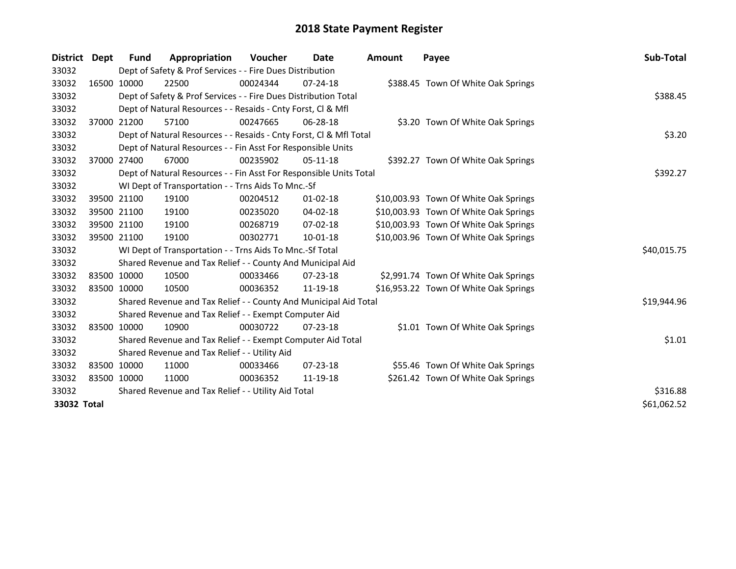| <b>District</b> | Dept | <b>Fund</b>                                         | Appropriation                                                      | Voucher  | Date           | Amount | Payee                                 | Sub-Total   |
|-----------------|------|-----------------------------------------------------|--------------------------------------------------------------------|----------|----------------|--------|---------------------------------------|-------------|
| 33032           |      |                                                     | Dept of Safety & Prof Services - - Fire Dues Distribution          |          |                |        |                                       |             |
| 33032           |      | 16500 10000                                         | 22500                                                              | 00024344 | $07 - 24 - 18$ |        | \$388.45 Town Of White Oak Springs    |             |
| 33032           |      |                                                     | Dept of Safety & Prof Services - - Fire Dues Distribution Total    |          |                |        |                                       | \$388.45    |
| 33032           |      |                                                     | Dept of Natural Resources - - Resaids - Cnty Forst, CI & Mfl       |          |                |        |                                       |             |
| 33032           |      | 37000 21200                                         | 57100                                                              | 00247665 | 06-28-18       |        | \$3.20 Town Of White Oak Springs      |             |
| 33032           |      |                                                     | Dept of Natural Resources - - Resaids - Cnty Forst, CI & Mfl Total |          |                |        |                                       | \$3.20      |
| 33032           |      |                                                     | Dept of Natural Resources - - Fin Asst For Responsible Units       |          |                |        |                                       |             |
| 33032           |      | 37000 27400                                         | 67000                                                              | 00235902 | $05-11-18$     |        | \$392.27 Town Of White Oak Springs    |             |
| 33032           |      |                                                     | Dept of Natural Resources - - Fin Asst For Responsible Units Total |          |                |        |                                       | \$392.27    |
| 33032           |      |                                                     | WI Dept of Transportation - - Trns Aids To Mnc.-Sf                 |          |                |        |                                       |             |
| 33032           |      | 39500 21100                                         | 19100                                                              | 00204512 | $01-02-18$     |        | \$10,003.93 Town Of White Oak Springs |             |
| 33032           |      | 39500 21100                                         | 19100                                                              | 00235020 | 04-02-18       |        | \$10,003.93 Town Of White Oak Springs |             |
| 33032           |      | 39500 21100                                         | 19100                                                              | 00268719 | 07-02-18       |        | \$10,003.93 Town Of White Oak Springs |             |
| 33032           |      | 39500 21100                                         | 19100                                                              | 00302771 | 10-01-18       |        | \$10,003.96 Town Of White Oak Springs |             |
| 33032           |      |                                                     | WI Dept of Transportation - - Trns Aids To Mnc.-Sf Total           |          |                |        |                                       | \$40,015.75 |
| 33032           |      |                                                     | Shared Revenue and Tax Relief - - County And Municipal Aid         |          |                |        |                                       |             |
| 33032           |      | 83500 10000                                         | 10500                                                              | 00033466 | $07 - 23 - 18$ |        | \$2,991.74 Town Of White Oak Springs  |             |
| 33032           |      | 83500 10000                                         | 10500                                                              | 00036352 | 11-19-18       |        | \$16,953.22 Town Of White Oak Springs |             |
| 33032           |      |                                                     | Shared Revenue and Tax Relief - - County And Municipal Aid Total   |          |                |        |                                       | \$19,944.96 |
| 33032           |      |                                                     | Shared Revenue and Tax Relief - - Exempt Computer Aid              |          |                |        |                                       |             |
| 33032           |      | 83500 10000                                         | 10900                                                              | 00030722 | $07 - 23 - 18$ |        | \$1.01 Town Of White Oak Springs      |             |
| 33032           |      |                                                     | Shared Revenue and Tax Relief - - Exempt Computer Aid Total        |          |                |        |                                       | \$1.01      |
| 33032           |      | Shared Revenue and Tax Relief - - Utility Aid       |                                                                    |          |                |        |                                       |             |
| 33032           |      | 83500 10000                                         | 11000                                                              | 00033466 | $07 - 23 - 18$ |        | \$55.46 Town Of White Oak Springs     |             |
| 33032           |      | 83500 10000                                         | 11000                                                              | 00036352 | 11-19-18       |        | \$261.42 Town Of White Oak Springs    |             |
| 33032           |      | Shared Revenue and Tax Relief - - Utility Aid Total | \$316.88                                                           |          |                |        |                                       |             |
| 33032 Total     |      |                                                     |                                                                    |          |                |        |                                       | \$61,062.52 |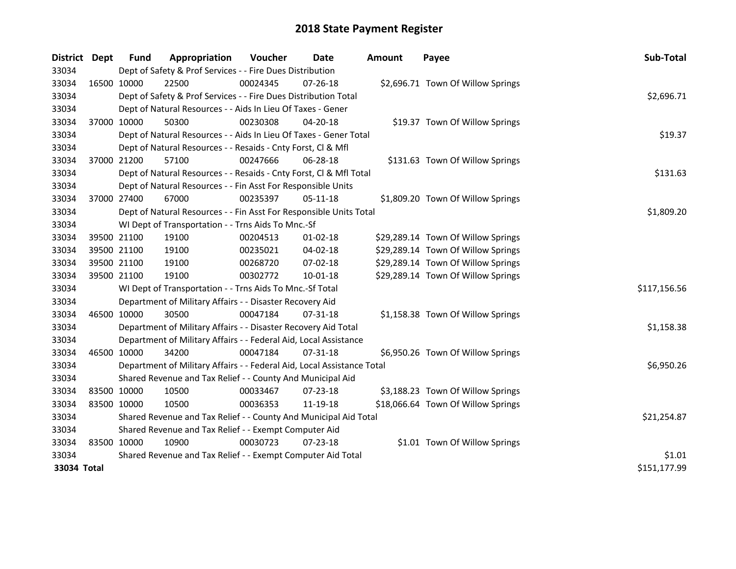| District    | <b>Dept</b> | Fund        | Appropriation                                                          | Voucher  | Date           | <b>Amount</b> | Payee                              | Sub-Total    |
|-------------|-------------|-------------|------------------------------------------------------------------------|----------|----------------|---------------|------------------------------------|--------------|
| 33034       |             |             | Dept of Safety & Prof Services - - Fire Dues Distribution              |          |                |               |                                    |              |
| 33034       |             | 16500 10000 | 22500                                                                  | 00024345 | 07-26-18       |               | \$2,696.71 Town Of Willow Springs  |              |
| 33034       |             |             | Dept of Safety & Prof Services - - Fire Dues Distribution Total        |          |                |               |                                    | \$2,696.71   |
| 33034       |             |             | Dept of Natural Resources - - Aids In Lieu Of Taxes - Gener            |          |                |               |                                    |              |
| 33034       |             | 37000 10000 | 50300                                                                  | 00230308 | 04-20-18       |               | \$19.37 Town Of Willow Springs     |              |
| 33034       |             |             | Dept of Natural Resources - - Aids In Lieu Of Taxes - Gener Total      |          |                |               |                                    | \$19.37      |
| 33034       |             |             | Dept of Natural Resources - - Resaids - Cnty Forst, Cl & Mfl           |          |                |               |                                    |              |
| 33034       |             | 37000 21200 | 57100                                                                  | 00247666 | $06 - 28 - 18$ |               | \$131.63 Town Of Willow Springs    |              |
| 33034       |             |             | Dept of Natural Resources - - Resaids - Cnty Forst, Cl & Mfl Total     |          |                |               |                                    | \$131.63     |
| 33034       |             |             | Dept of Natural Resources - - Fin Asst For Responsible Units           |          |                |               |                                    |              |
| 33034       |             | 37000 27400 | 67000                                                                  | 00235397 | 05-11-18       |               | \$1,809.20 Town Of Willow Springs  |              |
| 33034       |             |             | Dept of Natural Resources - - Fin Asst For Responsible Units Total     |          |                |               |                                    | \$1,809.20   |
| 33034       |             |             | WI Dept of Transportation - - Trns Aids To Mnc.-Sf                     |          |                |               |                                    |              |
| 33034       |             | 39500 21100 | 19100                                                                  | 00204513 | $01-02-18$     |               | \$29,289.14 Town Of Willow Springs |              |
| 33034       |             | 39500 21100 | 19100                                                                  | 00235021 | 04-02-18       |               | \$29,289.14 Town Of Willow Springs |              |
| 33034       |             | 39500 21100 | 19100                                                                  | 00268720 | 07-02-18       |               | \$29,289.14 Town Of Willow Springs |              |
| 33034       |             | 39500 21100 | 19100                                                                  | 00302772 | 10-01-18       |               | \$29,289.14 Town Of Willow Springs |              |
| 33034       |             |             | WI Dept of Transportation - - Trns Aids To Mnc.-Sf Total               |          |                |               |                                    | \$117,156.56 |
| 33034       |             |             | Department of Military Affairs - - Disaster Recovery Aid               |          |                |               |                                    |              |
| 33034       |             | 46500 10000 | 30500                                                                  | 00047184 | $07 - 31 - 18$ |               | \$1,158.38 Town Of Willow Springs  |              |
| 33034       |             |             | Department of Military Affairs - - Disaster Recovery Aid Total         |          |                |               |                                    | \$1,158.38   |
| 33034       |             |             | Department of Military Affairs - - Federal Aid, Local Assistance       |          |                |               |                                    |              |
| 33034       |             | 46500 10000 | 34200                                                                  | 00047184 | $07 - 31 - 18$ |               | \$6,950.26 Town Of Willow Springs  |              |
| 33034       |             |             | Department of Military Affairs - - Federal Aid, Local Assistance Total |          |                |               |                                    | \$6,950.26   |
| 33034       |             |             | Shared Revenue and Tax Relief - - County And Municipal Aid             |          |                |               |                                    |              |
| 33034       |             | 83500 10000 | 10500                                                                  | 00033467 | 07-23-18       |               | \$3,188.23 Town Of Willow Springs  |              |
| 33034       |             | 83500 10000 | 10500                                                                  | 00036353 | 11-19-18       |               | \$18,066.64 Town Of Willow Springs |              |
| 33034       |             |             | Shared Revenue and Tax Relief - - County And Municipal Aid Total       |          |                |               |                                    | \$21,254.87  |
| 33034       |             |             | Shared Revenue and Tax Relief - - Exempt Computer Aid                  |          |                |               |                                    |              |
| 33034       |             | 83500 10000 | 10900                                                                  | 00030723 | 07-23-18       |               | \$1.01 Town Of Willow Springs      |              |
| 33034       |             |             | Shared Revenue and Tax Relief - - Exempt Computer Aid Total            |          |                |               |                                    | \$1.01       |
| 33034 Total |             |             |                                                                        |          |                |               |                                    | \$151,177.99 |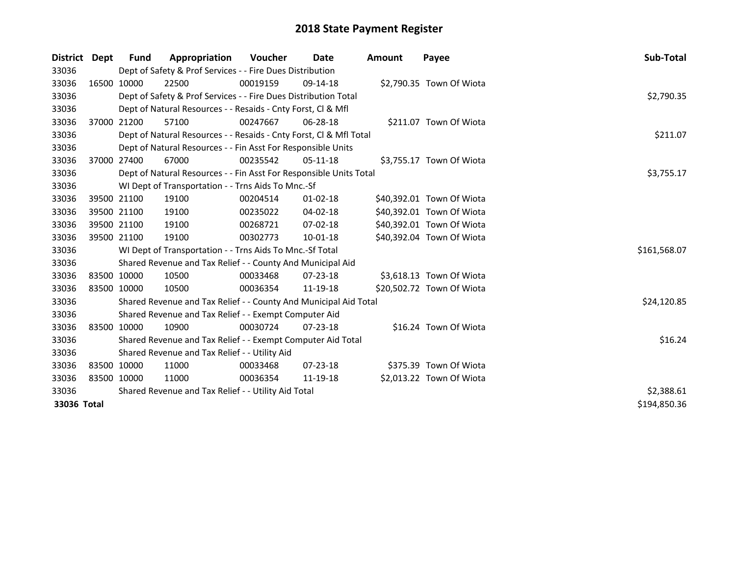| District    | Dept        | Fund                                                | Appropriation                                                      | <b>Voucher</b> | Date           | Amount | Payee                     | Sub-Total    |  |
|-------------|-------------|-----------------------------------------------------|--------------------------------------------------------------------|----------------|----------------|--------|---------------------------|--------------|--|
| 33036       |             |                                                     | Dept of Safety & Prof Services - - Fire Dues Distribution          |                |                |        |                           |              |  |
| 33036       |             | 16500 10000                                         | 22500                                                              | 00019159       | 09-14-18       |        | \$2,790.35 Town Of Wiota  |              |  |
| 33036       |             |                                                     | Dept of Safety & Prof Services - - Fire Dues Distribution Total    |                |                |        |                           | \$2,790.35   |  |
| 33036       |             |                                                     | Dept of Natural Resources - - Resaids - Cnty Forst, Cl & Mfl       |                |                |        |                           |              |  |
| 33036       |             | 37000 21200                                         | 57100                                                              | 00247667       | 06-28-18       |        | \$211.07 Town Of Wiota    |              |  |
| 33036       |             |                                                     | Dept of Natural Resources - - Resaids - Cnty Forst, Cl & Mfl Total |                |                |        |                           | \$211.07     |  |
| 33036       |             |                                                     | Dept of Natural Resources - - Fin Asst For Responsible Units       |                |                |        |                           |              |  |
| 33036       |             | 37000 27400                                         | 67000                                                              | 00235542       | 05-11-18       |        | \$3,755.17 Town Of Wiota  |              |  |
| 33036       |             |                                                     | Dept of Natural Resources - - Fin Asst For Responsible Units Total |                |                |        |                           | \$3,755.17   |  |
| 33036       |             |                                                     | WI Dept of Transportation - - Trns Aids To Mnc.-Sf                 |                |                |        |                           |              |  |
| 33036       |             | 39500 21100                                         | 19100                                                              | 00204514       | $01 - 02 - 18$ |        | \$40,392.01 Town Of Wiota |              |  |
| 33036       |             | 39500 21100                                         | 19100                                                              | 00235022       | $04 - 02 - 18$ |        | \$40,392.01 Town Of Wiota |              |  |
| 33036       |             | 39500 21100                                         | 19100                                                              | 00268721       | 07-02-18       |        | \$40,392.01 Town Of Wiota |              |  |
| 33036       |             | 39500 21100                                         | 19100                                                              | 00302773       | 10-01-18       |        | \$40,392.04 Town Of Wiota |              |  |
| 33036       |             |                                                     | WI Dept of Transportation - - Trns Aids To Mnc.-Sf Total           |                |                |        |                           | \$161,568.07 |  |
| 33036       |             |                                                     | Shared Revenue and Tax Relief - - County And Municipal Aid         |                |                |        |                           |              |  |
| 33036       |             | 83500 10000                                         | 10500                                                              | 00033468       | $07 - 23 - 18$ |        | \$3,618.13 Town Of Wiota  |              |  |
| 33036       | 83500 10000 |                                                     | 10500                                                              | 00036354       | 11-19-18       |        | \$20,502.72 Town Of Wiota |              |  |
| 33036       |             |                                                     | Shared Revenue and Tax Relief - - County And Municipal Aid Total   |                |                |        |                           | \$24,120.85  |  |
| 33036       |             |                                                     | Shared Revenue and Tax Relief - - Exempt Computer Aid              |                |                |        |                           |              |  |
| 33036       | 83500 10000 |                                                     | 10900                                                              | 00030724       | $07 - 23 - 18$ |        | \$16.24 Town Of Wiota     |              |  |
| 33036       |             |                                                     | Shared Revenue and Tax Relief - - Exempt Computer Aid Total        |                |                |        |                           | \$16.24      |  |
| 33036       |             | Shared Revenue and Tax Relief - - Utility Aid       |                                                                    |                |                |        |                           |              |  |
| 33036       | 83500 10000 |                                                     | 11000                                                              | 00033468       | $07 - 23 - 18$ |        | \$375.39 Town Of Wiota    |              |  |
| 33036       | 83500 10000 |                                                     | 11000                                                              | 00036354       | 11-19-18       |        | \$2,013.22 Town Of Wiota  |              |  |
| 33036       |             | Shared Revenue and Tax Relief - - Utility Aid Total |                                                                    |                |                |        |                           |              |  |
| 33036 Total |             |                                                     |                                                                    |                |                |        |                           | \$194,850.36 |  |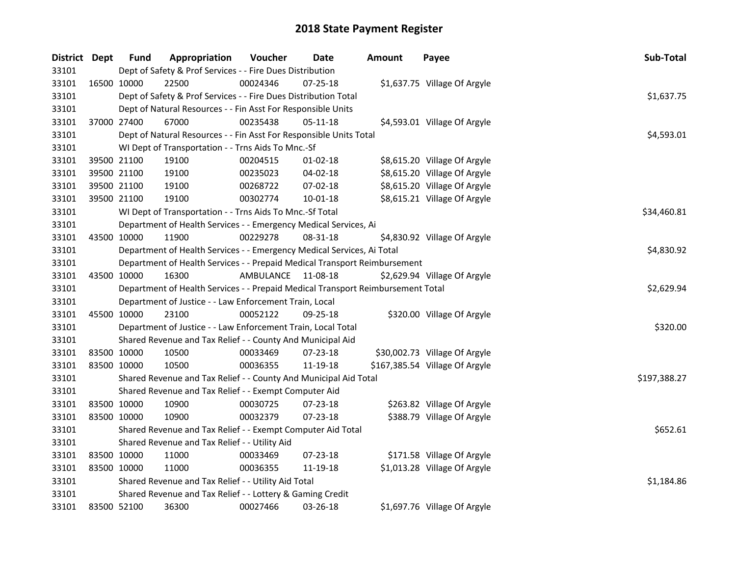| District Dept |             | <b>Fund</b> | Appropriation                                                                   | Voucher   | Date       | <b>Amount</b> | Payee                          | Sub-Total    |
|---------------|-------------|-------------|---------------------------------------------------------------------------------|-----------|------------|---------------|--------------------------------|--------------|
| 33101         |             |             | Dept of Safety & Prof Services - - Fire Dues Distribution                       |           |            |               |                                |              |
| 33101         |             | 16500 10000 | 22500                                                                           | 00024346  | 07-25-18   |               | \$1,637.75 Village Of Argyle   |              |
| 33101         |             |             | Dept of Safety & Prof Services - - Fire Dues Distribution Total                 |           |            |               |                                | \$1,637.75   |
| 33101         |             |             | Dept of Natural Resources - - Fin Asst For Responsible Units                    |           |            |               |                                |              |
| 33101         | 37000 27400 |             | 67000                                                                           | 00235438  | 05-11-18   |               | \$4,593.01 Village Of Argyle   |              |
| 33101         |             |             | Dept of Natural Resources - - Fin Asst For Responsible Units Total              |           |            |               |                                | \$4,593.01   |
| 33101         |             |             | WI Dept of Transportation - - Trns Aids To Mnc.-Sf                              |           |            |               |                                |              |
| 33101         |             | 39500 21100 | 19100                                                                           | 00204515  | $01-02-18$ |               | \$8,615.20 Village Of Argyle   |              |
| 33101         |             | 39500 21100 | 19100                                                                           | 00235023  | 04-02-18   |               | \$8,615.20 Village Of Argyle   |              |
| 33101         |             | 39500 21100 | 19100                                                                           | 00268722  | 07-02-18   |               | \$8,615.20 Village Of Argyle   |              |
| 33101         |             | 39500 21100 | 19100                                                                           | 00302774  | 10-01-18   |               | \$8,615.21 Village Of Argyle   |              |
| 33101         |             |             | WI Dept of Transportation - - Trns Aids To Mnc.-Sf Total                        |           |            |               |                                | \$34,460.81  |
| 33101         |             |             | Department of Health Services - - Emergency Medical Services, Ai                |           |            |               |                                |              |
| 33101         |             | 43500 10000 | 11900                                                                           | 00229278  | 08-31-18   |               | \$4,830.92 Village Of Argyle   |              |
| 33101         |             |             | Department of Health Services - - Emergency Medical Services, Ai Total          |           |            |               |                                | \$4,830.92   |
| 33101         |             |             | Department of Health Services - - Prepaid Medical Transport Reimbursement       |           |            |               |                                |              |
| 33101         |             | 43500 10000 | 16300                                                                           | AMBULANCE | 11-08-18   |               | \$2,629.94 Village Of Argyle   |              |
| 33101         |             |             | Department of Health Services - - Prepaid Medical Transport Reimbursement Total |           |            |               |                                | \$2,629.94   |
| 33101         |             |             | Department of Justice - - Law Enforcement Train, Local                          |           |            |               |                                |              |
| 33101         |             | 45500 10000 | 23100                                                                           | 00052122  | 09-25-18   |               | \$320.00 Village Of Argyle     |              |
| 33101         |             |             | Department of Justice - - Law Enforcement Train, Local Total                    |           |            |               |                                | \$320.00     |
| 33101         |             |             | Shared Revenue and Tax Relief - - County And Municipal Aid                      |           |            |               |                                |              |
| 33101         |             | 83500 10000 | 10500                                                                           | 00033469  | 07-23-18   |               | \$30,002.73 Village Of Argyle  |              |
| 33101         |             | 83500 10000 | 10500                                                                           | 00036355  | 11-19-18   |               | \$167,385.54 Village Of Argyle |              |
| 33101         |             |             | Shared Revenue and Tax Relief - - County And Municipal Aid Total                |           |            |               |                                | \$197,388.27 |
| 33101         |             |             | Shared Revenue and Tax Relief - - Exempt Computer Aid                           |           |            |               |                                |              |
| 33101         |             | 83500 10000 | 10900                                                                           | 00030725  | 07-23-18   |               | \$263.82 Village Of Argyle     |              |
| 33101         | 83500 10000 |             | 10900                                                                           | 00032379  | 07-23-18   |               | \$388.79 Village Of Argyle     |              |
| 33101         |             |             | Shared Revenue and Tax Relief - - Exempt Computer Aid Total                     |           |            |               |                                | \$652.61     |
| 33101         |             |             | Shared Revenue and Tax Relief - - Utility Aid                                   |           |            |               |                                |              |
| 33101         |             | 83500 10000 | 11000                                                                           | 00033469  | 07-23-18   |               | \$171.58 Village Of Argyle     |              |
| 33101         |             | 83500 10000 | 11000                                                                           | 00036355  | 11-19-18   |               | \$1,013.28 Village Of Argyle   |              |
| 33101         |             |             | Shared Revenue and Tax Relief - - Utility Aid Total                             |           |            |               |                                | \$1,184.86   |
| 33101         |             |             | Shared Revenue and Tax Relief - - Lottery & Gaming Credit                       |           |            |               |                                |              |
| 33101         |             | 83500 52100 | 36300                                                                           | 00027466  | 03-26-18   |               | \$1,697.76 Village Of Argyle   |              |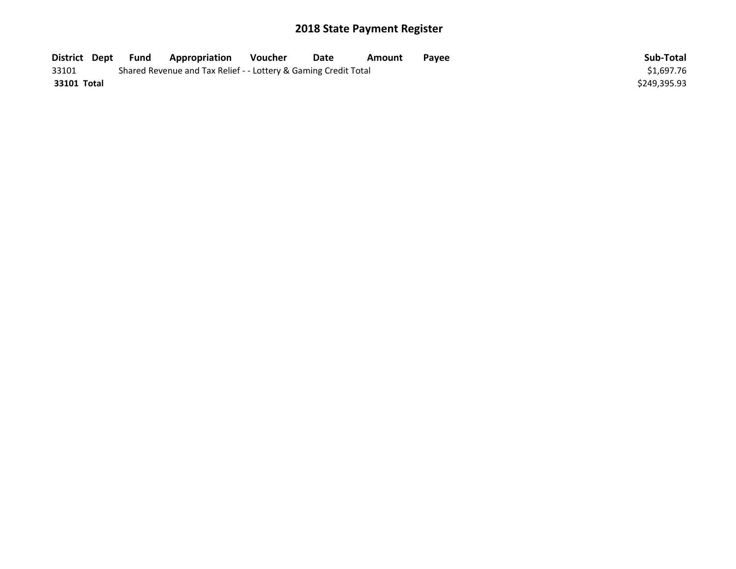| District Dept | Fund | <b>Appropriation</b>                                            | Voucher | Date | Amount | Payee | Sub-Total    |
|---------------|------|-----------------------------------------------------------------|---------|------|--------|-------|--------------|
| 33101         |      | Shared Revenue and Tax Relief - - Lottery & Gaming Credit Total |         |      |        |       | \$1,697.76   |
| 33101 Total   |      |                                                                 |         |      |        |       | \$249,395.93 |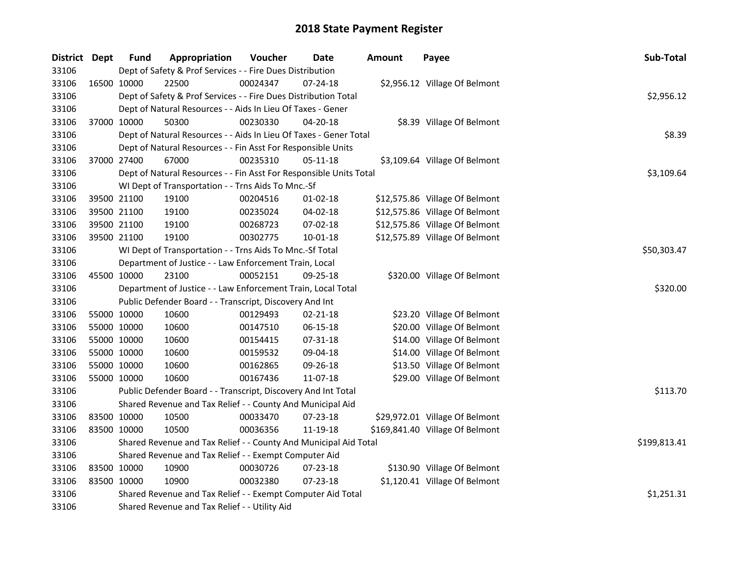| District Dept |             | <b>Fund</b> | Appropriation                                                      | Voucher    | <b>Date</b>    | <b>Amount</b> | Payee                           | Sub-Total    |
|---------------|-------------|-------------|--------------------------------------------------------------------|------------|----------------|---------------|---------------------------------|--------------|
| 33106         |             |             | Dept of Safety & Prof Services - - Fire Dues Distribution          |            |                |               |                                 |              |
| 33106         | 16500 10000 |             | 22500                                                              | 00024347   | 07-24-18       |               | \$2,956.12 Village Of Belmont   |              |
| 33106         |             |             | Dept of Safety & Prof Services - - Fire Dues Distribution Total    |            |                |               |                                 | \$2,956.12   |
| 33106         |             |             | Dept of Natural Resources - - Aids In Lieu Of Taxes - Gener        |            |                |               |                                 |              |
| 33106         | 37000 10000 |             | 50300                                                              | 00230330   | 04-20-18       |               | \$8.39 Village Of Belmont       |              |
| 33106         |             |             | Dept of Natural Resources - - Aids In Lieu Of Taxes - Gener Total  |            |                |               |                                 | \$8.39       |
| 33106         |             |             | Dept of Natural Resources - - Fin Asst For Responsible Units       |            |                |               |                                 |              |
| 33106         |             | 37000 27400 | 67000                                                              | 00235310   | $05 - 11 - 18$ |               | \$3,109.64 Village Of Belmont   |              |
| 33106         |             |             | Dept of Natural Resources - - Fin Asst For Responsible Units Total | \$3,109.64 |                |               |                                 |              |
| 33106         |             |             | WI Dept of Transportation - - Trns Aids To Mnc.-Sf                 |            |                |               |                                 |              |
| 33106         |             | 39500 21100 | 19100                                                              | 00204516   | $01 - 02 - 18$ |               | \$12,575.86 Village Of Belmont  |              |
| 33106         | 39500 21100 |             | 19100                                                              | 00235024   | 04-02-18       |               | \$12,575.86 Village Of Belmont  |              |
| 33106         | 39500 21100 |             | 19100                                                              | 00268723   | 07-02-18       |               | \$12,575.86 Village Of Belmont  |              |
| 33106         | 39500 21100 |             | 19100                                                              | 00302775   | 10-01-18       |               | \$12,575.89 Village Of Belmont  |              |
| 33106         |             |             | WI Dept of Transportation - - Trns Aids To Mnc.-Sf Total           |            |                |               |                                 | \$50,303.47  |
| 33106         |             |             | Department of Justice - - Law Enforcement Train, Local             |            |                |               |                                 |              |
| 33106         | 45500 10000 |             | 23100                                                              | 00052151   | 09-25-18       |               | \$320.00 Village Of Belmont     |              |
| 33106         |             |             | Department of Justice - - Law Enforcement Train, Local Total       |            |                |               |                                 | \$320.00     |
| 33106         |             |             | Public Defender Board - - Transcript, Discovery And Int            |            |                |               |                                 |              |
| 33106         | 55000 10000 |             | 10600                                                              | 00129493   | 02-21-18       |               | \$23.20 Village Of Belmont      |              |
| 33106         | 55000 10000 |             | 10600                                                              | 00147510   | 06-15-18       |               | \$20.00 Village Of Belmont      |              |
| 33106         | 55000 10000 |             | 10600                                                              | 00154415   | 07-31-18       |               | \$14.00 Village Of Belmont      |              |
| 33106         | 55000 10000 |             | 10600                                                              | 00159532   | 09-04-18       |               | \$14.00 Village Of Belmont      |              |
| 33106         | 55000 10000 |             | 10600                                                              | 00162865   | 09-26-18       |               | \$13.50 Village Of Belmont      |              |
| 33106         | 55000 10000 |             | 10600                                                              | 00167436   | 11-07-18       |               | \$29.00 Village Of Belmont      |              |
| 33106         |             |             | Public Defender Board - - Transcript, Discovery And Int Total      |            |                |               |                                 | \$113.70     |
| 33106         |             |             | Shared Revenue and Tax Relief - - County And Municipal Aid         |            |                |               |                                 |              |
| 33106         | 83500 10000 |             | 10500                                                              | 00033470   | 07-23-18       |               | \$29,972.01 Village Of Belmont  |              |
| 33106         | 83500 10000 |             | 10500                                                              | 00036356   | 11-19-18       |               | \$169,841.40 Village Of Belmont |              |
| 33106         |             |             | Shared Revenue and Tax Relief - - County And Municipal Aid Total   |            |                |               |                                 | \$199,813.41 |
| 33106         |             |             | Shared Revenue and Tax Relief - - Exempt Computer Aid              |            |                |               |                                 |              |
| 33106         | 83500 10000 |             | 10900                                                              | 00030726   | 07-23-18       |               | \$130.90 Village Of Belmont     |              |
| 33106         | 83500 10000 |             | 10900                                                              | 00032380   | $07 - 23 - 18$ |               | \$1,120.41 Village Of Belmont   |              |
| 33106         |             |             | Shared Revenue and Tax Relief - - Exempt Computer Aid Total        |            |                |               |                                 | \$1,251.31   |
| 33106         |             |             | Shared Revenue and Tax Relief - - Utility Aid                      |            |                |               |                                 |              |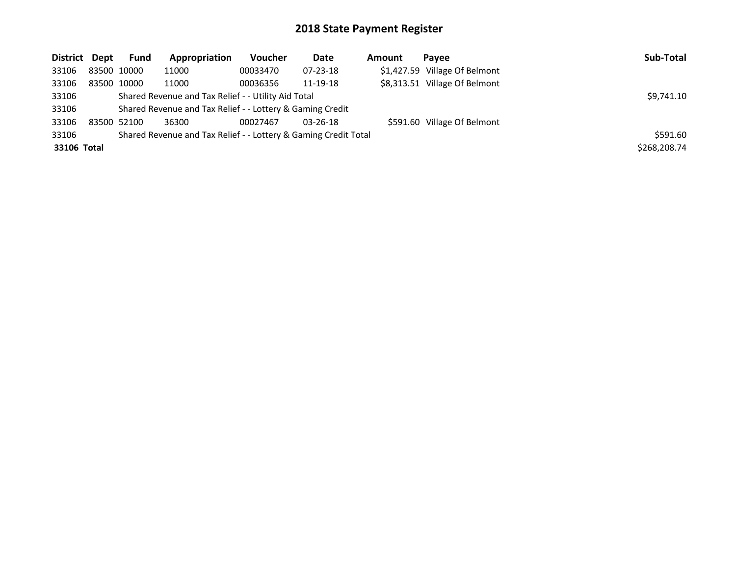| District Dept |             | Fund | Appropriation                                                   | Voucher  | Date           | Amount | Pavee                         | Sub-Total    |
|---------------|-------------|------|-----------------------------------------------------------------|----------|----------------|--------|-------------------------------|--------------|
| 33106         | 83500 10000 |      | 11000                                                           | 00033470 | $07 - 23 - 18$ |        | \$1,427.59 Village Of Belmont |              |
| 33106         | 83500 10000 |      | 11000                                                           | 00036356 | 11-19-18       |        | \$8,313.51 Village Of Belmont |              |
| 33106         |             |      | Shared Revenue and Tax Relief - - Utility Aid Total             |          |                |        |                               | \$9,741.10   |
| 33106         |             |      | Shared Revenue and Tax Relief - - Lottery & Gaming Credit       |          |                |        |                               |              |
| 33106         | 83500 52100 |      | 36300                                                           | 00027467 | $03 - 26 - 18$ |        | \$591.60 Village Of Belmont   |              |
| 33106         |             |      | Shared Revenue and Tax Relief - - Lottery & Gaming Credit Total |          |                |        |                               | \$591.60     |
| 33106 Total   |             |      |                                                                 |          |                |        |                               | \$268,208.74 |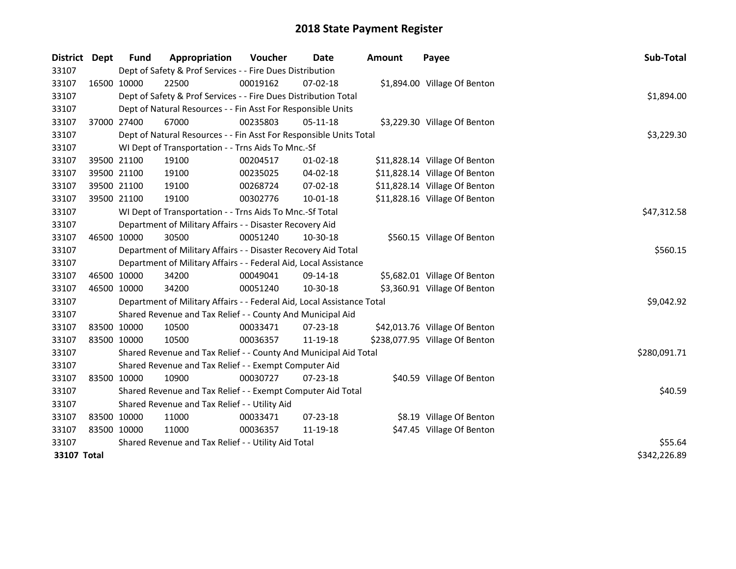| District    | Dept        | <b>Fund</b>                                   | Appropriation                                                          | Voucher  | <b>Date</b>    | <b>Amount</b> | Payee                          | Sub-Total    |
|-------------|-------------|-----------------------------------------------|------------------------------------------------------------------------|----------|----------------|---------------|--------------------------------|--------------|
| 33107       |             |                                               | Dept of Safety & Prof Services - - Fire Dues Distribution              |          |                |               |                                |              |
| 33107       |             | 16500 10000                                   | 22500                                                                  | 00019162 | $07 - 02 - 18$ |               | \$1,894.00 Village Of Benton   |              |
| 33107       |             |                                               | Dept of Safety & Prof Services - - Fire Dues Distribution Total        |          |                |               |                                | \$1,894.00   |
| 33107       |             |                                               | Dept of Natural Resources - - Fin Asst For Responsible Units           |          |                |               |                                |              |
| 33107       |             | 37000 27400                                   | 67000                                                                  | 00235803 | 05-11-18       |               | \$3,229.30 Village Of Benton   |              |
| 33107       |             |                                               | Dept of Natural Resources - - Fin Asst For Responsible Units Total     |          |                |               |                                | \$3,229.30   |
| 33107       |             |                                               | WI Dept of Transportation - - Trns Aids To Mnc.-Sf                     |          |                |               |                                |              |
| 33107       |             | 39500 21100                                   | 19100                                                                  | 00204517 | $01 - 02 - 18$ |               | \$11,828.14 Village Of Benton  |              |
| 33107       |             | 39500 21100                                   | 19100                                                                  | 00235025 | 04-02-18       |               | \$11,828.14 Village Of Benton  |              |
| 33107       |             | 39500 21100                                   | 19100                                                                  | 00268724 | 07-02-18       |               | \$11,828.14 Village Of Benton  |              |
| 33107       | 39500 21100 |                                               | 19100                                                                  | 00302776 | $10 - 01 - 18$ |               | \$11,828.16 Village Of Benton  |              |
| 33107       |             |                                               | WI Dept of Transportation - - Trns Aids To Mnc.-Sf Total               |          |                |               |                                | \$47,312.58  |
| 33107       |             |                                               | Department of Military Affairs - - Disaster Recovery Aid               |          |                |               |                                |              |
| 33107       | 46500 10000 |                                               | 30500                                                                  | 00051240 | 10-30-18       |               | \$560.15 Village Of Benton     |              |
| 33107       |             |                                               | Department of Military Affairs - - Disaster Recovery Aid Total         |          |                |               |                                | \$560.15     |
| 33107       |             |                                               | Department of Military Affairs - - Federal Aid, Local Assistance       |          |                |               |                                |              |
| 33107       | 46500 10000 |                                               | 34200                                                                  | 00049041 | 09-14-18       |               | \$5,682.01 Village Of Benton   |              |
| 33107       | 46500 10000 |                                               | 34200                                                                  | 00051240 | 10-30-18       |               | \$3,360.91 Village Of Benton   |              |
| 33107       |             |                                               | Department of Military Affairs - - Federal Aid, Local Assistance Total |          |                |               |                                | \$9,042.92   |
| 33107       |             |                                               | Shared Revenue and Tax Relief - - County And Municipal Aid             |          |                |               |                                |              |
| 33107       |             | 83500 10000                                   | 10500                                                                  | 00033471 | 07-23-18       |               | \$42,013.76 Village Of Benton  |              |
| 33107       | 83500 10000 |                                               | 10500                                                                  | 00036357 | 11-19-18       |               | \$238,077.95 Village Of Benton |              |
| 33107       |             |                                               | Shared Revenue and Tax Relief - - County And Municipal Aid Total       |          |                |               |                                | \$280,091.71 |
| 33107       |             |                                               | Shared Revenue and Tax Relief - - Exempt Computer Aid                  |          |                |               |                                |              |
| 33107       |             | 83500 10000                                   | 10900                                                                  | 00030727 | 07-23-18       |               | \$40.59 Village Of Benton      |              |
| 33107       |             |                                               | Shared Revenue and Tax Relief - - Exempt Computer Aid Total            |          |                |               |                                | \$40.59      |
| 33107       |             | Shared Revenue and Tax Relief - - Utility Aid |                                                                        |          |                |               |                                |              |
| 33107       |             | 83500 10000                                   | 11000                                                                  | 00033471 | 07-23-18       |               | \$8.19 Village Of Benton       |              |
| 33107       | 83500 10000 |                                               | 11000                                                                  | 00036357 | 11-19-18       |               | \$47.45 Village Of Benton      |              |
| 33107       |             |                                               | Shared Revenue and Tax Relief - - Utility Aid Total                    |          |                |               |                                | \$55.64      |
| 33107 Total |             |                                               |                                                                        |          |                |               |                                | \$342,226.89 |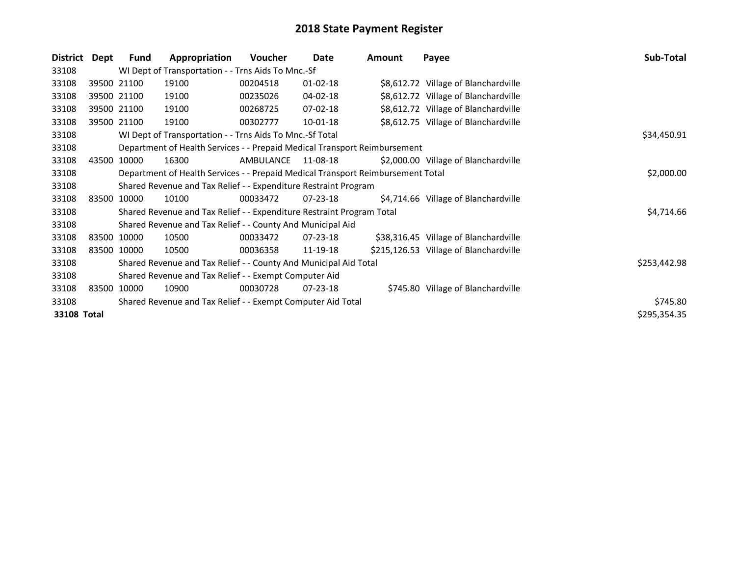| <b>District</b> | Dept        | <b>Fund</b>                                           | Appropriation                                                                   | <b>Voucher</b> | Date           | Amount | Payee                                  | Sub-Total    |  |  |  |
|-----------------|-------------|-------------------------------------------------------|---------------------------------------------------------------------------------|----------------|----------------|--------|----------------------------------------|--------------|--|--|--|
| 33108           |             |                                                       | WI Dept of Transportation - - Trns Aids To Mnc.-Sf                              |                |                |        |                                        |              |  |  |  |
| 33108           |             | 39500 21100                                           | 19100                                                                           | 00204518       | $01 - 02 - 18$ |        | \$8,612.72 Village of Blanchardville   |              |  |  |  |
| 33108           |             | 39500 21100                                           | 19100                                                                           | 00235026       | 04-02-18       |        | \$8,612.72 Village of Blanchardville   |              |  |  |  |
| 33108           |             | 39500 21100                                           | 19100                                                                           | 00268725       | 07-02-18       |        | \$8,612.72 Village of Blanchardville   |              |  |  |  |
| 33108           |             | 39500 21100                                           | 19100                                                                           | 00302777       | 10-01-18       |        | \$8,612.75 Village of Blanchardville   |              |  |  |  |
| 33108           |             |                                                       | WI Dept of Transportation - - Trns Aids To Mnc.-Sf Total                        |                |                |        |                                        | \$34,450.91  |  |  |  |
| 33108           |             |                                                       | Department of Health Services - - Prepaid Medical Transport Reimbursement       |                |                |        |                                        |              |  |  |  |
| 33108           | 43500 10000 |                                                       | 16300                                                                           | AMBULANCE      | 11-08-18       |        | \$2,000.00 Village of Blanchardville   |              |  |  |  |
| 33108           |             |                                                       | Department of Health Services - - Prepaid Medical Transport Reimbursement Total |                |                |        |                                        |              |  |  |  |
| 33108           |             |                                                       | Shared Revenue and Tax Relief - - Expenditure Restraint Program                 |                |                |        |                                        |              |  |  |  |
| 33108           |             | 83500 10000                                           | 10100                                                                           | 00033472       | $07 - 23 - 18$ |        | \$4,714.66 Village of Blanchardville   |              |  |  |  |
| 33108           |             |                                                       | Shared Revenue and Tax Relief - - Expenditure Restraint Program Total           |                |                |        |                                        | \$4,714.66   |  |  |  |
| 33108           |             |                                                       | Shared Revenue and Tax Relief - - County And Municipal Aid                      |                |                |        |                                        |              |  |  |  |
| 33108           |             | 83500 10000                                           | 10500                                                                           | 00033472       | 07-23-18       |        | \$38,316.45 Village of Blanchardville  |              |  |  |  |
| 33108           | 83500 10000 |                                                       | 10500                                                                           | 00036358       | 11-19-18       |        | \$215,126.53 Village of Blanchardville |              |  |  |  |
| 33108           |             |                                                       | Shared Revenue and Tax Relief - - County And Municipal Aid Total                |                |                |        |                                        | \$253,442.98 |  |  |  |
| 33108           |             | Shared Revenue and Tax Relief - - Exempt Computer Aid |                                                                                 |                |                |        |                                        |              |  |  |  |
| 33108           |             | 83500 10000                                           | 10900                                                                           | 00030728       | $07 - 23 - 18$ |        | \$745.80 Village of Blanchardville     |              |  |  |  |
| 33108           |             |                                                       | Shared Revenue and Tax Relief - - Exempt Computer Aid Total                     |                |                |        |                                        | \$745.80     |  |  |  |
| 33108 Total     |             |                                                       |                                                                                 |                |                |        |                                        | \$295,354.35 |  |  |  |
|                 |             |                                                       |                                                                                 |                |                |        |                                        |              |  |  |  |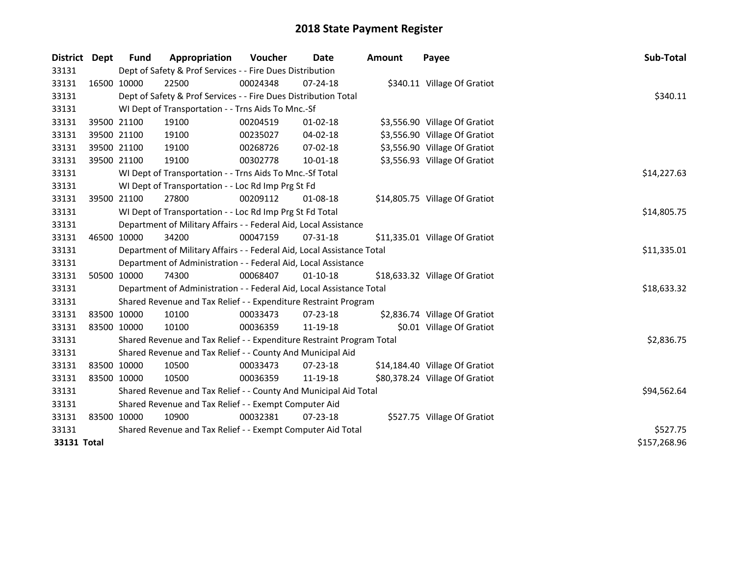| District    | Dept        | Fund        | Appropriation                                                          | Voucher  | Date           | <b>Amount</b> | Payee                          | Sub-Total    |
|-------------|-------------|-------------|------------------------------------------------------------------------|----------|----------------|---------------|--------------------------------|--------------|
| 33131       |             |             | Dept of Safety & Prof Services - - Fire Dues Distribution              |          |                |               |                                |              |
| 33131       | 16500 10000 |             | 22500                                                                  | 00024348 | $07 - 24 - 18$ |               | \$340.11 Village Of Gratiot    |              |
| 33131       |             |             | Dept of Safety & Prof Services - - Fire Dues Distribution Total        |          |                |               |                                | \$340.11     |
| 33131       |             |             | WI Dept of Transportation - - Trns Aids To Mnc.-Sf                     |          |                |               |                                |              |
| 33131       |             | 39500 21100 | 19100                                                                  | 00204519 | $01-02-18$     |               | \$3,556.90 Village Of Gratiot  |              |
| 33131       | 39500 21100 |             | 19100                                                                  | 00235027 | 04-02-18       |               | \$3,556.90 Village Of Gratiot  |              |
| 33131       |             | 39500 21100 | 19100                                                                  | 00268726 | $07 - 02 - 18$ |               | \$3,556.90 Village Of Gratiot  |              |
| 33131       | 39500 21100 |             | 19100                                                                  | 00302778 | 10-01-18       |               | \$3,556.93 Village Of Gratiot  |              |
| 33131       |             |             | WI Dept of Transportation - - Trns Aids To Mnc.-Sf Total               |          |                |               |                                | \$14,227.63  |
| 33131       |             |             | WI Dept of Transportation - - Loc Rd Imp Prg St Fd                     |          |                |               |                                |              |
| 33131       |             | 39500 21100 | 27800                                                                  | 00209112 | $01 - 08 - 18$ |               | \$14,805.75 Village Of Gratiot |              |
| 33131       |             |             | WI Dept of Transportation - - Loc Rd Imp Prg St Fd Total               |          |                |               |                                | \$14,805.75  |
| 33131       |             |             | Department of Military Affairs - - Federal Aid, Local Assistance       |          |                |               |                                |              |
| 33131       | 46500 10000 |             | 34200                                                                  | 00047159 | 07-31-18       |               | \$11,335.01 Village Of Gratiot |              |
| 33131       |             |             | Department of Military Affairs - - Federal Aid, Local Assistance Total |          |                |               |                                | \$11,335.01  |
| 33131       |             |             | Department of Administration - - Federal Aid, Local Assistance         |          |                |               |                                |              |
| 33131       |             | 50500 10000 | 74300                                                                  | 00068407 | $01 - 10 - 18$ |               | \$18,633.32 Village Of Gratiot |              |
| 33131       |             |             | Department of Administration - - Federal Aid, Local Assistance Total   |          |                |               |                                | \$18,633.32  |
| 33131       |             |             | Shared Revenue and Tax Relief - - Expenditure Restraint Program        |          |                |               |                                |              |
| 33131       |             | 83500 10000 | 10100                                                                  | 00033473 | 07-23-18       |               | \$2,836.74 Village Of Gratiot  |              |
| 33131       |             | 83500 10000 | 10100                                                                  | 00036359 | 11-19-18       |               | \$0.01 Village Of Gratiot      |              |
| 33131       |             |             | Shared Revenue and Tax Relief - - Expenditure Restraint Program Total  |          |                |               |                                | \$2,836.75   |
| 33131       |             |             | Shared Revenue and Tax Relief - - County And Municipal Aid             |          |                |               |                                |              |
| 33131       | 83500 10000 |             | 10500                                                                  | 00033473 | 07-23-18       |               | \$14,184.40 Village Of Gratiot |              |
| 33131       | 83500 10000 |             | 10500                                                                  | 00036359 | 11-19-18       |               | \$80,378.24 Village Of Gratiot |              |
| 33131       |             |             | Shared Revenue and Tax Relief - - County And Municipal Aid Total       |          |                |               |                                | \$94,562.64  |
| 33131       |             |             | Shared Revenue and Tax Relief - - Exempt Computer Aid                  |          |                |               |                                |              |
| 33131       | 83500 10000 |             | 10900                                                                  | 00032381 | $07 - 23 - 18$ |               | \$527.75 Village Of Gratiot    |              |
| 33131       |             |             | Shared Revenue and Tax Relief - - Exempt Computer Aid Total            |          |                |               |                                | \$527.75     |
| 33131 Total |             |             |                                                                        |          |                |               |                                | \$157,268.96 |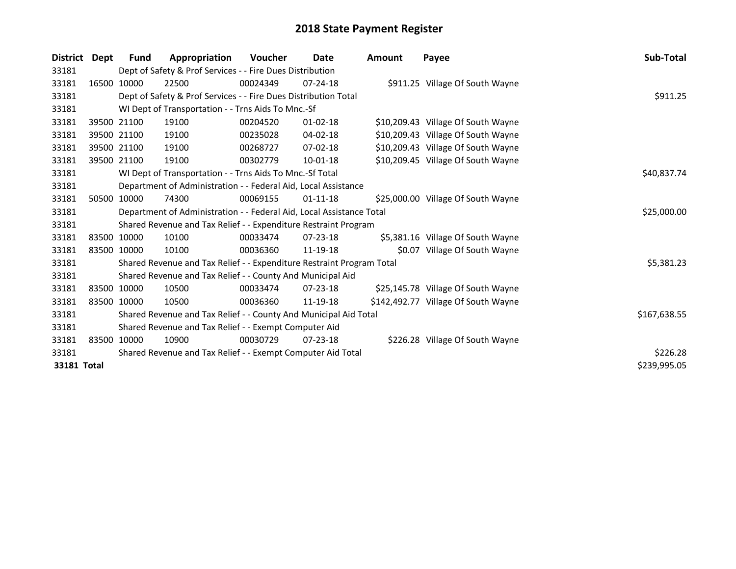| <b>District</b> | Dept        | <b>Fund</b> | Appropriation                                                         | Voucher     | Date           | <b>Amount</b> | Payee                               | Sub-Total    |
|-----------------|-------------|-------------|-----------------------------------------------------------------------|-------------|----------------|---------------|-------------------------------------|--------------|
| 33181           |             |             | Dept of Safety & Prof Services - - Fire Dues Distribution             |             |                |               |                                     |              |
| 33181           |             | 16500 10000 | 22500                                                                 | 00024349    | $07 - 24 - 18$ |               | \$911.25 Village Of South Wayne     |              |
| 33181           |             |             | Dept of Safety & Prof Services - - Fire Dues Distribution Total       |             |                |               |                                     | \$911.25     |
| 33181           |             |             | WI Dept of Transportation - - Trns Aids To Mnc.-Sf                    |             |                |               |                                     |              |
| 33181           |             | 39500 21100 | 19100                                                                 | 00204520    | $01 - 02 - 18$ |               | \$10,209.43 Village Of South Wayne  |              |
| 33181           |             | 39500 21100 | 19100                                                                 | 00235028    | 04-02-18       |               | \$10,209.43 Village Of South Wayne  |              |
| 33181           |             | 39500 21100 | 19100                                                                 | 00268727    | 07-02-18       |               | \$10,209.43 Village Of South Wayne  |              |
| 33181           |             | 39500 21100 | 19100                                                                 | 00302779    | 10-01-18       |               | \$10,209.45 Village Of South Wayne  |              |
| 33181           |             |             | WI Dept of Transportation - - Trns Aids To Mnc.-Sf Total              | \$40,837.74 |                |               |                                     |              |
| 33181           |             |             | Department of Administration - - Federal Aid, Local Assistance        |             |                |               |                                     |              |
| 33181           |             | 50500 10000 | 74300                                                                 | 00069155    | $01 - 11 - 18$ |               | \$25,000.00 Village Of South Wayne  |              |
| 33181           |             |             | Department of Administration - - Federal Aid, Local Assistance Total  |             |                |               |                                     | \$25,000.00  |
| 33181           |             |             | Shared Revenue and Tax Relief - - Expenditure Restraint Program       |             |                |               |                                     |              |
| 33181           |             | 83500 10000 | 10100                                                                 | 00033474    | 07-23-18       |               | \$5,381.16 Village Of South Wayne   |              |
| 33181           | 83500 10000 |             | 10100                                                                 | 00036360    | 11-19-18       |               | \$0.07 Village Of South Wayne       |              |
| 33181           |             |             | Shared Revenue and Tax Relief - - Expenditure Restraint Program Total |             |                |               |                                     | \$5,381.23   |
| 33181           |             |             | Shared Revenue and Tax Relief - - County And Municipal Aid            |             |                |               |                                     |              |
| 33181           |             | 83500 10000 | 10500                                                                 | 00033474    | $07 - 23 - 18$ |               | \$25,145.78 Village Of South Wayne  |              |
| 33181           |             | 83500 10000 | 10500                                                                 | 00036360    | 11-19-18       |               | \$142,492.77 Village Of South Wayne |              |
| 33181           |             |             | Shared Revenue and Tax Relief - - County And Municipal Aid Total      |             |                |               |                                     | \$167,638.55 |
| 33181           |             |             | Shared Revenue and Tax Relief - - Exempt Computer Aid                 |             |                |               |                                     |              |
| 33181           |             | 83500 10000 | 10900                                                                 | 00030729    | $07 - 23 - 18$ |               | \$226.28 Village Of South Wayne     |              |
| 33181           |             |             | Shared Revenue and Tax Relief - - Exempt Computer Aid Total           |             |                |               |                                     | \$226.28     |
| 33181 Total     |             |             |                                                                       |             |                |               |                                     | \$239,995.05 |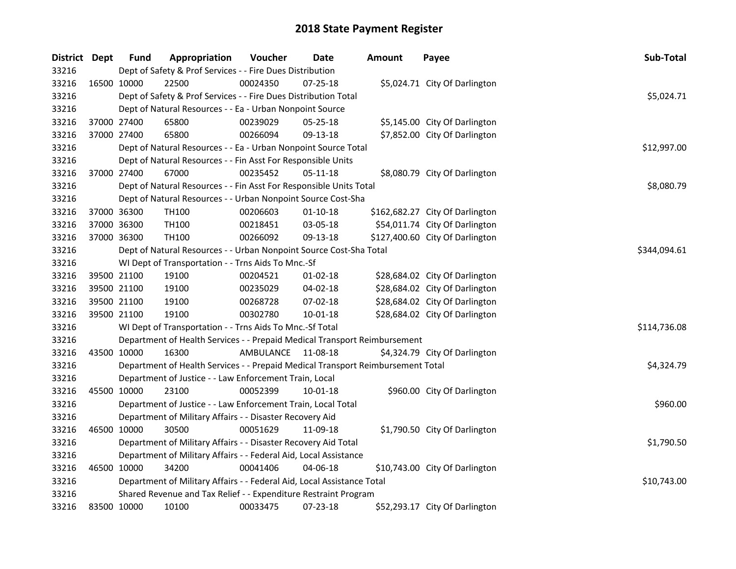| District Dept |             | <b>Fund</b> | Appropriation                                                                   | Voucher            | Date           | <b>Amount</b> | Payee                           | Sub-Total    |
|---------------|-------------|-------------|---------------------------------------------------------------------------------|--------------------|----------------|---------------|---------------------------------|--------------|
| 33216         |             |             | Dept of Safety & Prof Services - - Fire Dues Distribution                       |                    |                |               |                                 |              |
| 33216         | 16500 10000 |             | 22500                                                                           | 00024350           | 07-25-18       |               | \$5,024.71 City Of Darlington   |              |
| 33216         |             |             | Dept of Safety & Prof Services - - Fire Dues Distribution Total                 |                    |                |               |                                 | \$5,024.71   |
| 33216         |             |             | Dept of Natural Resources - - Ea - Urban Nonpoint Source                        |                    |                |               |                                 |              |
| 33216         | 37000 27400 |             | 65800                                                                           | 00239029           | 05-25-18       |               | \$5,145.00 City Of Darlington   |              |
| 33216         | 37000 27400 |             | 65800                                                                           | 00266094           | 09-13-18       |               | \$7,852.00 City Of Darlington   |              |
| 33216         |             |             | Dept of Natural Resources - - Ea - Urban Nonpoint Source Total                  |                    |                |               |                                 | \$12,997.00  |
| 33216         |             |             | Dept of Natural Resources - - Fin Asst For Responsible Units                    |                    |                |               |                                 |              |
| 33216         | 37000 27400 |             | 67000                                                                           | 00235452           | 05-11-18       |               | \$8,080.79 City Of Darlington   |              |
| 33216         |             |             | Dept of Natural Resources - - Fin Asst For Responsible Units Total              |                    |                |               |                                 | \$8,080.79   |
| 33216         |             |             | Dept of Natural Resources - - Urban Nonpoint Source Cost-Sha                    |                    |                |               |                                 |              |
| 33216         | 37000 36300 |             | TH100                                                                           | 00206603           | $01 - 10 - 18$ |               | \$162,682.27 City Of Darlington |              |
| 33216         | 37000 36300 |             | TH100                                                                           | 00218451           | 03-05-18       |               | \$54,011.74 City Of Darlington  |              |
| 33216         | 37000 36300 |             | TH100                                                                           | 00266092           | 09-13-18       |               | \$127,400.60 City Of Darlington |              |
| 33216         |             |             | Dept of Natural Resources - - Urban Nonpoint Source Cost-Sha Total              |                    |                |               |                                 | \$344,094.61 |
| 33216         |             |             | WI Dept of Transportation - - Trns Aids To Mnc.-Sf                              |                    |                |               |                                 |              |
| 33216         | 39500 21100 |             | 19100                                                                           | 00204521           | $01 - 02 - 18$ |               | \$28,684.02 City Of Darlington  |              |
| 33216         | 39500 21100 |             | 19100                                                                           | 00235029           | 04-02-18       |               | \$28,684.02 City Of Darlington  |              |
| 33216         | 39500 21100 |             | 19100                                                                           | 00268728           | 07-02-18       |               | \$28,684.02 City Of Darlington  |              |
| 33216         | 39500 21100 |             | 19100                                                                           | 00302780           | $10 - 01 - 18$ |               | \$28,684.02 City Of Darlington  |              |
| 33216         |             |             | WI Dept of Transportation - - Trns Aids To Mnc.-Sf Total                        |                    |                |               |                                 | \$114,736.08 |
| 33216         |             |             | Department of Health Services - - Prepaid Medical Transport Reimbursement       |                    |                |               |                                 |              |
| 33216         | 43500 10000 |             | 16300                                                                           | AMBULANCE 11-08-18 |                |               | \$4,324.79 City Of Darlington   |              |
| 33216         |             |             | Department of Health Services - - Prepaid Medical Transport Reimbursement Total |                    |                |               |                                 | \$4,324.79   |
| 33216         |             |             | Department of Justice - - Law Enforcement Train, Local                          |                    |                |               |                                 |              |
| 33216         | 45500 10000 |             | 23100                                                                           | 00052399           | 10-01-18       |               | \$960.00 City Of Darlington     |              |
| 33216         |             |             | Department of Justice - - Law Enforcement Train, Local Total                    |                    |                |               |                                 | \$960.00     |
| 33216         |             |             | Department of Military Affairs - - Disaster Recovery Aid                        |                    |                |               |                                 |              |
| 33216         | 46500 10000 |             | 30500                                                                           | 00051629           | 11-09-18       |               | \$1,790.50 City Of Darlington   |              |
| 33216         |             |             | Department of Military Affairs - - Disaster Recovery Aid Total                  |                    |                |               |                                 | \$1,790.50   |
| 33216         |             |             | Department of Military Affairs - - Federal Aid, Local Assistance                |                    |                |               |                                 |              |
| 33216         | 46500 10000 |             | 34200                                                                           | 00041406           | 04-06-18       |               | \$10,743.00 City Of Darlington  |              |
| 33216         |             |             | Department of Military Affairs - - Federal Aid, Local Assistance Total          |                    |                |               |                                 | \$10,743.00  |
| 33216         |             |             | Shared Revenue and Tax Relief - - Expenditure Restraint Program                 |                    |                |               |                                 |              |
| 33216         |             | 83500 10000 | 10100                                                                           | 00033475           | 07-23-18       |               | \$52,293.17 City Of Darlington  |              |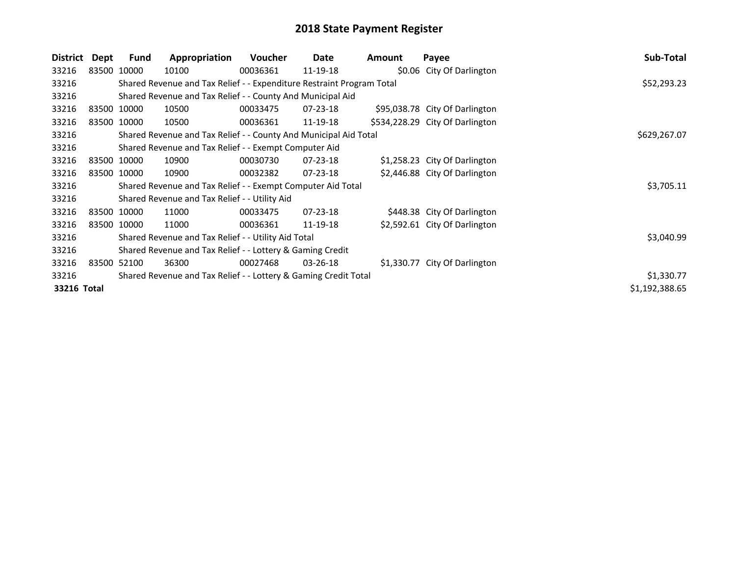| District    | Dept        | Fund        | Appropriation                                                         | <b>Voucher</b> | Date           | Amount | Payee                           | Sub-Total      |
|-------------|-------------|-------------|-----------------------------------------------------------------------|----------------|----------------|--------|---------------------------------|----------------|
| 33216       |             | 83500 10000 | 10100                                                                 | 00036361       | 11-19-18       |        | \$0.06 City Of Darlington       |                |
| 33216       |             |             | Shared Revenue and Tax Relief - - Expenditure Restraint Program Total |                |                |        |                                 | \$52,293.23    |
| 33216       |             |             | Shared Revenue and Tax Relief - - County And Municipal Aid            |                |                |        |                                 |                |
| 33216       |             | 83500 10000 | 10500                                                                 | 00033475       | $07 - 23 - 18$ |        | \$95,038.78 City Of Darlington  |                |
| 33216       |             | 83500 10000 | 10500                                                                 | 00036361       | 11-19-18       |        | \$534,228.29 City Of Darlington |                |
| 33216       |             |             | Shared Revenue and Tax Relief - - County And Municipal Aid Total      |                |                |        |                                 | \$629,267.07   |
| 33216       |             |             | Shared Revenue and Tax Relief - - Exempt Computer Aid                 |                |                |        |                                 |                |
| 33216       |             | 83500 10000 | 10900                                                                 | 00030730       | 07-23-18       |        | \$1,258.23 City Of Darlington   |                |
| 33216       |             | 83500 10000 | 10900                                                                 | 00032382       | 07-23-18       |        | \$2,446.88 City Of Darlington   |                |
| 33216       |             |             | Shared Revenue and Tax Relief - - Exempt Computer Aid Total           |                |                |        |                                 | \$3,705.11     |
| 33216       |             |             | Shared Revenue and Tax Relief - - Utility Aid                         |                |                |        |                                 |                |
| 33216       |             | 83500 10000 | 11000                                                                 | 00033475       | $07 - 23 - 18$ |        | \$448.38 City Of Darlington     |                |
| 33216       |             | 83500 10000 | 11000                                                                 | 00036361       | 11-19-18       |        | \$2,592.61 City Of Darlington   |                |
| 33216       |             |             | Shared Revenue and Tax Relief - - Utility Aid Total                   |                |                |        |                                 | \$3,040.99     |
| 33216       |             |             | Shared Revenue and Tax Relief - - Lottery & Gaming Credit             |                |                |        |                                 |                |
| 33216       | 83500 52100 |             | 36300                                                                 | 00027468       | $03 - 26 - 18$ |        | \$1,330.77 City Of Darlington   |                |
| 33216       |             |             | Shared Revenue and Tax Relief - - Lottery & Gaming Credit Total       |                |                |        |                                 | \$1,330.77     |
| 33216 Total |             |             |                                                                       |                |                |        |                                 | \$1,192,388.65 |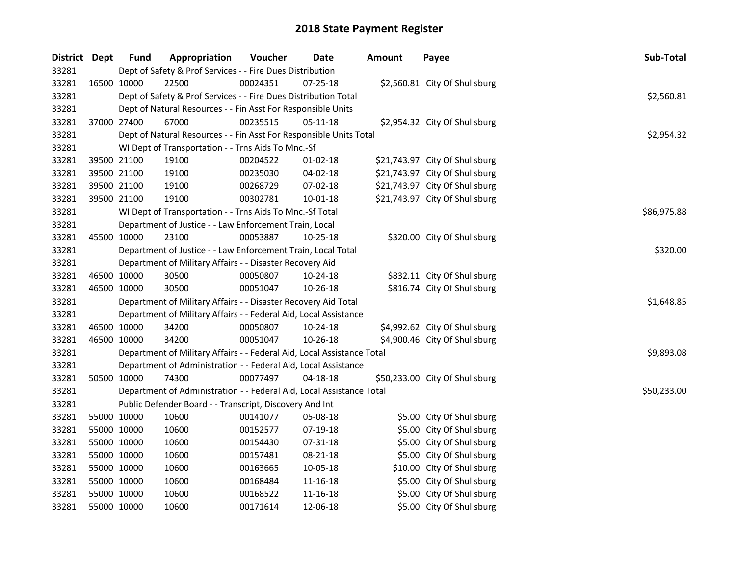| District Dept | <b>Fund</b> | Appropriation                                                          | Voucher  | Date           | <b>Amount</b> | Payee                          | Sub-Total   |
|---------------|-------------|------------------------------------------------------------------------|----------|----------------|---------------|--------------------------------|-------------|
| 33281         |             | Dept of Safety & Prof Services - - Fire Dues Distribution              |          |                |               |                                |             |
| 33281         | 16500 10000 | 22500                                                                  | 00024351 | 07-25-18       |               | \$2,560.81 City Of Shullsburg  |             |
| 33281         |             | Dept of Safety & Prof Services - - Fire Dues Distribution Total        |          |                |               |                                | \$2,560.81  |
| 33281         |             | Dept of Natural Resources - - Fin Asst For Responsible Units           |          |                |               |                                |             |
| 33281         | 37000 27400 | 67000                                                                  | 00235515 | $05-11-18$     |               | \$2,954.32 City Of Shullsburg  |             |
| 33281         |             | Dept of Natural Resources - - Fin Asst For Responsible Units Total     |          |                |               |                                | \$2,954.32  |
| 33281         |             | WI Dept of Transportation - - Trns Aids To Mnc.-Sf                     |          |                |               |                                |             |
| 33281         | 39500 21100 | 19100                                                                  | 00204522 | $01 - 02 - 18$ |               | \$21,743.97 City Of Shullsburg |             |
| 33281         | 39500 21100 | 19100                                                                  | 00235030 | 04-02-18       |               | \$21,743.97 City Of Shullsburg |             |
| 33281         | 39500 21100 | 19100                                                                  | 00268729 | 07-02-18       |               | \$21,743.97 City Of Shullsburg |             |
| 33281         | 39500 21100 | 19100                                                                  | 00302781 | 10-01-18       |               | \$21,743.97 City Of Shullsburg |             |
| 33281         |             | WI Dept of Transportation - - Trns Aids To Mnc.-Sf Total               |          |                |               |                                | \$86,975.88 |
| 33281         |             | Department of Justice - - Law Enforcement Train, Local                 |          |                |               |                                |             |
| 33281         | 45500 10000 | 23100                                                                  | 00053887 | 10-25-18       |               | \$320.00 City Of Shullsburg    |             |
| 33281         |             | Department of Justice - - Law Enforcement Train, Local Total           |          |                |               |                                | \$320.00    |
| 33281         |             | Department of Military Affairs - - Disaster Recovery Aid               |          |                |               |                                |             |
| 33281         | 46500 10000 | 30500                                                                  | 00050807 | 10-24-18       |               | \$832.11 City Of Shullsburg    |             |
| 33281         | 46500 10000 | 30500                                                                  | 00051047 | 10-26-18       |               | \$816.74 City Of Shullsburg    |             |
| 33281         |             | Department of Military Affairs - - Disaster Recovery Aid Total         |          |                |               |                                | \$1,648.85  |
| 33281         |             | Department of Military Affairs - - Federal Aid, Local Assistance       |          |                |               |                                |             |
| 33281         | 46500 10000 | 34200                                                                  | 00050807 | 10-24-18       |               | \$4,992.62 City Of Shullsburg  |             |
| 33281         | 46500 10000 | 34200                                                                  | 00051047 | 10-26-18       |               | \$4,900.46 City Of Shullsburg  |             |
| 33281         |             | Department of Military Affairs - - Federal Aid, Local Assistance Total |          |                |               |                                | \$9,893.08  |
| 33281         |             | Department of Administration - - Federal Aid, Local Assistance         |          |                |               |                                |             |
| 33281         | 50500 10000 | 74300                                                                  | 00077497 | $04 - 18 - 18$ |               | \$50,233.00 City Of Shullsburg |             |
| 33281         |             | Department of Administration - - Federal Aid, Local Assistance Total   |          |                |               |                                | \$50,233.00 |
| 33281         |             | Public Defender Board - - Transcript, Discovery And Int                |          |                |               |                                |             |
| 33281         | 55000 10000 | 10600                                                                  | 00141077 | 05-08-18       |               | \$5.00 City Of Shullsburg      |             |
| 33281         | 55000 10000 | 10600                                                                  | 00152577 | 07-19-18       |               | \$5.00 City Of Shullsburg      |             |
| 33281         | 55000 10000 | 10600                                                                  | 00154430 | 07-31-18       |               | \$5.00 City Of Shullsburg      |             |
| 33281         | 55000 10000 | 10600                                                                  | 00157481 | 08-21-18       |               | \$5.00 City Of Shullsburg      |             |
| 33281         | 55000 10000 | 10600                                                                  | 00163665 | 10-05-18       |               | \$10.00 City Of Shullsburg     |             |
| 33281         | 55000 10000 | 10600                                                                  | 00168484 | 11-16-18       |               | \$5.00 City Of Shullsburg      |             |
| 33281         | 55000 10000 | 10600                                                                  | 00168522 | 11-16-18       |               | \$5.00 City Of Shullsburg      |             |
| 33281         | 55000 10000 | 10600                                                                  | 00171614 | 12-06-18       |               | \$5.00 City Of Shullsburg      |             |